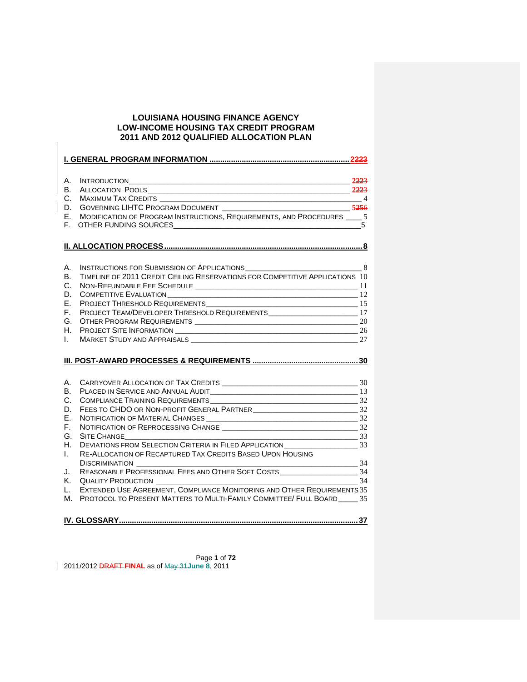# **LOUISIANA HOUSING FINANCE AGENCY LOW-INCOME HOUSING TAX CREDIT PROGRAM 2011 AND 2012 QUALIFIED ALLOCATION PLAN**

| А.             | D. GOVERNING LIHTC PROGRAM DOCUMENT ___________________________________5256<br>E. MODIFICATION OF PROGRAM INSTRUCTIONS, REQUIREMENTS, AND PROCEDURES ____ 5 | 2223<br>2223<br>-5 |
|----------------|-------------------------------------------------------------------------------------------------------------------------------------------------------------|--------------------|
|                |                                                                                                                                                             |                    |
| Α.             |                                                                                                                                                             |                    |
|                | B. TIMELINE OF 2011 CREDIT CEILING RESERVATIONS FOR COMPETITIVE APPLICATIONS 10                                                                             |                    |
|                |                                                                                                                                                             |                    |
|                |                                                                                                                                                             |                    |
|                |                                                                                                                                                             |                    |
|                |                                                                                                                                                             |                    |
| $F_{\rm{eff}}$ | PROJECT TEAM/DEVELOPER THRESHOLD REQUIREMENTS ________________________________17                                                                            |                    |
|                |                                                                                                                                                             |                    |
| L.             |                                                                                                                                                             | 27                 |

# **III. POST-AWARD PROCESSES & REQUIREMENTS ................................................. 30**

| A. | CARRYOVER ALLOCATION OF TAX CREDITS                                                                            | 30 |
|----|----------------------------------------------------------------------------------------------------------------|----|
| В. |                                                                                                                | 13 |
| C. | COMPLIANCE TRAINING REQUIREMENTS                                                                               | 32 |
| D. | FEES TO CHDO OR NON-PROFIT GENERAL PARTNER                                                                     | 32 |
| E. | NOTIFICATION OF MATERIAL CHANGES                                                                               | 32 |
| E. |                                                                                                                | 32 |
| G. | SITE CHANGE <b>SECURE AND SET AND SET AND SET A</b>                                                            | 33 |
|    | H. DEVIATIONS FROM SELECTION CRITERIA IN FILED APPLICATION                                                     | 33 |
|    | 1. RE-ALLOCATION OF RECAPTURED TAX CREDITS BASED UPON HOUSING                                                  |    |
|    | DISCRIMINATION <b>CONTRACTES</b>                                                                               | 34 |
| J. | REASONABLE PROFESSIONAL FEES AND OTHER SOFT COSTS 34                                                           |    |
| Κ. | QUALITY PRODUCTION AND RESERVE TO A RESERVE THE RESERVE TO A RESERVE THE RESERVE TO A RESERVE THE RESERVE TO A | 34 |
| L. | EXTENDED USE AGREEMENT, COMPLIANCE MONITORING AND OTHER REQUIREMENTS 35                                        |    |
|    | M. PROTOCOL TO PRESENT MATTERS TO MULTI-FAMILY COMMITTEE/ FULL BOARD 35                                        |    |
|    |                                                                                                                |    |

**IV. GLOSSARY ............................................................................................................... 37**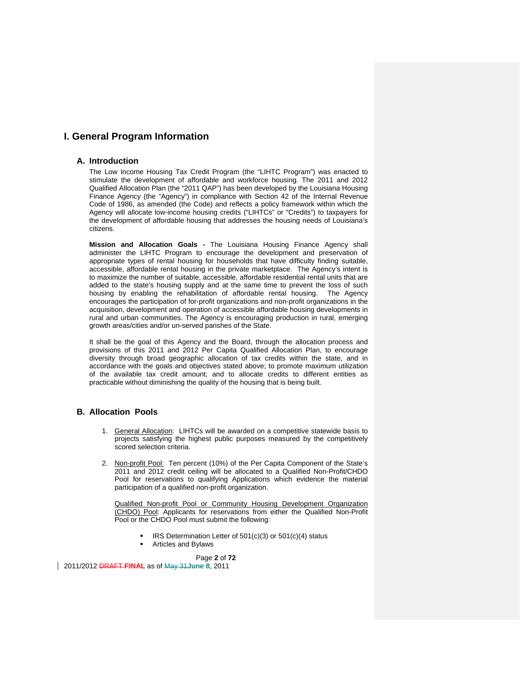# **I. General Program Information**

## **A. Introduction**

The Low Income Housing Tax Credit Program (the "LIHTC Program") was enacted to stimulate the development of affordable and workforce housing. The 2011 and 2012 Qualified Allocation Plan (the "2011 QAP") has been developed by the Louisiana Housing Finance Agency (the "Agency") in compliance with Section 42 of the Internal Revenue Code of 1986, as amended (the Code) and reflects a policy framework within which the Agency will allocate low-income housing credits ("LIHTCs" or "Credits") to taxpayers for the development of affordable housing that addresses the housing needs of Louisiana's citizens.

**Mission and Allocation Goals -** The Louisiana Housing Finance Agency shall administer the LIHTC Program to encourage the development and preservation of appropriate types of rental housing for households that have difficulty finding suitable, accessible, affordable rental housing in the private marketplace. The Agency's intent is to maximize the number of suitable, accessible, affordable residential rental units that are added to the state's housing supply and at the same time to prevent the loss of such housing by enabling the rehabilitation of affordable rental housing. The Agency encourages the participation of for-profit organizations and non-profit organizations in the acquisition, development and operation of accessible affordable housing developments in rural and urban communities. The Agency is encouraging production in rural, emerging growth areas/cities and/or un-served parishes of the State.

It shall be the goal of this Agency and the Board, through the allocation process and provisions of this 2011 and 2012 Per Capita Qualified Allocation Plan, to encourage diversity through broad geographic allocation of tax credits within the state, and in accordance with the goals and objectives stated above; to promote maximum utilization of the available tax credit amount; and to allocate credits to different entities as practicable without diminishing the quality of the housing that is being built.

# **B. Allocation Pools**

- 1. General Allocation: LIHTCs will be awarded on a competitive statewide basis to projects satisfying the highest public purposes measured by the competitively scored selection criteria.
- 2. Non-profit Pool: Ten percent (10%) of the Per Capita Component of the State's 2011 and 2012 credit ceiling will be allocated to a Qualified Non-Profit/CHDO Pool for reservations to qualifying Applications which evidence the material participation of a qualified non-profit organization.

 Qualified Non-profit Pool or Community Housing Development Organization (CHDO) Pool: Applicants for reservations from either the Qualified Non-Profit Pool or the CHDO Pool must submit the following:

- IRS Determination Letter of 501(c)(3) or 501(c)(4) status
	- Articles and Bylaws

# Page **2** of **72**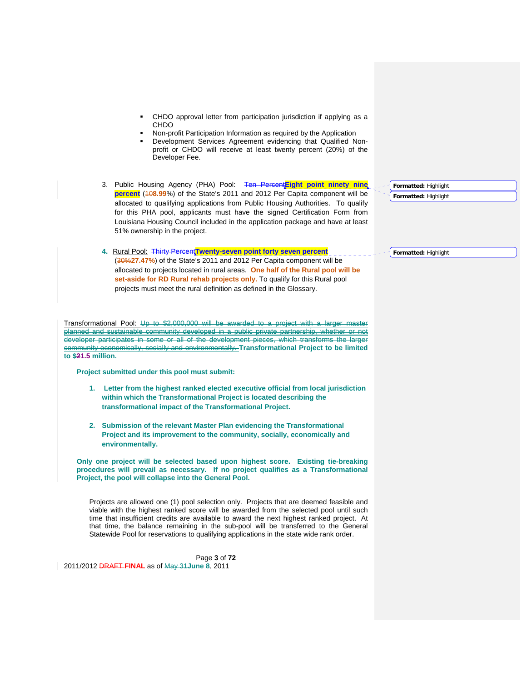- CHDO approval letter from participation jurisdiction if applying as a CHDO
- Non-profit Participation Information as required by the Application
- Development Services Agreement evidencing that Qualified Nonprofit or CHDO will receive at least twenty percent (20%) of the Developer Fee.
- 3. Public Housing Agency (PHA) Pool: Ten Percent**Eight point ninety nine percent** (408.99%) of the State's 2011 and 2012 Per Capita component will be allocated to qualifying applications from Public Housing Authorities. To qualify for this PHA pool, applicants must have the signed Certification Form from Louisiana Housing Council included in the application package and have at least 51% ownership in the project.
- **4.** Rural Pool: Thirty Percent**Twenty-seven point forty seven percent** (30%**27.47%**) of the State's 2011 and 2012 Per Capita component will be allocated to projects located in rural areas. **One half of the Rural pool will be set-aside for RD Rural rehab projects only.** To qualify for this Rural pool projects must meet the rural definition as defined in the Glossary.

Transformational Pool: Up to \$2,000,000 will be awarded to a project with a larger master planned and sustainable community developed in a public private partnership, whether or not developer participates in some or all of the development pieces, which transforms the larger community economically, socially and environmentally. **Transformational Project to be limited to \$21.5 million.** 

**Project submitted under this pool must submit:** 

- **1. Letter from the highest ranked elected executive official from local jurisdiction within which the Transformational Project is located describing the transformational impact of the Transformational Project.**
- **2. Submission of the relevant Master Plan evidencing the Transformational Project and its improvement to the community, socially, economically and environmentally.**

**Only one project will be selected based upon highest score. Existing tie-breaking procedures will prevail as necessary. If no project qualifies as a Transformational Project, the pool will collapse into the General Pool.** 

Projects are allowed one (1) pool selection only. Projects that are deemed feasible and viable with the highest ranked score will be awarded from the selected pool until such time that insufficient credits are available to award the next highest ranked project. At that time, the balance remaining in the sub-pool will be transferred to the General Statewide Pool for reservations to qualifying applications in the state wide rank order.

Page **3** of **72** 2011/2012 DRAFT **FINAL** as of May 31**June 8**, 2011

**Formatted:** Highlight

**Formatted:** Highlight

**Formatted:** Highlight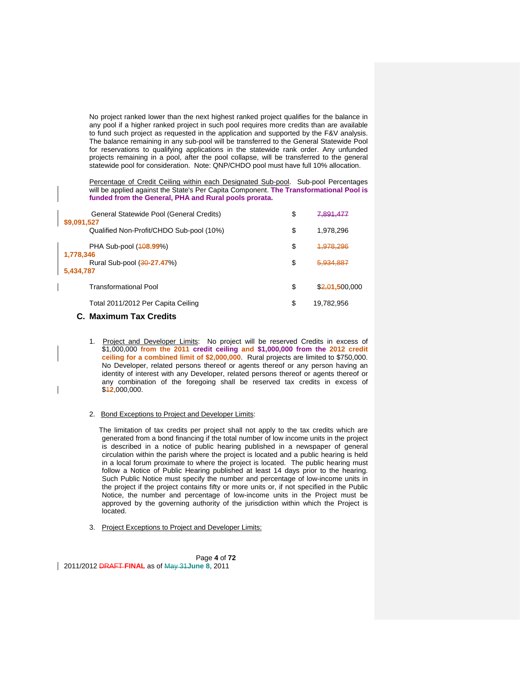No project ranked lower than the next highest ranked project qualifies for the balance in any pool if a higher ranked project in such pool requires more credits than are available to fund such project as requested in the application and supported by the F&V analysis. The balance remaining in any sub-pool will be transferred to the General Statewide Pool for reservations to qualifying applications in the statewide rank order. Any unfunded projects remaining in a pool, after the pool collapse, will be transferred to the general statewide pool for consideration. Note: QNP/CHDO pool must have full 10% allocation.

Percentage of Credit Ceiling within each Designated Sub-pool. Sub-pool Percentages will be applied against the State's Per Capita Component. **The Transformational Pool is funded from the General, PHA and Rural pools prorata.**

| General Statewide Pool (General Credits)<br>\$9,091,527 | \$<br><del>7.891.477</del> |
|---------------------------------------------------------|----------------------------|
| Qualified Non-Profit/CHDO Sub-pool (10%)                | \$<br>1,978,296            |
| PHA Sub-pool (408.99%)<br>1,778,346                     | \$<br><del>1.978.296</del> |
| Rural Sub-pool (30-27.47%)<br>5,434,787                 | \$<br>5,934,887            |
| <b>Transformational Pool</b>                            | \$<br>\$2,01,500,000       |
| Total 2011/2012 Per Capita Ceiling                      | \$<br>19,782,956           |

# **C. Maximum Tax Credits**

1. Project and Developer Limits: No project will be reserved Credits in excess of \$1,000,000 **from the 2011 credit ceiling and \$1,000,000 from the 2012 credit ceiling for a combined limit of \$2,000,000**. Rural projects are limited to \$750,000. No Developer, related persons thereof or agents thereof or any person having an identity of interest with any Developer, related persons thereof or agents thereof or any combination of the foregoing shall be reserved tax credits in excess of \$1**2**,000,000.

# 2. Bond Exceptions to Project and Developer Limits:

 The limitation of tax credits per project shall not apply to the tax credits which are generated from a bond financing if the total number of low income units in the project is described in a notice of public hearing published in a newspaper of general circulation within the parish where the project is located and a public hearing is held in a local forum proximate to where the project is located. The public hearing must follow a Notice of Public Hearing published at least 14 days prior to the hearing. Such Public Notice must specify the number and percentage of low-income units in the project if the project contains fifty or more units or, if not specified in the Public Notice, the number and percentage of low-income units in the Project must be approved by the governing authority of the jurisdiction within which the Project is located.

3. Project Exceptions to Project and Developer Limits:

Page **4** of **72** 2011/2012 DRAFT **FINAL** as of May 31**June 8**, 2011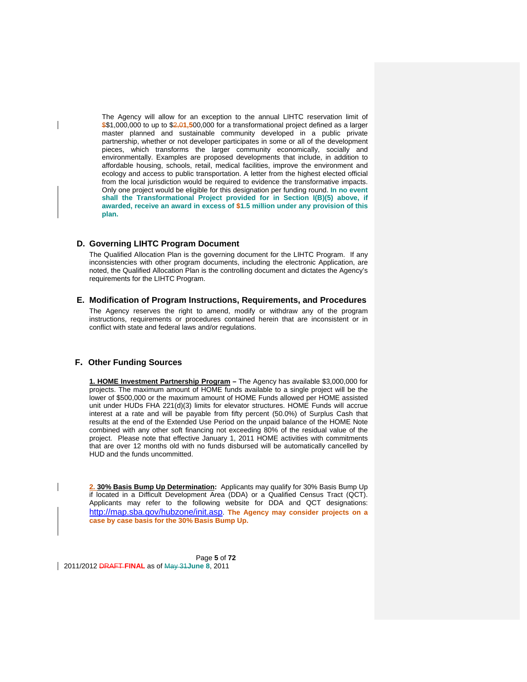The Agency will allow for an exception to the annual LIHTC reservation limit of \$\$1,000,000 to up to \$2,0**1,5**00,000 for a transformational project defined as a larger master planned and sustainable community developed in a public private partnership, whether or not developer participates in some or all of the development pieces, which transforms the larger community economically, socially and environmentally. Examples are proposed developments that include, in addition to affordable housing, schools, retail, medical facilities, improve the environment and ecology and access to public transportation. A letter from the highest elected official from the local jurisdiction would be required to evidence the transformative impacts. Only one project would be eligible for this designation per funding round. **In no event shall the Transformational Project provided for in Section I(B)(5) above, if awarded, receive an award in excess of \$1.5 million under any provision of this plan.** 

### **D. Governing LIHTC Program Document**

The Qualified Allocation Plan is the governing document for the LIHTC Program. If any inconsistencies with other program documents, including the electronic Application, are noted, the Qualified Allocation Plan is the controlling document and dictates the Agency's requirements for the LIHTC Program.

### **E. Modification of Program Instructions, Requirements, and Procedures**

The Agency reserves the right to amend, modify or withdraw any of the program instructions, requirements or procedures contained herein that are inconsistent or in conflict with state and federal laws and/or regulations.

## **F. Other Funding Sources**

**1. HOME Investment Partnership Program –** The Agency has available \$3,000,000 for projects. The maximum amount of HOME funds available to a single project will be the lower of \$500,000 or the maximum amount of HOME Funds allowed per HOME assisted unit under HUDs FHA 221(d)(3) limits for elevator structures. HOME Funds will accrue interest at a rate and will be payable from fifty percent (50.0%) of Surplus Cash that results at the end of the Extended Use Period on the unpaid balance of the HOME Note combined with any other soft financing not exceeding 80% of the residual value of the project. Please note that effective January 1, 2011 HOME activities with commitments that are over 12 months old with no funds disbursed will be automatically cancelled by HUD and the funds uncommitted.

**2. 30% Basis Bump Up Determination:** Applicants may qualify for 30% Basis Bump Up if located in a Difficult Development Area (DDA) or a Qualified Census Tract (QCT). Applicants may refer to the following website for DDA and QCT designations: http://map.sba.gov/hubzone/init.asp. **The Agency may consider projects on a case by case basis for the 30% Basis Bump Up.** 

Page **5** of **72** 2011/2012 DRAFT **FINAL** as of May 31**June 8**, 2011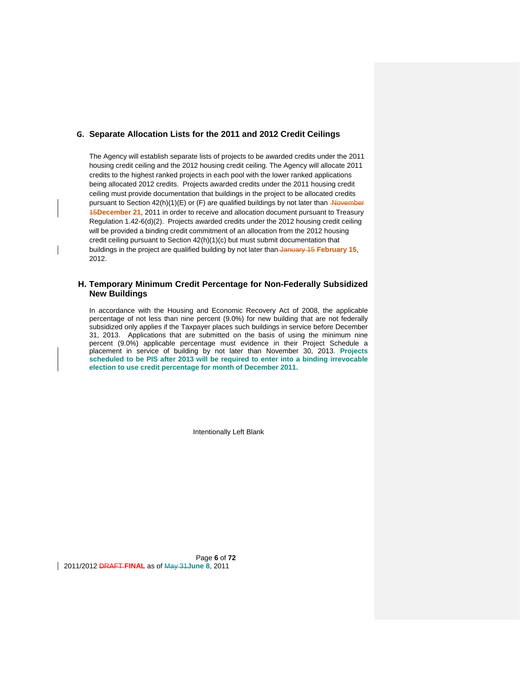# **G. Separate Allocation Lists for the 2011 and 2012 Credit Ceilings**

The Agency will establish separate lists of projects to be awarded credits under the 2011 housing credit ceiling and the 2012 housing credit ceiling. The Agency will allocate 2011 credits to the highest ranked projects in each pool with the lower ranked applications being allocated 2012 credits. Projects awarded credits under the 2011 housing credit ceiling must provide documentation that buildings in the project to be allocated credits pursuant to Section 42(h)(1)(E) or (F) are qualified buildings by not later than -November 15**December 21**, 2011 in order to receive and allocation document pursuant to Treasury Regulation 1.42-6(d)(2). Projects awarded credits under the 2012 housing credit ceiling will be provided a binding credit commitment of an allocation from the 2012 housing credit ceiling pursuant to Section 42(h)(1)(c) but must submit documentation that buildings in the project are qualified building by not later than January 15 **February 15**, 2012.

# **H. Temporary Minimum Credit Percentage for Non-Federally Subsidized New Buildings**

In accordance with the Housing and Economic Recovery Act of 2008, the applicable percentage of not less than nine percent (9.0%) for new building that are not federally subsidized only applies if the Taxpayer places such buildings in service before December 31, 2013. Applications that are submitted on the basis of using the minimum nine percent (9.0%) applicable percentage must evidence in their Project Schedule a placement in service of building by not later than November 30, 2013. **Projects scheduled to be PIS after 2013 will be required to enter into a binding irrevocable election to use credit percentage for month of December 2011.**

Intentionally Left Blank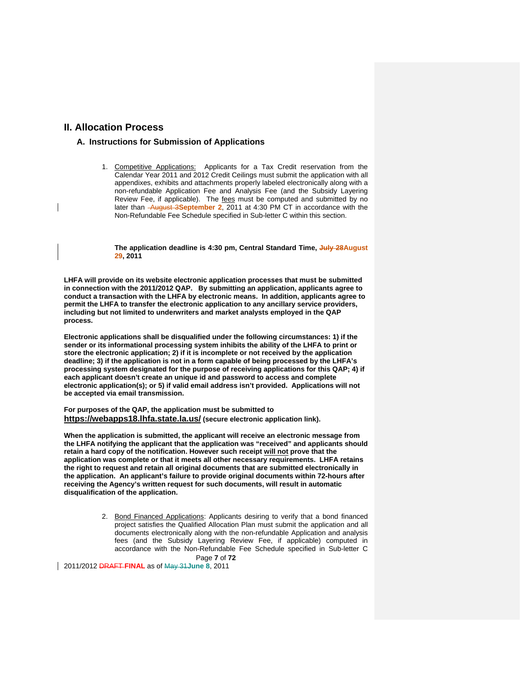# **II. Allocation Process**

# **A. Instructions for Submission of Applications**

1. Competitive Applications: Applicants for a Tax Credit reservation from the Calendar Year 2011 and 2012 Credit Ceilings must submit the application with all appendixes, exhibits and attachments properly labeled electronically along with a non-refundable Application Fee and Analysis Fee (and the Subsidy Layering Review Fee, if applicable). The fees must be computed and submitted by no later than August 3September 2, 2011 at 4:30 PM CT in accordance with the Non-Refundable Fee Schedule specified in Sub-letter C within this section.

**The application deadline is 4:30 pm, Central Standard Time, July 28August 29, 2011** 

**LHFA will provide on its website electronic application processes that must be submitted in connection with the 2011/2012 QAP. By submitting an application, applicants agree to conduct a transaction with the LHFA by electronic means. In addition, applicants agree to permit the LHFA to transfer the electronic application to any ancillary service providers, including but not limited to underwriters and market analysts employed in the QAP process.** 

**Electronic applications shall be disqualified under the following circumstances: 1) if the sender or its informational processing system inhibits the ability of the LHFA to print or store the electronic application; 2) if it is incomplete or not received by the application deadline; 3) if the application is not in a form capable of being processed by the LHFA's processing system designated for the purpose of receiving applications for this QAP; 4) if each applicant doesn't create an unique id and password to access and complete electronic application(s); or 5) if valid email address isn't provided. Applications will not be accepted via email transmission.** 

**For purposes of the QAP, the application must be submitted to https://webapps18.lhfa.state.la.us/ (secure electronic application link).** 

**When the application is submitted, the applicant will receive an electronic message from the LHFA notifying the applicant that the application was "received" and applicants should retain a hard copy of the notification. However such receipt will not prove that the application was complete or that it meets all other necessary requirements. LHFA retains the right to request and retain all original documents that are submitted electronically in the application. An applicant's failure to provide original documents within 72-hours after receiving the Agency's written request for such documents, will result in automatic disqualification of the application.** 

> Page **7** of **72** 2. Bond Financed Applications: Applicants desiring to verify that a bond financed project satisfies the Qualified Allocation Plan must submit the application and all documents electronically along with the non-refundable Application and analysis fees (and the Subsidy Layering Review Fee, if applicable) computed in accordance with the Non-Refundable Fee Schedule specified in Sub-letter C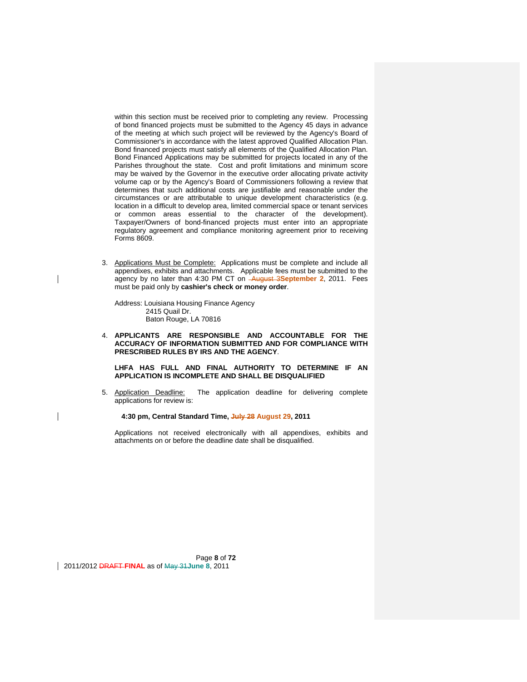within this section must be received prior to completing any review. Processing of bond financed projects must be submitted to the Agency 45 days in advance of the meeting at which such project will be reviewed by the Agency's Board of Commissioner's in accordance with the latest approved Qualified Allocation Plan. Bond financed projects must satisfy all elements of the Qualified Allocation Plan. Bond Financed Applications may be submitted for projects located in any of the Parishes throughout the state. Cost and profit limitations and minimum score may be waived by the Governor in the executive order allocating private activity volume cap or by the Agency's Board of Commissioners following a review that determines that such additional costs are justifiable and reasonable under the circumstances or are attributable to unique development characteristics (e.g. location in a difficult to develop area, limited commercial space or tenant services or common areas essential to the character of the development). Taxpayer/Owners of bond-financed projects must enter into an appropriate regulatory agreement and compliance monitoring agreement prior to receiving Forms 8609.

3. Applications Must be Complete: Applications must be complete and include all appendixes, exhibits and attachments. Applicable fees must be submitted to the agency by no later than 4:30 PM CT on August 3**September 2**, 2011. Fees must be paid only by **cashier's check or money order**.

 Address: Louisiana Housing Finance Agency 2415 Quail Dr. Baton Rouge, LA 70816

### 4. **APPLICANTS ARE RESPONSIBLE AND ACCOUNTABLE FOR THE ACCURACY OF INFORMATION SUBMITTED AND FOR COMPLIANCE WITH PRESCRIBED RULES BY IRS AND THE AGENCY**.

**LHFA HAS FULL AND FINAL AUTHORITY TO DETERMINE IF AN APPLICATION IS INCOMPLETE AND SHALL BE DISQUALIFIED** 

5. Application Deadline: The application deadline for delivering complete applications for review is:

### **4:30 pm, Central Standard Time, July 28 August 29, 2011**

Applications not received electronically with all appendixes, exhibits and attachments on or before the deadline date shall be disqualified.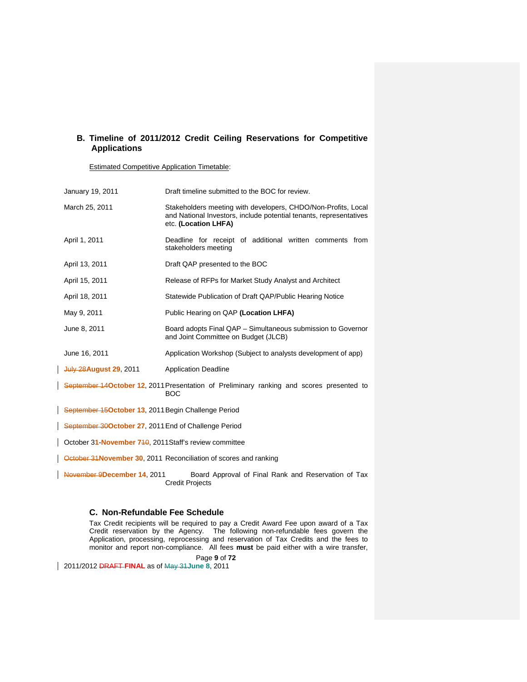# **B. Timeline of 2011/2012 Credit Ceiling Reservations for Competitive Applications**

Estimated Competitive Application Timetable:

| Draft timeline submitted to the BOC for review.<br>January 19, 2011 |                                                                                                                                                             |  |  |
|---------------------------------------------------------------------|-------------------------------------------------------------------------------------------------------------------------------------------------------------|--|--|
| March 25, 2011                                                      | Stakeholders meeting with developers, CHDO/Non-Profits, Local<br>and National Investors, include potential tenants, representatives<br>etc. (Location LHFA) |  |  |
| April 1, 2011                                                       | Deadline for receipt of additional written comments from<br>stakeholders meeting                                                                            |  |  |
| April 13, 2011                                                      | Draft QAP presented to the BOC                                                                                                                              |  |  |
| April 15, 2011                                                      | Release of RFPs for Market Study Analyst and Architect                                                                                                      |  |  |
| April 18, 2011                                                      | Statewide Publication of Draft QAP/Public Hearing Notice                                                                                                    |  |  |
| May 9, 2011                                                         | Public Hearing on QAP (Location LHFA)                                                                                                                       |  |  |
| June 8, 2011                                                        | Board adopts Final QAP – Simultaneous submission to Governor<br>and Joint Committee on Budget (JLCB)                                                        |  |  |
| June 16, 2011                                                       | Application Workshop (Subject to analysts development of app)                                                                                               |  |  |
| <b>July 28 August 29, 2011</b>                                      | <b>Application Deadline</b>                                                                                                                                 |  |  |
|                                                                     | September 14 October 12, 2011 Presentation of Preliminary ranking and scores presented to<br><b>BOC</b>                                                     |  |  |
| September 15 October 13, 2011 Begin Challenge Period                |                                                                                                                                                             |  |  |
| September 30 October 27, 2011 End of Challenge Period               |                                                                                                                                                             |  |  |
| October 31 November 740, 2011 Staff's review committee              |                                                                                                                                                             |  |  |
| October 31 November 30, 2011 Reconciliation of scores and ranking   |                                                                                                                                                             |  |  |

November 9December 14, 2011 Board Approval of Final Rank and Reservation of Tax Credit Projects

### **C. Non-Refundable Fee Schedule**

Tax Credit recipients will be required to pay a Credit Award Fee upon award of a Tax Credit reservation by the Agency. The following non-refundable fees govern the Application, processing, reprocessing and reservation of Tax Credits and the fees to monitor and report non-compliance. All fees **must** be paid either with a wire transfer,

Page **9** of **72**

2011/2012 DRAFT **FINAL** as of May 31**June 8**, 2011

 $\mathsf{l}$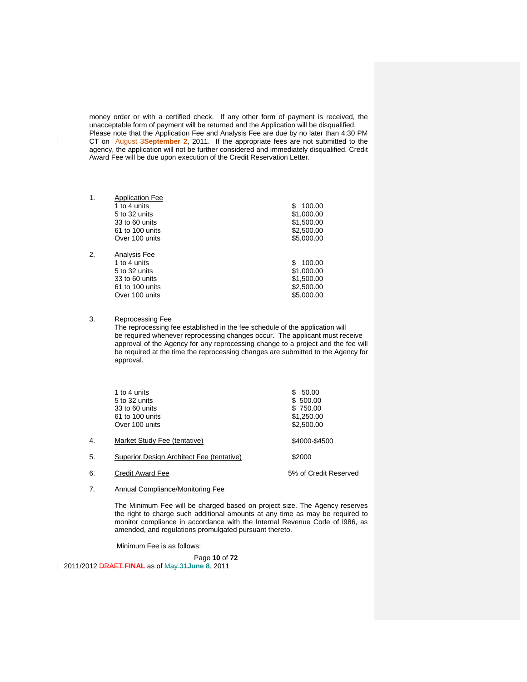money order or with a certified check. If any other form of payment is received, the unacceptable form of payment will be returned and the Application will be disqualified. Please note that the Application Fee and Analysis Fee are due by no later than 4:30 PM CT on August 3**September 2**, 2011. If the appropriate fees are not submitted to the agency, the application will not be further considered and immediately disqualified. Credit Award Fee will be due upon execution of the Credit Reservation Letter.

| $\mathbf{1}$ . | <b>Application Fee</b> |              |
|----------------|------------------------|--------------|
|                | 1 to 4 units           | 100.00<br>S. |
|                | 5 to 32 units          | \$1,000.00   |
|                | 33 to 60 units         | \$1,500.00   |
|                | 61 to 100 units        | \$2,500.00   |
|                | Over 100 units         | \$5,000.00   |
| 2.             | Analysis Fee           |              |
|                | 1 to 4 units           | 100.00       |
|                | 5 to 32 units          | \$1,000.00   |
|                | 33 to 60 units         | \$1,500.00   |
|                | 61 to 100 units        | \$2,500.00   |
|                | Over 100 units         | \$5,000.00   |

### 3. Reprocessing Fee

 $\overline{\phantom{a}}$ 

 The reprocessing fee established in the fee schedule of the application will be required whenever reprocessing changes occur. The applicant must receive approval of the Agency for any reprocessing change to a project and the fee will be required at the time the reprocessing changes are submitted to the Agency for approval.

|    | 1 to 4 units<br>5 to 32 units<br>33 to 60 units<br>61 to 100 units<br>Over 100 units | 50.00<br>\$.<br>\$500.00<br>\$750.00<br>\$1,250.00<br>\$2,500.00 |
|----|--------------------------------------------------------------------------------------|------------------------------------------------------------------|
| 4. | Market Study Fee (tentative)                                                         | \$4000-\$4500                                                    |
| 5. | Superior Design Architect Fee (tentative)                                            | \$2000                                                           |
| 6. | Credit Award Fee                                                                     | 5% of Credit Reserved                                            |

7. Annual Compliance/Monitoring Fee

The Minimum Fee will be charged based on project size. The Agency reserves the right to charge such additional amounts at any time as may be required to monitor compliance in accordance with the Internal Revenue Code of l986, as amended, and regulations promulgated pursuant thereto.

Minimum Fee is as follows:

# Page **10** of **72**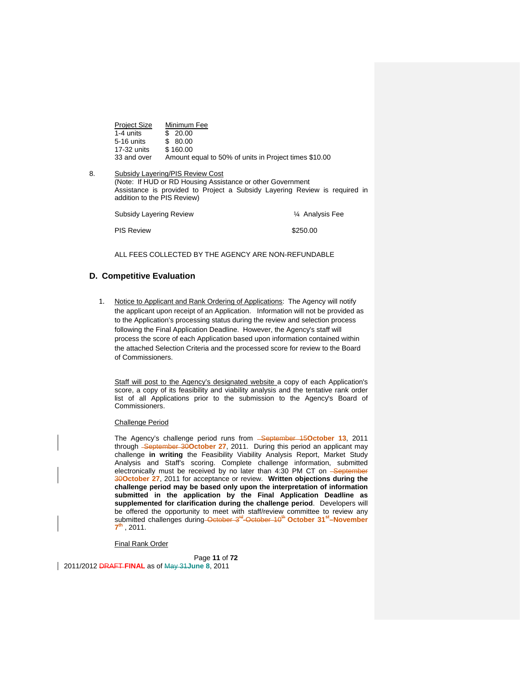Project Size Minimum Fee 1-4 units \$ 20.00<br>5-16 units \$ 80.00  $5-16$  units 17-32 units \$ 160.00 33 and over Amount equal to 50% of units in Project times \$10.00

8. Subsidy Layering/PIS Review Cost (Note: If HUD or RD Housing Assistance or other Government Assistance is provided to Project a Subsidy Layering Review is required in addition to the PIS Review)

| Subsidy Layering Review | 1/4 Analysis Fee |
|-------------------------|------------------|
| <b>PIS Review</b>       | \$250.00         |

ALL FEES COLLECTED BY THE AGENCY ARE NON-REFUNDABLE

# **D. Competitive Evaluation**

1. Notice to Applicant and Rank Ordering of Applications: The Agency will notify the applicant upon receipt of an Application. Information will not be provided as to the Application's processing status during the review and selection process following the Final Application Deadline. However, the Agency's staff will process the score of each Application based upon information contained within the attached Selection Criteria and the processed score for review to the Board of Commissioners.

Staff will post to the Agency's designated website a copy of each Application's score, a copy of its feasibility and viability analysis and the tentative rank order list of all Applications prior to the submission to the Agency's Board of Commissioners.

#### Challenge Period

The Agency's challenge period runs from <del>September 15October 13</del>, 2011 through September 30 October 27, 2011. During this period an applicant may challenge **in writing** the Feasibility Viability Analysis Report, Market Study Analysis and Staff's scoring. Complete challenge information, submitted electronically must be received by no later than 4:30 PM CT on -September 30**October 27**, 2011 for acceptance or review. **Written objections during the challenge period may be based only upon the interpretation of information submitted in the application by the Final Application Deadline as supplemented for clarification during the challenge period**. Developers will be offered the opportunity to meet with staff/review committee to review any submitted challenges during October 3<sup>rd</sup>-October 10<sup>th</sup> October 31<sup>st</sup>–November **7th** , 2011.

Final Rank Order

Page **11** of **72** 2011/2012 DRAFT **FINAL** as of May 31**June 8**, 2011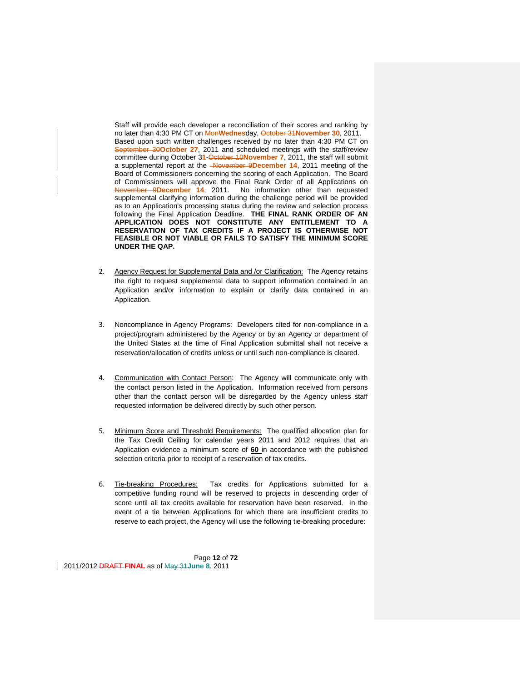Staff will provide each developer a reconciliation of their scores and ranking by no later than 4:30 PM CT on Mon**Wednes**day, October 31**November 30**, 2011. Based upon such written challenges received by no later than 4:30 PM CT on September 30**October 27**, 2011 and scheduled meetings with the staff/review committee during October 3**1**-October 10**November 7**, 2011, the staff will submit a supplemental report at the **-November 9December 14**, 2011 meeting of the Board of Commissioners concerning the scoring of each Application. The Board of Commissioners will approve the Final Rank Order of all Applications on November 9**December 14**, 2011. No information other than requested supplemental clarifying information during the challenge period will be provided as to an Application's processing status during the review and selection process following the Final Application Deadline. **THE FINAL RANK ORDER OF AN APPLICATION DOES NOT CONSTITUTE ANY ENTITLEMENT TO A RESERVATION OF TAX CREDITS IF A PROJECT IS OTHERWISE NOT FEASIBLE OR NOT VIABLE OR FAILS TO SATISFY THE MINIMUM SCORE UNDER THE QAP.** 

- 2. Agency Request for Supplemental Data and /or Clarification: The Agency retains the right to request supplemental data to support information contained in an Application and/or information to explain or clarify data contained in an Application.
- 3. Noncompliance in Agency Programs: Developers cited for non-compliance in a project/program administered by the Agency or by an Agency or department of the United States at the time of Final Application submittal shall not receive a reservation/allocation of credits unless or until such non-compliance is cleared.
- 4. Communication with Contact Person: The Agency will communicate only with the contact person listed in the Application. Information received from persons other than the contact person will be disregarded by the Agency unless staff requested information be delivered directly by such other person.
- 5. Minimum Score and Threshold Requirements: The qualified allocation plan for the Tax Credit Ceiling for calendar years 2011 and 2012 requires that an Application evidence a minimum score of **60** in accordance with the published selection criteria prior to receipt of a reservation of tax credits.
- 6. Tie-breaking Procedures: Tax credits for Applications submitted for a competitive funding round will be reserved to projects in descending order of score until all tax credits available for reservation have been reserved. In the event of a tie between Applications for which there are insufficient credits to reserve to each project, the Agency will use the following tie-breaking procedure: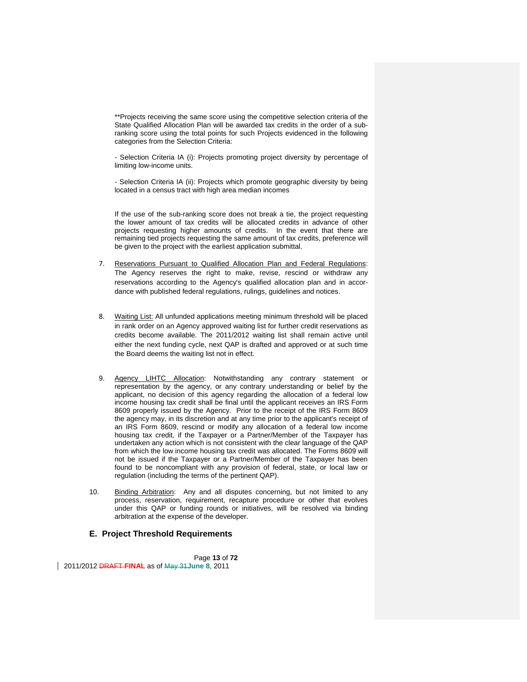\*\*Projects receiving the same score using the competitive selection criteria of the State Qualified Allocation Plan will be awarded tax credits in the order of a subranking score using the total points for such Projects evidenced in the following categories from the Selection Criteria:

- Selection Criteria IA (i): Projects promoting project diversity by percentage of limiting low-income units.

 - Selection Criteria IA (ii): Projects which promote geographic diversity by being located in a census tract with high area median incomes

If the use of the sub-ranking score does not break a tie, the project requesting the lower amount of tax credits will be allocated credits in advance of other projects requesting higher amounts of credits. In the event that there are remaining tied projects requesting the same amount of tax credits, preference will be given to the project with the earliest application submittal.

- 7. Reservations Pursuant to Qualified Allocation Plan and Federal Regulations: The Agency reserves the right to make, revise, rescind or withdraw any reservations according to the Agency's qualified allocation plan and in accordance with published federal regulations, rulings, guidelines and notices.
- 8. Waiting List: All unfunded applications meeting minimum threshold will be placed in rank order on an Agency approved waiting list for further credit reservations as credits become available. The 2011/2012 waiting list shall remain active until either the next funding cycle, next QAP is drafted and approved or at such time the Board deems the waiting list not in effect.
- 9. Agency LIHTC Allocation: Notwithstanding any contrary statement or representation by the agency, or any contrary understanding or belief by the applicant, no decision of this agency regarding the allocation of a federal low income housing tax credit shall be final until the applicant receives an IRS Form 8609 properly issued by the Agency. Prior to the receipt of the IRS Form 8609 the agency may, in its discretion and at any time prior to the applicant's receipt of an IRS Form 8609, rescind or modify any allocation of a federal low income housing tax credit, if the Taxpayer or a Partner/Member of the Taxpayer has undertaken any action which is not consistent with the clear language of the QAP from which the low income housing tax credit was allocated. The Forms 8609 will not be issued if the Taxpayer or a Partner/Member of the Taxpayer has been found to be noncompliant with any provision of federal, state, or local law or regulation (including the terms of the pertinent QAP).
- 10. Binding Arbitration: Any and all disputes concerning, but not limited to any process, reservation, requirement, recapture procedure or other that evolves under this QAP or funding rounds or initiatives, will be resolved via binding arbitration at the expense of the developer.

# **E. Project Threshold Requirements**

Page **13** of **72** 2011/2012 DRAFT **FINAL** as of May 31**June 8**, 2011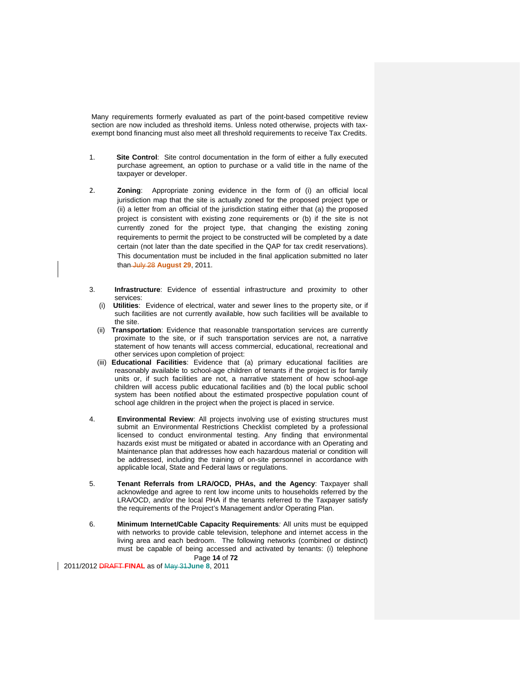Many requirements formerly evaluated as part of the point-based competitive review section are now included as threshold items. Unless noted otherwise, projects with taxexempt bond financing must also meet all threshold requirements to receive Tax Credits.

- 1. **Site Control**: Site control documentation in the form of either a fully executed purchase agreement, an option to purchase or a valid title in the name of the taxpayer or developer.
- 2. **Zoning**: Appropriate zoning evidence in the form of (i) an official local jurisdiction map that the site is actually zoned for the proposed project type or (ii) a letter from an official of the jurisdiction stating either that (a) the proposed project is consistent with existing zone requirements or (b) if the site is not currently zoned for the project type, that changing the existing zoning requirements to permit the project to be constructed will be completed by a date certain (not later than the date specified in the QAP for tax credit reservations). This documentation must be included in the final application submitted no later than July 28 **August 29**, 2011.
- 3. **Infrastructure**: Evidence of essential infrastructure and proximity to other services:
	- (i) **Utilities**: Evidence of electrical, water and sewer lines to the property site, or if such facilities are not currently available, how such facilities will be available to the site.
	- (ii) **Transportation**: Evidence that reasonable transportation services are currently proximate to the site, or if such transportation services are not, a narrative statement of how tenants will access commercial, educational, recreational and other services upon completion of project:
	- (iii) **Educational Facilities**: Evidence that (a) primary educational facilities are reasonably available to school-age children of tenants if the project is for family units or, if such facilities are not, a narrative statement of how school-age children will access public educational facilities and (b) the local public school system has been notified about the estimated prospective population count of school age children in the project when the project is placed in service.
- 4. **Environmental Review**: All projects involving use of existing structures must submit an Environmental Restrictions Checklist completed by a professional licensed to conduct environmental testing. Any finding that environmental hazards exist must be mitigated or abated in accordance with an Operating and Maintenance plan that addresses how each hazardous material or condition will be addressed, including the training of on-site personnel in accordance with applicable local, State and Federal laws or regulations.
- 5. **Tenant Referrals from LRA/OCD, PHAs, and the Agency**: Taxpayer shall acknowledge and agree to rent low income units to households referred by the LRA/OCD, and/or the local PHA if the tenants referred to the Taxpayer satisfy the requirements of the Project's Management and/or Operating Plan.
- 6. **Minimum Internet/Cable Capacity Requirements***:* All units must be equipped with networks to provide cable television, telephone and internet access in the living area and each bedroom. The following networks (combined or distinct) must be capable of being accessed and activated by tenants: (i) telephone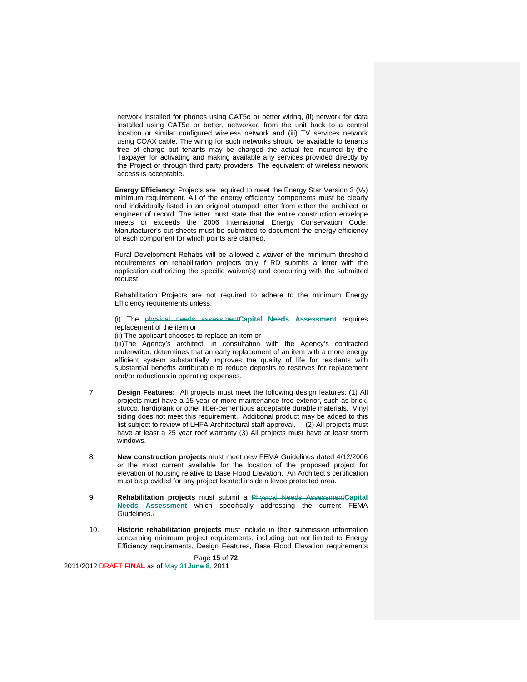network installed for phones using CAT5e or better wiring, (ii) network for data installed using CAT5e or better, networked from the unit back to a central location or similar configured wireless network and (iii) TV services network using COAX cable. The wiring for such networks should be available to tenants free of charge but tenants may be charged the actual fee incurred by the Taxpayer for activating and making available any services provided directly by the Project or through third party providers. The equivalent of wireless network access is acceptable.

**Energy Efficiency**: Projects are required to meet the Energy Star Version 3 (V<sub>3</sub>) minimum requirement. All of the energy efficiency components must be clearly and individually listed in an original stamped letter from either the architect or engineer of record. The letter must state that the entire construction envelope meets or exceeds the 2006 International Energy Conservation Code. Manufacturer's cut sheets must be submitted to document the energy efficiency of each component for which points are claimed.

Rural Development Rehabs will be allowed a waiver of the minimum threshold requirements on rehabilitation projects only if RD submits a letter with the application authorizing the specific waiver(s) and concurring with the submitted request.

Rehabilitation Projects are not required to adhere to the minimum Energy Efficiency requirements unless:

(i) The physical needs assessment**Capital Needs Assessment** requires replacement of the item or

(ii) The applicant chooses to replace an item or

(iii)The Agency's architect, in consultation with the Agency's contracted underwriter, determines that an early replacement of an item with a more energy efficient system substantially improves the quality of life for residents with substantial benefits attributable to reduce deposits to reserves for replacement and/or reductions in operating expenses.

- 7. **Design Features:** All projects must meet the following design features: (1) All projects must have a 15-year or more maintenance-free exterior, such as brick, stucco, hardiplank or other fiber-cementious acceptable durable materials. Vinyl siding does not meet this requirement. Additional product may be added to this list subject to review of LHFA Architectural staff approval. (2) All projects must have at least a 25 year roof warranty (3) All projects must have at least storm windows.
- 8. **New construction projects** must meet new FEMA Guidelines dated 4/12/2006 or the most current available for the location of the proposed project for elevation of housing relative to Base Flood Elevation. An Architect's certification must be provided for any project located inside a levee protected area.
- 9. **Rehabilitation projects** must submit a Physical Needs Assessment**Capital Needs Assessment** which specifically addressing the current FEMA Guidelines.-
- 10. **Historic rehabilitation projects** must include in their submission information concerning minimum project requirements, including but not limited to Energy Efficiency requirements, Design Features, Base Flood Elevation requirements

# Page **15** of **72**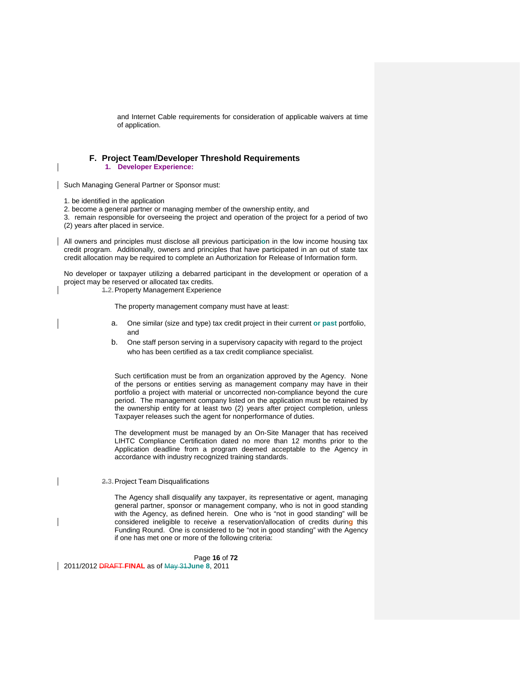and Internet Cable requirements for consideration of applicable waivers at time of application.

### **F. Project Team/Developer Threshold Requirements 1. Developer Experience:**

Such Managing General Partner or Sponsor must:

1. be identified in the application

2. become a general partner or managing member of the ownership entity, and

3. remain responsible for overseeing the project and operation of the project for a period of two (2) years after placed in service.

All owners and principles must disclose all previous participati**o**n in the low income housing tax credit program. Additionally, owners and principles that have participated in an out of state tax credit allocation may be required to complete an Authorization for Release of Information form.

No developer or taxpayer utilizing a debarred participant in the development or operation of a project may be reserved or allocated tax credits.

**1.2.** Property Management Experience

The property management company must have at least:

- a. One similar (size and type) tax credit project in their current **or past** portfolio, and
- b. One staff person serving in a supervisory capacity with regard to the project who has been certified as a tax credit compliance specialist.

Such certification must be from an organization approved by the Agency. None of the persons or entities serving as management company may have in their portfolio a project with material or uncorrected non-compliance beyond the cure period. The management company listed on the application must be retained by the ownership entity for at least two (2) years after project completion, unless Taxpayer releases such the agent for nonperformance of duties.

The development must be managed by an On-Site Manager that has received LIHTC Compliance Certification dated no more than 12 months prior to the Application deadline from a program deemed acceptable to the Agency in accordance with industry recognized training standards.

**2.3.** Project Team Disqualifications

The Agency shall disqualify any taxpayer, its representative or agent, managing general partner, sponsor or management company, who is not in good standing with the Agency, as defined herein. One who is "not in good standing" will be considered ineligible to receive a reservation/allocation of credits durin**g** this Funding Round. One is considered to be "not in good standing" with the Agency if one has met one or more of the following criteria:

### Page **16** of **72**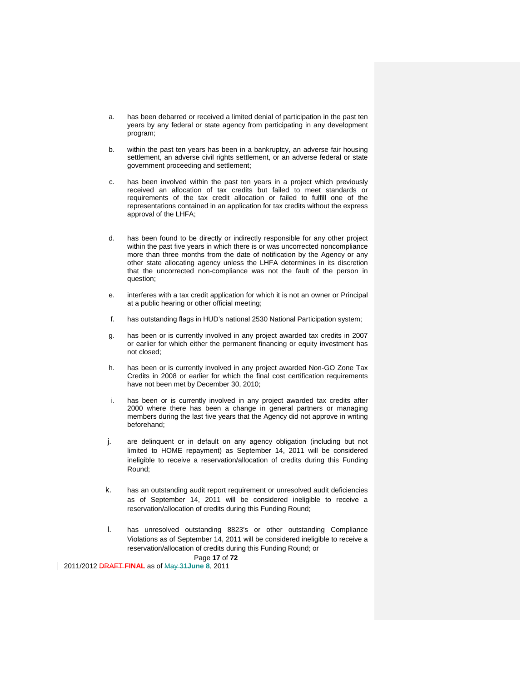- a. has been debarred or received a limited denial of participation in the past ten years by any federal or state agency from participating in any development program;
- b. within the past ten years has been in a bankruptcy, an adverse fair housing settlement, an adverse civil rights settlement, or an adverse federal or state government proceeding and settlement;
- c. has been involved within the past ten years in a project which previously received an allocation of tax credits but failed to meet standards or requirements of the tax credit allocation or failed to fulfill one of the representations contained in an application for tax credits without the express approval of the LHFA;
- d. has been found to be directly or indirectly responsible for any other project within the past five years in which there is or was uncorrected noncompliance more than three months from the date of notification by the Agency or any other state allocating agency unless the LHFA determines in its discretion that the uncorrected non-compliance was not the fault of the person in question;
- e. interferes with a tax credit application for which it is not an owner or Principal at a public hearing or other official meeting;
- f. has outstanding flags in HUD's national 2530 National Participation system;
- g. has been or is currently involved in any project awarded tax credits in 2007 or earlier for which either the permanent financing or equity investment has not closed;
- h. has been or is currently involved in any project awarded Non-GO Zone Tax Credits in 2008 or earlier for which the final cost certification requirements have not been met by December 30, 2010;
- i. has been or is currently involved in any project awarded tax credits after 2000 where there has been a change in general partners or managing members during the last five years that the Agency did not approve in writing beforehand;
- j. are delinquent or in default on any agency obligation (including but not limited to HOME repayment) as September 14, 2011 will be considered ineligible to receive a reservation/allocation of credits during this Funding Round;
- k. has an outstanding audit report requirement or unresolved audit deficiencies as of September 14, 2011 will be considered ineligible to receive a reservation/allocation of credits during this Funding Round;
- l. has unresolved outstanding 8823's or other outstanding Compliance Violations as of September 14, 2011 will be considered ineligible to receive a reservation/allocation of credits during this Funding Round; or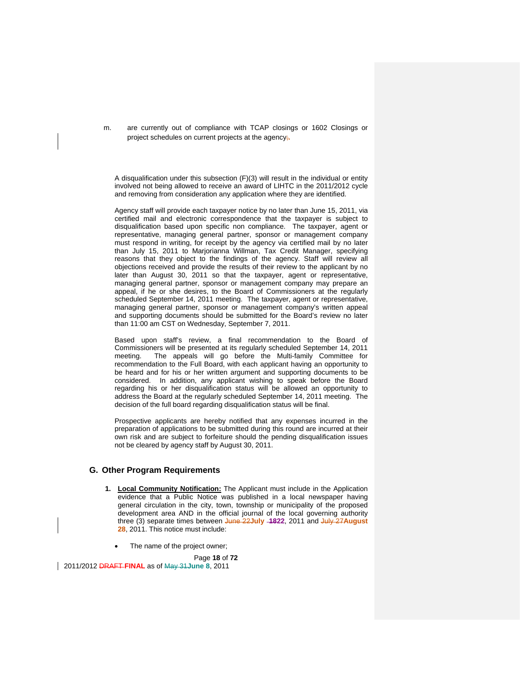m. are currently out of compliance with TCAP closings or 1602 Closings or project schedules on current projects at the agency;**.**

 A disqualification under this subsection (F)(3) will result in the individual or entity involved not being allowed to receive an award of LIHTC in the 2011/2012 cycle and removing from consideration any application where they are identified.

 Agency staff will provide each taxpayer notice by no later than June 15, 2011, via certified mail and electronic correspondence that the taxpayer is subject to disqualification based upon specific non compliance. The taxpayer, agent or representative, managing general partner, sponsor or management company must respond in writing, for receipt by the agency via certified mail by no later than July 15, 2011 to Marjorianna Willman, Tax Credit Manager, specifying reasons that they object to the findings of the agency. Staff will review all objections received and provide the results of their review to the applicant by no later than August 30, 2011 so that the taxpayer, agent or representative, managing general partner, sponsor or management company may prepare an appeal, if he or she desires, to the Board of Commissioners at the regularly scheduled September 14, 2011 meeting. The taxpayer, agent or representative, managing general partner, sponsor or management company's written appeal and supporting documents should be submitted for the Board's review no later than 11:00 am CST on Wednesday, September 7, 2011.

 Based upon staff's review, a final recommendation to the Board of Commissioners will be presented at its regularly scheduled September 14, 2011 meeting. The appeals will go before the Multi-family Committee for recommendation to the Full Board, with each applicant having an opportunity to be heard and for his or her written argument and supporting documents to be considered. In addition, any applicant wishing to speak before the Board regarding his or her disqualification status will be allowed an opportunity to address the Board at the regularly scheduled September 14, 2011 meeting. The decision of the full board regarding disqualification status will be final.

 Prospective applicants are hereby notified that any expenses incurred in the preparation of applications to be submitted during this round are incurred at their own risk and are subject to forfeiture should the pending disqualification issues not be cleared by agency staff by August 30, 2011.

### **G. Other Program Requirements**

- **1. Local Community Notification:** The Applicant must include in the Application evidence that a Public Notice was published in a local newspaper having general circulation in the city, town, township or municipality of the proposed development area AND in the official journal of the local governing authority three (3) separate times between June 22July 4822, 2011 and July 27 August **28**, 2011. This notice must include:
	- The name of the project owner;

Page **18** of **72** 2011/2012 DRAFT **FINAL** as of May 31**June 8**, 2011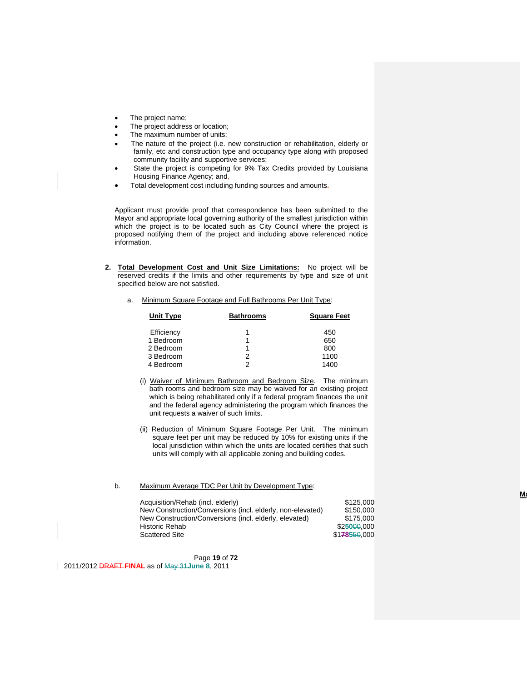- The project name;
- The project address or location;
- The maximum number of units;
- The nature of the project (i.e. new construction or rehabilitation, elderly or family, etc and construction type and occupancy type along with proposed community facility and supportive services;
- State the project is competing for 9% Tax Credits provided by Louisiana Housing Finance Agency; and,
- Total development cost including funding sources and amounts**.**

Applicant must provide proof that correspondence has been submitted to the Mayor and appropriate local governing authority of the smallest jurisdiction within which the project is to be located such as City Council where the project is proposed notifying them of the project and including above referenced notice information.

- **2. Total Development Cost and Unit Size Limitations:** No project will be reserved credits if the limits and other requirements by type and size of unit specified below are not satisfied.
	- a. Minimum Square Footage and Full Bathrooms Per Unit Type:

| <b>Unit Type</b> | <b>Bathrooms</b> | <b>Square Feet</b> |
|------------------|------------------|--------------------|
| Efficiency       |                  | 450                |
| 1 Bedroom        |                  | 650                |
| 2 Bedroom        |                  | 800                |
| 3 Bedroom        | 2                | 1100               |
| 4 Bedroom        | ົ                | 1400               |

- (i) Waiver of Minimum Bathroom and Bedroom Size. The minimum bath rooms and bedroom size may be waived for an existing project which is being rehabilitated only if a federal program finances the unit and the federal agency administering the program which finances the unit requests a waiver of such limits.
- (ii) Reduction of Minimum Square Footage Per Unit. The minimum square feet per unit may be reduced by 10% for existing units if the local jurisdiction within which the units are located certifies that such units will comply with all applicable zoning and building codes.

#### b. Maximum Average TDC Per Unit by Development Type:

| Acquisition/Rehab (incl. elderly)                          | \$125,000                 |
|------------------------------------------------------------|---------------------------|
| New Construction/Conversions (incl. elderly, non-elevated) | \$150,000                 |
| New Construction/Conversions (incl. elderly, elevated)     | \$175,000                 |
| Historic Rehab                                             | \$250 <del>00</del> .000  |
| <b>Scattered Site</b>                                      | \$1 <del>78550</del> .000 |

# Page **19** of **72**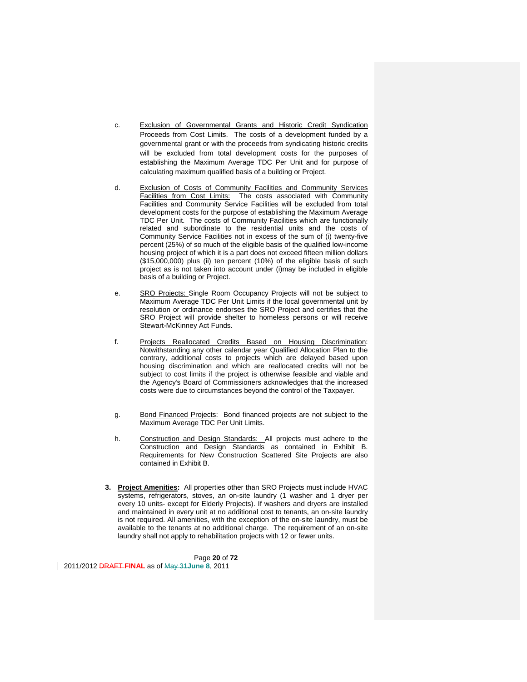- c. Exclusion of Governmental Grants and Historic Credit Syndication Proceeds from Cost Limits. The costs of a development funded by a governmental grant or with the proceeds from syndicating historic credits will be excluded from total development costs for the purposes of establishing the Maximum Average TDC Per Unit and for purpose of calculating maximum qualified basis of a building or Project.
- d. Exclusion of Costs of Community Facilities and Community Services Facilities from Cost Limits: The costs associated with Community Facilities and Community Service Facilities will be excluded from total development costs for the purpose of establishing the Maximum Average TDC Per Unit. The costs of Community Facilities which are functionally related and subordinate to the residential units and the costs of Community Service Facilities not in excess of the sum of (i) twenty-five percent (25%) of so much of the eligible basis of the qualified low-income housing project of which it is a part does not exceed fifteen million dollars (\$15,000,000) plus (ii) ten percent (10%) of the eligible basis of such project as is not taken into account under (i)may be included in eligible basis of a building or Project.
- e. SRO Projects: Single Room Occupancy Projects will not be subject to Maximum Average TDC Per Unit Limits if the local governmental unit by resolution or ordinance endorses the SRO Project and certifies that the SRO Project will provide shelter to homeless persons or will receive Stewart-McKinney Act Funds.
- f. Projects Reallocated Credits Based on Housing Discrimination: Notwithstanding any other calendar year Qualified Allocation Plan to the contrary, additional costs to projects which are delayed based upon housing discrimination and which are reallocated credits will not be subject to cost limits if the project is otherwise feasible and viable and the Agency's Board of Commissioners acknowledges that the increased costs were due to circumstances beyond the control of the Taxpayer.
- g. Bond Financed Projects: Bond financed projects are not subject to the Maximum Average TDC Per Unit Limits.
- h. Construction and Design Standards: All projects must adhere to the Construction and Design Standards as contained in Exhibit B. Requirements for New Construction Scattered Site Projects are also contained in Exhibit B.
- **3. Project Amenities:** All properties other than SRO Projects must include HVAC systems, refrigerators, stoves, an on-site laundry (1 washer and 1 dryer per every 10 units- except for Elderly Projects). If washers and dryers are installed and maintained in every unit at no additional cost to tenants, an on-site laundry is not required. All amenities, with the exception of the on-site laundry, must be available to the tenants at no additional charge. The requirement of an on-site laundry shall not apply to rehabilitation projects with 12 or fewer units.

Page **20** of **72** 2011/2012 DRAFT **FINAL** as of May 31**June 8**, 2011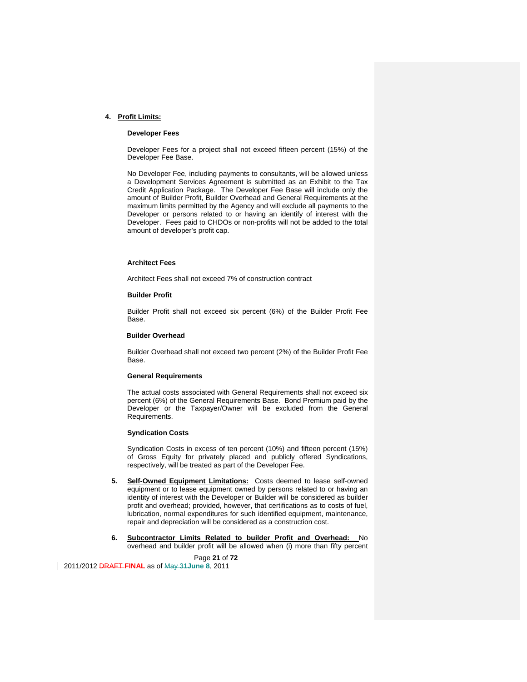#### **4. Profit Limits:**

### **Developer Fees**

Developer Fees for a project shall not exceed fifteen percent (15%) of the Developer Fee Base.

No Developer Fee, including payments to consultants, will be allowed unless a Development Services Agreement is submitted as an Exhibit to the Tax Credit Application Package. The Developer Fee Base will include only the amount of Builder Profit, Builder Overhead and General Requirements at the maximum limits permitted by the Agency and will exclude all payments to the Developer or persons related to or having an identify of interest with the Developer. Fees paid to CHDOs or non-profits will not be added to the total amount of developer's profit cap.

#### **Architect Fees**

Architect Fees shall not exceed 7% of construction contract

#### **Builder Profit**

 Builder Profit shall not exceed six percent (6%) of the Builder Profit Fee Base.

## **Builder Overhead**

Builder Overhead shall not exceed two percent (2%) of the Builder Profit Fee Base.

#### **General Requirements**

The actual costs associated with General Requirements shall not exceed six percent (6%) of the General Requirements Base. Bond Premium paid by the Developer or the Taxpayer/Owner will be excluded from the General Requirements.

#### **Syndication Costs**

Syndication Costs in excess of ten percent (10%) and fifteen percent (15%) of Gross Equity for privately placed and publicly offered Syndications, respectively, will be treated as part of the Developer Fee.

- **5. Self-Owned Equipment Limitations:** Costs deemed to lease self-owned equipment or to lease equipment owned by persons related to or having an identity of interest with the Developer or Builder will be considered as builder profit and overhead; provided, however, that certifications as to costs of fuel, lubrication, normal expenditures for such identified equipment, maintenance, repair and depreciation will be considered as a construction cost.
- **6. Subcontractor Limits Related to builder Profit and Overhead:** No overhead and builder profit will be allowed when (i) more than fifty percent

# Page **21** of **72**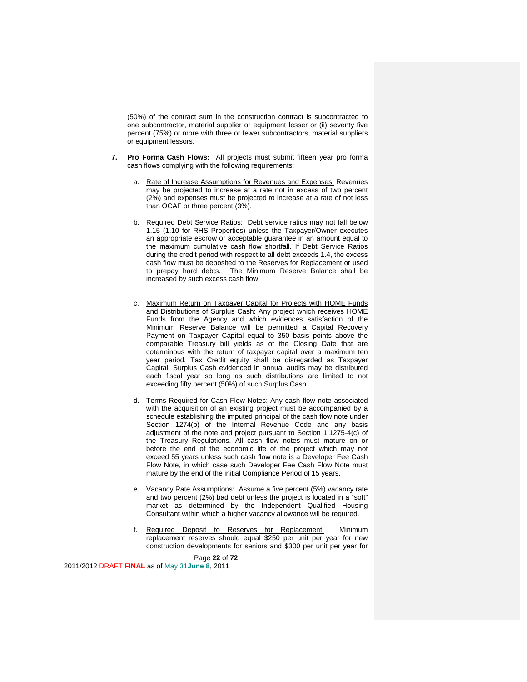(50%) of the contract sum in the construction contract is subcontracted to one subcontractor, material supplier or equipment lesser or (ii) seventy five percent (75%) or more with three or fewer subcontractors, material suppliers or equipment lessors.

- **7. Pro Forma Cash Flows:** All projects must submit fifteen year pro forma cash flows complying with the following requirements:
	- a. Rate of Increase Assumptions for Revenues and Expenses: Revenues may be projected to increase at a rate not in excess of two percent (2%) and expenses must be projected to increase at a rate of not less than OCAF or three percent (3%).
	- b. Required Debt Service Ratios: Debt service ratios may not fall below 1.15 (1.10 for RHS Properties) unless the Taxpayer/Owner executes an appropriate escrow or acceptable guarantee in an amount equal to the maximum cumulative cash flow shortfall. If Debt Service Ratios during the credit period with respect to all debt exceeds 1.4, the excess cash flow must be deposited to the Reserves for Replacement or used to prepay hard debts. The Minimum Reserve Balance shall be increased by such excess cash flow.
	- c. Maximum Return on Taxpayer Capital for Projects with HOME Funds and Distributions of Surplus Cash: Any project which receives HOME Funds from the Agency and which evidences satisfaction of the Minimum Reserve Balance will be permitted a Capital Recovery Payment on Taxpayer Capital equal to 350 basis points above the comparable Treasury bill yields as of the Closing Date that are coterminous with the return of taxpayer capital over a maximum ten year period. Tax Credit equity shall be disregarded as Taxpayer Capital. Surplus Cash evidenced in annual audits may be distributed each fiscal year so long as such distributions are limited to not exceeding fifty percent (50%) of such Surplus Cash.
	- d. Terms Required for Cash Flow Notes: Any cash flow note associated with the acquisition of an existing project must be accompanied by a schedule establishing the imputed principal of the cash flow note under Section 1274(b) of the Internal Revenue Code and any basis adjustment of the note and project pursuant to Section 1.1275-4(c) of the Treasury Regulations. All cash flow notes must mature on or before the end of the economic life of the project which may not exceed 55 years unless such cash flow note is a Developer Fee Cash Flow Note, in which case such Developer Fee Cash Flow Note must mature by the end of the initial Compliance Period of 15 years.
	- e. Vacancy Rate Assumptions: Assume a five percent (5%) vacancy rate and two percent (2%) bad debt unless the project is located in a "soft" market as determined by the Independent Qualified Housing Consultant within which a higher vacancy allowance will be required.
	- f. Required Deposit to Reserves for Replacement: Minimum replacement reserves should equal \$250 per unit per year for new construction developments for seniors and \$300 per unit per year for

Page **22** of **72** 2011/2012 DRAFT **FINAL** as of May 31**June 8**, 2011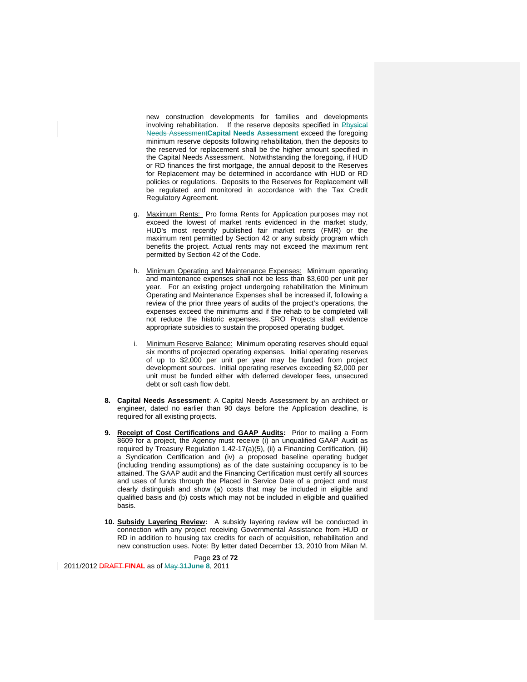new construction developments for families and developments involving rehabilitation. If the reserve deposits specified in Physical Needs Assessment**Capital Needs Assessment** exceed the foregoing minimum reserve deposits following rehabilitation, then the deposits to the reserved for replacement shall be the higher amount specified in the Capital Needs Assessment. Notwithstanding the foregoing, if HUD or RD finances the first mortgage, the annual deposit to the Reserves for Replacement may be determined in accordance with HUD or RD policies or regulations. Deposits to the Reserves for Replacement will be regulated and monitored in accordance with the Tax Credit Regulatory Agreement.

- g. Maximum Rents: Pro forma Rents for Application purposes may not exceed the lowest of market rents evidenced in the market study, HUD's most recently published fair market rents (FMR) or the maximum rent permitted by Section 42 or any subsidy program which benefits the project. Actual rents may not exceed the maximum rent permitted by Section 42 of the Code.
- h. Minimum Operating and Maintenance Expenses: Minimum operating and maintenance expenses shall not be less than \$3,600 per unit per year. For an existing project undergoing rehabilitation the Minimum Operating and Maintenance Expenses shall be increased if, following a review of the prior three years of audits of the project's operations, the expenses exceed the minimums and if the rehab to be completed will not reduce the historic expenses. SRO Projects shall evidence appropriate subsidies to sustain the proposed operating budget.
- i. Minimum Reserve Balance: Minimum operating reserves should equal six months of projected operating expenses. Initial operating reserves of up to \$2,000 per unit per year may be funded from project development sources. Initial operating reserves exceeding \$2,000 per unit must be funded either with deferred developer fees, unsecured debt or soft cash flow debt.
- **8. Capital Needs Assessment**: A Capital Needs Assessment by an architect or engineer, dated no earlier than 90 days before the Application deadline, is required for all existing projects.
- **9. Receipt of Cost Certifications and GAAP Audits:** Prior to mailing a Form 8609 for a project, the Agency must receive (i) an unqualified GAAP Audit as required by Treasury Regulation 1.42-17(a)(5), (ii) a Financing Certification, (iii) a Syndication Certification and (iv) a proposed baseline operating budget (including trending assumptions) as of the date sustaining occupancy is to be attained. The GAAP audit and the Financing Certification must certify all sources and uses of funds through the Placed in Service Date of a project and must clearly distinguish and show (a) costs that may be included in eligible and qualified basis and (b) costs which may not be included in eligible and qualified basis.
- **10. Subsidy Layering Review:** A subsidy layering review will be conducted in connection with any project receiving Governmental Assistance from HUD or RD in addition to housing tax credits for each of acquisition, rehabilitation and new construction uses. Note: By letter dated December 13, 2010 from Milan M.

# Page **23** of **72**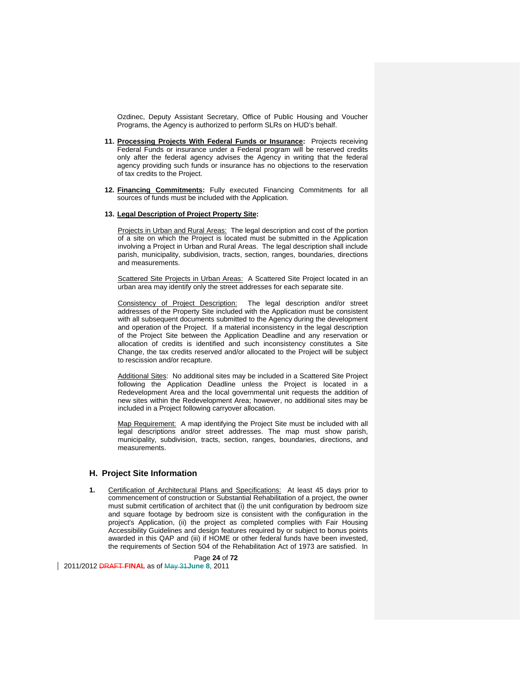Ozdinec, Deputy Assistant Secretary, Office of Public Housing and Voucher Programs, the Agency is authorized to perform SLRs on HUD's behalf.

- **11. Processing Projects With Federal Funds or Insurance:** Projects receiving Federal Funds or insurance under a Federal program will be reserved credits only after the federal agency advises the Agency in writing that the federal agency providing such funds or insurance has no objections to the reservation of tax credits to the Project.
- **12. Financing Commitments:** Fully executed Financing Commitments for all sources of funds must be included with the Application.

#### **13. Legal Description of Project Property Site:**

Projects in Urban and Rural Areas: The legal description and cost of the portion of a site on which the Project is located must be submitted in the Application involving a Project in Urban and Rural Areas. The legal description shall include parish, municipality, subdivision, tracts, section, ranges, boundaries, directions and measurements.

Scattered Site Projects in Urban Areas: A Scattered Site Project located in an urban area may identify only the street addresses for each separate site.

Consistency of Project Description: The legal description and/or street addresses of the Property Site included with the Application must be consistent with all subsequent documents submitted to the Agency during the development and operation of the Project. If a material inconsistency in the legal description of the Project Site between the Application Deadline and any reservation or allocation of credits is identified and such inconsistency constitutes a Site Change, the tax credits reserved and/or allocated to the Project will be subject to rescission and/or recapture.

Additional Sites: No additional sites may be included in a Scattered Site Project following the Application Deadline unless the Project is located in a Redevelopment Area and the local governmental unit requests the addition of new sites within the Redevelopment Area; however, no additional sites may be included in a Project following carryover allocation.

Map Requirement: A map identifying the Project Site must be included with all legal descriptions and/or street addresses. The map must show parish, municipality, subdivision, tracts, section, ranges, boundaries, directions, and measurements.

# **H. Project Site Information**

**1.** Certification of Architectural Plans and Specifications: At least 45 days prior to commencement of construction or Substantial Rehabilitation of a project, the owner must submit certification of architect that (i) the unit configuration by bedroom size and square footage by bedroom size is consistent with the configuration in the project's Application, (ii) the project as completed complies with Fair Housing Accessibility Guidelines and design features required by or subject to bonus points awarded in this QAP and (iii) if HOME or other federal funds have been invested, the requirements of Section 504 of the Rehabilitation Act of 1973 are satisfied. In

Page **24** of **72**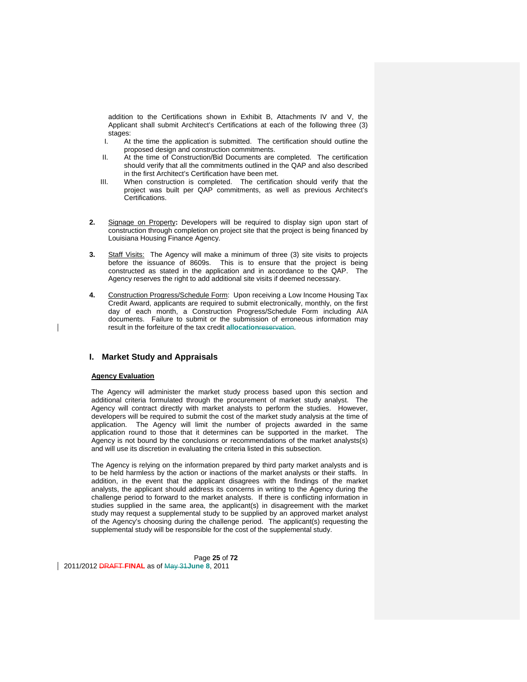addition to the Certifications shown in Exhibit B, Attachments IV and V, the Applicant shall submit Architect's Certifications at each of the following three (3) stages:

- I. At the time the application is submitted. The certification should outline the proposed design and construction commitments.
- II. At the time of Construction/Bid Documents are completed. The certification should verify that all the commitments outlined in the QAP and also described in the first Architect's Certification have been met.
- III. When construction is completed. The certification should verify that the project was built per QAP commitments, as well as previous Architect's Certifications.
- **2.** Signage on Property**:** Developers will be required to display sign upon start of construction through completion on project site that the project is being financed by Louisiana Housing Finance Agency.
- **3.** Staff Visits: The Agency will make a minimum of three (3) site visits to projects before the issuance of 8609s. This is to ensure that the project is being constructed as stated in the application and in accordance to the QAP. The Agency reserves the right to add additional site visits if deemed necessary.
- **4.** Construction Progress/Schedule Form: Upon receiving a Low Income Housing Tax Credit Award, applicants are required to submit electronically, monthly, on the first day of each month, a Construction Progress/Schedule Form including AIA documents. Failure to submit or the submission of erroneous information may result in the forfeiture of the tax credit **allocation**reservation.

### **I. Market Study and Appraisals**

### **Agency Evaluation**

The Agency will administer the market study process based upon this section and additional criteria formulated through the procurement of market study analyst. The Agency will contract directly with market analysts to perform the studies. However, developers will be required to submit the cost of the market study analysis at the time of application. The Agency will limit the number of projects awarded in the same application round to those that it determines can be supported in the market. The Agency is not bound by the conclusions or recommendations of the market analysts(s) and will use its discretion in evaluating the criteria listed in this subsection.

The Agency is relying on the information prepared by third party market analysts and is to be held harmless by the action or inactions of the market analysts or their staffs. In addition, in the event that the applicant disagrees with the findings of the market analysts, the applicant should address its concerns in writing to the Agency during the challenge period to forward to the market analysts. If there is conflicting information in studies supplied in the same area, the applicant(s) in disagreement with the market study may request a supplemental study to be supplied by an approved market analyst of the Agency's choosing during the challenge period. The applicant(s) requesting the supplemental study will be responsible for the cost of the supplemental study.

Page **25** of **72** 2011/2012 DRAFT **FINAL** as of May 31**June 8**, 2011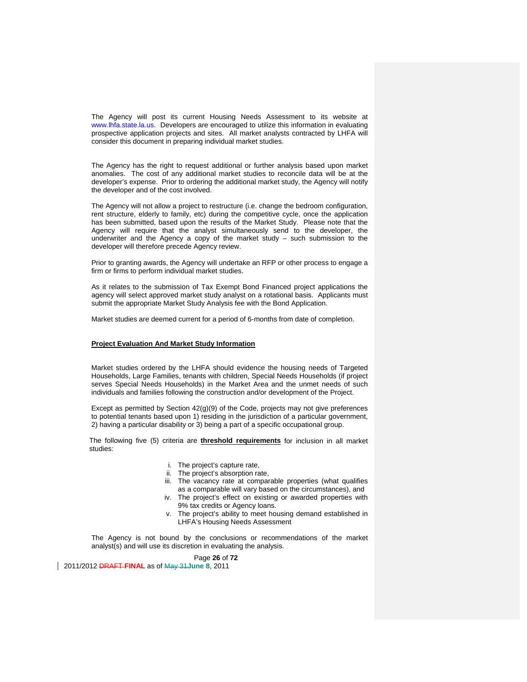The Agency will post its current Housing Needs Assessment to its website at www.lhfa.state.la.us. Developers are encouraged to utilize this information in evaluating prospective application projects and sites. All market analysts contracted by LHFA will consider this document in preparing individual market studies.

The Agency has the right to request additional or further analysis based upon market anomalies. The cost of any additional market studies to reconcile data will be at the developer's expense. Prior to ordering the additional market study, the Agency will notify the developer and of the cost involved.

The Agency will not allow a project to restructure (i.e. change the bedroom configuration, rent structure, elderly to family, etc) during the competitive cycle, once the application has been submitted, based upon the results of the Market Study. Please note that the Agency will require that the analyst simultaneously send to the developer, the underwriter and the Agency a copy of the market study  $-$  such submission to the developer will therefore precede Agency review.

Prior to granting awards, the Agency will undertake an RFP or other process to engage a firm or firms to perform individual market studies.

As it relates to the submission of Tax Exempt Bond Financed project applications the agency will select approved market study analyst on a rotational basis. Applicants must submit the appropriate Market Study Analysis fee with the Bond Application.

Market studies are deemed current for a period of 6-months from date of completion.

### **Project Evaluation And Market Study Information**

Market studies ordered by the LHFA should evidence the housing needs of Targeted Households, Large Families, tenants with children, Special Needs Households (if project serves Special Needs Households) in the Market Area and the unmet needs of such individuals and families following the construction and/or development of the Project.

Except as permitted by Section  $42(g)(9)$  of the Code, projects may not give preferences to potential tenants based upon 1) residing in the jurisdiction of a particular government, 2) having a particular disability or 3) being a part of a specific occupational group.

The following five (5) criteria are **threshold requirements** for inclusion in all market studies:

- i. The project's capture rate,
- ii. The project's absorption rate,
- iii. The vacancy rate at comparable properties (what qualifies
- as a comparable will vary based on the circumstances), and iv. The project's effect on existing or awarded properties with 9% tax credits or Agency loans.
- v. The project's ability to meet housing demand established in LHFA's Housing Needs Assessment

The Agency is not bound by the conclusions or recommendations of the market analyst(s) and will use its discretion in evaluating the analysis.

### Page **26** of **72**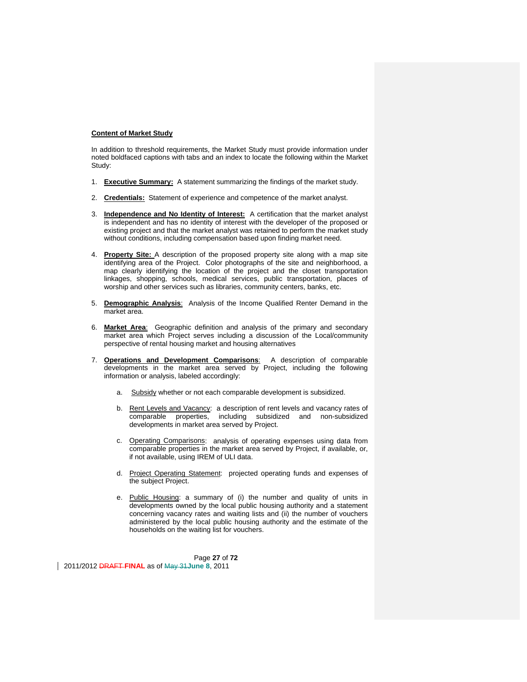### **Content of Market Study**

In addition to threshold requirements, the Market Study must provide information under noted boldfaced captions with tabs and an index to locate the following within the Market Study:

- 1. **Executive Summary:** A statement summarizing the findings of the market study.
- 2. **Credentials:** Statement of experience and competence of the market analyst.
- 3. **Independence and No Identity of Interest:** A certification that the market analyst is independent and has no identity of interest with the developer of the proposed or existing project and that the market analyst was retained to perform the market study without conditions, including compensation based upon finding market need.
- 4. **Property Site:** A description of the proposed property site along with a map site identifying area of the Project. Color photographs of the site and neighborhood, a map clearly identifying the location of the project and the closet transportation linkages, shopping, schools, medical services, public transportation, places of worship and other services such as libraries, community centers, banks, etc.
- 5. **Demographic Analysis**: Analysis of the Income Qualified Renter Demand in the market area.
- 6. **Market Area**: Geographic definition and analysis of the primary and secondary market area which Project serves including a discussion of the Local/community perspective of rental housing market and housing alternatives
- 7. **Operations and Development Comparisons**: A description of comparable developments in the market area served by Project, including the following information or analysis, labeled accordingly:
	- a. Subsidy whether or not each comparable development is subsidized.
	- b. Rent Levels and Vacancy: a description of rent levels and vacancy rates of comparable properties, including subsidized and non-subsidized developments in market area served by Project.
	- c. Operating Comparisons: analysis of operating expenses using data from comparable properties in the market area served by Project, if available, or, if not available, using IREM of ULI data.
	- d. Project Operating Statement: projected operating funds and expenses of the subject Project.
	- e. Public Housing: a summary of (i) the number and quality of units in developments owned by the local public housing authority and a statement concerning vacancy rates and waiting lists and (ii) the number of vouchers administered by the local public housing authority and the estimate of the households on the waiting list for vouchers.

Page **27** of **72** 2011/2012 DRAFT **FINAL** as of May 31**June 8**, 2011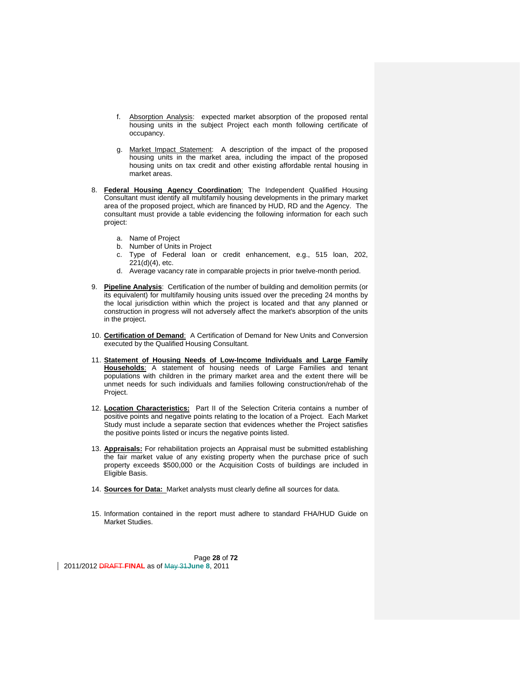- f. Absorption Analysis: expected market absorption of the proposed rental housing units in the subject Project each month following certificate of occupancy.
- g. Market Impact Statement: A description of the impact of the proposed housing units in the market area, including the impact of the proposed housing units on tax credit and other existing affordable rental housing in market areas.
- 8. **Federal Housing Agency Coordination**: The Independent Qualified Housing Consultant must identify all multifamily housing developments in the primary market area of the proposed project, which are financed by HUD, RD and the Agency. The consultant must provide a table evidencing the following information for each such project:
	- a. Name of Project
	- b. Number of Units in Project
	- c. Type of Federal loan or credit enhancement, e.g., 515 loan, 202, 221(d)(4), etc.
	- d. Average vacancy rate in comparable projects in prior twelve-month period.
- 9. **Pipeline Analysis**: Certification of the number of building and demolition permits (or its equivalent) for multifamily housing units issued over the preceding 24 months by the local jurisdiction within which the project is located and that any planned or construction in progress will not adversely affect the market's absorption of the units in the project.
- 10. **Certification of Demand**: A Certification of Demand for New Units and Conversion executed by the Qualified Housing Consultant.
- 11. **Statement of Housing Needs of Low-Income Individuals and Large Family Households**: A statement of housing needs of Large Families and tenant populations with children in the primary market area and the extent there will be unmet needs for such individuals and families following construction/rehab of the Project.
- 12. **Location Characteristics:** Part II of the Selection Criteria contains a number of positive points and negative points relating to the location of a Project. Each Market Study must include a separate section that evidences whether the Project satisfies the positive points listed or incurs the negative points listed.
- 13. **Appraisals:** For rehabilitation projects an Appraisal must be submitted establishing the fair market value of any existing property when the purchase price of such property exceeds \$500,000 or the Acquisition Costs of buildings are included in Eligible Basis.
- 14. **Sources for Data:** Market analysts must clearly define all sources for data.
- 15. Information contained in the report must adhere to standard FHA/HUD Guide on Market Studies.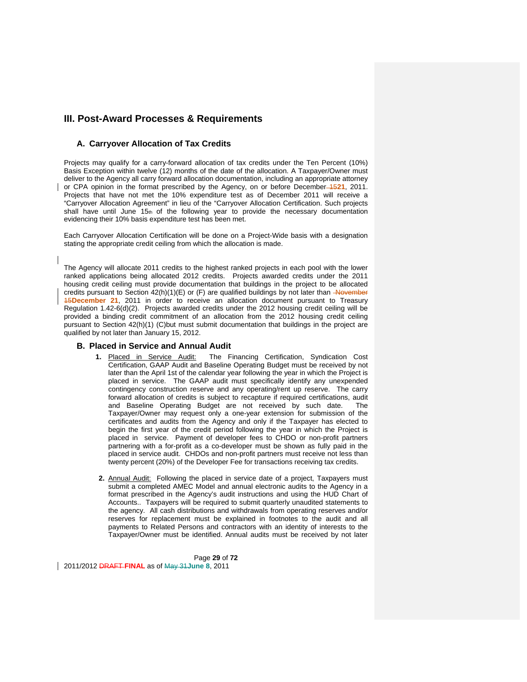# **III. Post-Award Processes & Requirements**

### **A. Carryover Allocation of Tax Credits**

Projects may qualify for a carry-forward allocation of tax credits under the Ten Percent (10%) Basis Exception within twelve (12) months of the date of the allocation. A Taxpayer/Owner must deliver to the Agency all carry forward allocation documentation, including an appropriate attorney or CPA opinion in the format prescribed by the Agency, on or before December 15**21**, 2011. Projects that have not met the 10% expenditure test as of December 2011 will receive a "Carryover Allocation Agreement" in lieu of the "Carryover Allocation Certification. Such projects shall have until June 15th of the following year to provide the necessary documentation evidencing their 10% basis expenditure test has been met.

Each Carryover Allocation Certification will be done on a Project-Wide basis with a designation stating the appropriate credit ceiling from which the allocation is made.

The Agency will allocate 2011 credits to the highest ranked projects in each pool with the lower ranked applications being allocated 2012 credits. Projects awarded credits under the 2011 housing credit ceiling must provide documentation that buildings in the project to be allocated credits pursuant to Section  $42(h)(1)(E)$  or (F) are qualified buildings by not later than -November 15**December 21**, 2011 in order to receive an allocation document pursuant to Treasury Regulation 1.42-6(d)(2). Projects awarded credits under the 2012 housing credit ceiling will be provided a binding credit commitment of an allocation from the 2012 housing credit ceiling pursuant to Section 42(h)(1) (C)but must submit documentation that buildings in the project are qualified by not later than January 15, 2012.

### **B. Placed in Service and Annual Audit**

- **1.** Placed in Service Audit: The Financing Certification, Syndication Cost Certification, GAAP Audit and Baseline Operating Budget must be received by not later than the April 1st of the calendar year following the year in which the Project is placed in service. The GAAP audit must specifically identify any unexpended contingency construction reserve and any operating/rent up reserve. The carry forward allocation of credits is subject to recapture if required certifications, audit and Baseline Operating Budget are not received by such date. The Taxpayer/Owner may request only a one-year extension for submission of the certificates and audits from the Agency and only if the Taxpayer has elected to begin the first year of the credit period following the year in which the Project is placed in service. Payment of developer fees to CHDO or non-profit partners partnering with a for-profit as a co-developer must be shown as fully paid in the placed in service audit. CHDOs and non-profit partners must receive not less than twenty percent (20%) of the Developer Fee for transactions receiving tax credits.
- **2.** Annual Audit: Following the placed in service date of a project, Taxpayers must submit a completed AMEC Model and annual electronic audits to the Agency in a format prescribed in the Agency's audit instructions and using the HUD Chart of Accounts.. Taxpayers will be required to submit quarterly unaudited statements to the agency. All cash distributions and withdrawals from operating reserves and/or reserves for replacement must be explained in footnotes to the audit and all payments to Related Persons and contractors with an identity of interests to the Taxpayer/Owner must be identified. Annual audits must be received by not later

Page **29** of **72** 2011/2012 DRAFT **FINAL** as of May 31**June 8**, 2011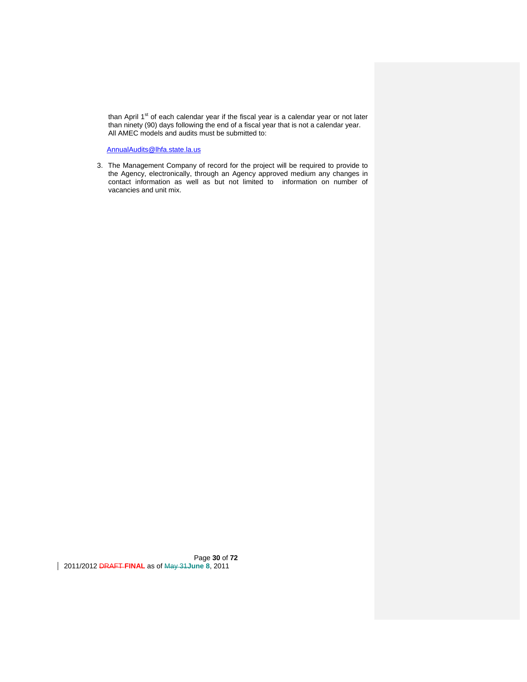than April  $1<sup>st</sup>$  of each calendar year if the fiscal year is a calendar year or not later than ninety (90) days following the end of a fiscal year that is not a calendar year. All AMEC models and audits must be submitted to:

AnnualAudits@lhfa.state.la.us

 3. The Management Company of record for the project will be required to provide to the Agency, electronically, through an Agency approved medium any changes in contact information as well as but not limited to information on number of vacancies and unit mix.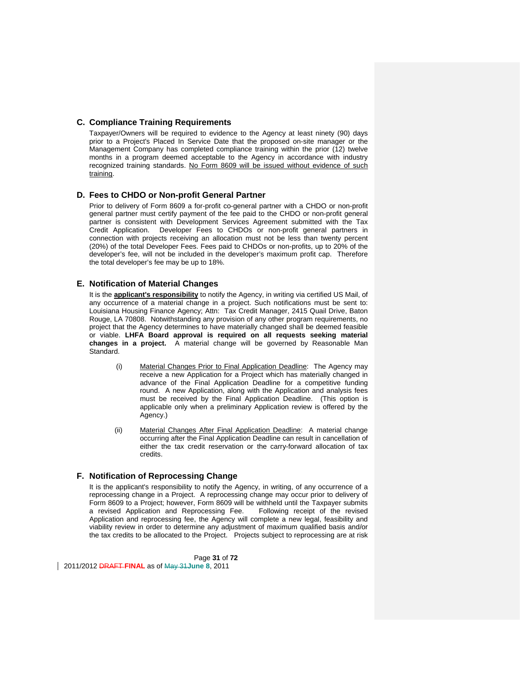## **C. Compliance Training Requirements**

Taxpayer/Owners will be required to evidence to the Agency at least ninety (90) days prior to a Project's Placed In Service Date that the proposed on-site manager or the Management Company has completed compliance training within the prior (12) twelve months in a program deemed acceptable to the Agency in accordance with industry recognized training standards. No Form 8609 will be issued without evidence of such training.

### **D. Fees to CHDO or Non-profit General Partner**

Prior to delivery of Form 8609 a for-profit co-general partner with a CHDO or non-profit general partner must certify payment of the fee paid to the CHDO or non-profit general partner is consistent with Development Services Agreement submitted with the Tax Credit Application. Developer Fees to CHDOs or non-profit general partners in connection with projects receiving an allocation must not be less than twenty percent (20%) of the total Developer Fees. Fees paid to CHDOs or non-profits, up to 20% of the developer's fee, will not be included in the developer's maximum profit cap. Therefore the total developer's fee may be up to 18%.

### **E. Notification of Material Changes**

It is the **applicant's responsibility** to notify the Agency, in writing via certified US Mail, of any occurrence of a material change in a project. Such notifications must be sent to: Louisiana Housing Finance Agency; Attn: Tax Credit Manager, 2415 Quail Drive, Baton Rouge, LA 70808. Notwithstanding any provision of any other program requirements, no project that the Agency determines to have materially changed shall be deemed feasible or viable. **LHFA Board approval is required on all requests seeking material changes in a project.** A material change will be governed by Reasonable Man Standard.

- (i) Material Changes Prior to Final Application Deadline: The Agency may receive a new Application for a Project which has materially changed in advance of the Final Application Deadline for a competitive funding round. A new Application, along with the Application and analysis fees must be received by the Final Application Deadline. (This option is applicable only when a preliminary Application review is offered by the Agency.)
- (ii) Material Changes After Final Application Deadline: A material change occurring after the Final Application Deadline can result in cancellation of either the tax credit reservation or the carry-forward allocation of tax credits.

### **F. Notification of Reprocessing Change**

It is the applicant's responsibility to notify the Agency, in writing, of any occurrence of a reprocessing change in a Project. A reprocessing change may occur prior to delivery of Form 8609 to a Project; however, Form 8609 will be withheld until the Taxpayer submits a revised Application and Reprocessing Fee. Following receipt of the revised Application and reprocessing fee, the Agency will complete a new legal, feasibility and viability review in order to determine any adjustment of maximum qualified basis and/or the tax credits to be allocated to the Project. Projects subject to reprocessing are at risk

Page **31** of **72** 2011/2012 DRAFT **FINAL** as of May 31**June 8**, 2011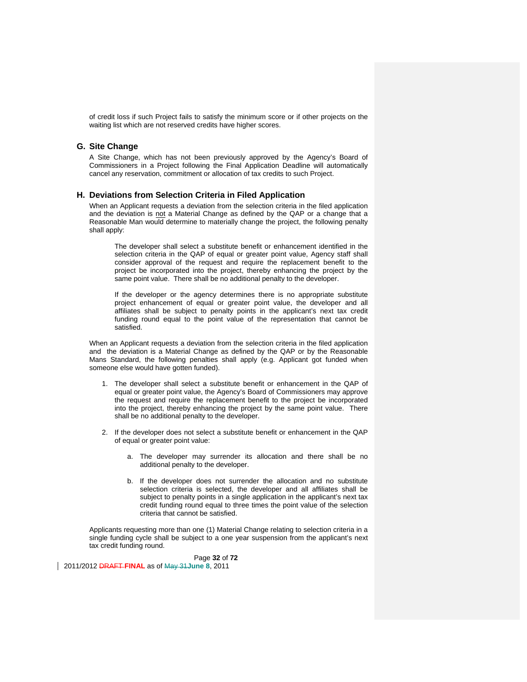of credit loss if such Project fails to satisfy the minimum score or if other projects on the waiting list which are not reserved credits have higher scores.

### **G. Site Change**

A Site Change, which has not been previously approved by the Agency's Board of Commissioners in a Project following the Final Application Deadline will automatically cancel any reservation, commitment or allocation of tax credits to such Project.

### **H. Deviations from Selection Criteria in Filed Application**

When an Applicant requests a deviation from the selection criteria in the filed application and the deviation is not a Material Change as defined by the QAP or a change that a Reasonable Man would determine to materially change the project, the following penalty shall apply:

The developer shall select a substitute benefit or enhancement identified in the selection criteria in the QAP of equal or greater point value, Agency staff shall consider approval of the request and require the replacement benefit to the project be incorporated into the project, thereby enhancing the project by the same point value. There shall be no additional penalty to the developer.

If the developer or the agency determines there is no appropriate substitute project enhancement of equal or greater point value, the developer and all affiliates shall be subject to penalty points in the applicant's next tax credit funding round equal to the point value of the representation that cannot be satisfied.

When an Applicant requests a deviation from the selection criteria in the filed application and the deviation is a Material Change as defined by the QAP or by the Reasonable Mans Standard, the following penalties shall apply (e.g. Applicant got funded when someone else would have gotten funded).

- 1. The developer shall select a substitute benefit or enhancement in the QAP of equal or greater point value, the Agency's Board of Commissioners may approve the request and require the replacement benefit to the project be incorporated into the project, thereby enhancing the project by the same point value. There shall be no additional penalty to the developer.
- 2. If the developer does not select a substitute benefit or enhancement in the QAP of equal or greater point value:
	- a. The developer may surrender its allocation and there shall be no additional penalty to the developer.
	- b. If the developer does not surrender the allocation and no substitute selection criteria is selected, the developer and all affiliates shall be subject to penalty points in a single application in the applicant's next tax credit funding round equal to three times the point value of the selection criteria that cannot be satisfied.

Applicants requesting more than one (1) Material Change relating to selection criteria in a single funding cycle shall be subject to a one year suspension from the applicant's next tax credit funding round.

Page **32** of **72** 2011/2012 DRAFT **FINAL** as of May 31**June 8**, 2011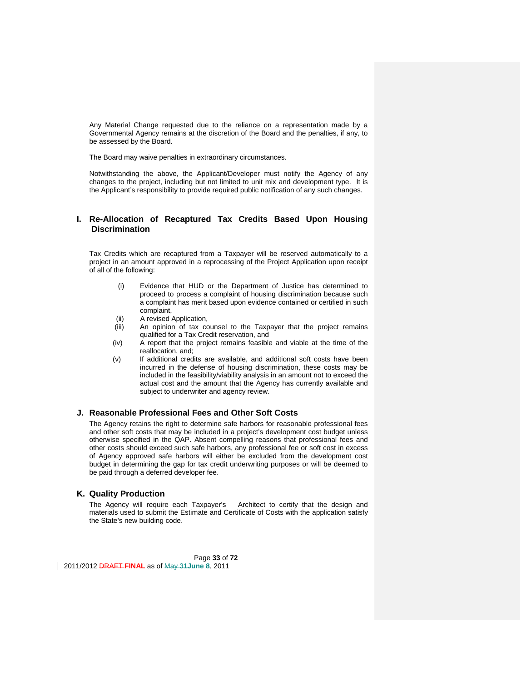Any Material Change requested due to the reliance on a representation made by a Governmental Agency remains at the discretion of the Board and the penalties, if any, to be assessed by the Board.

The Board may waive penalties in extraordinary circumstances.

Notwithstanding the above, the Applicant/Developer must notify the Agency of any changes to the project, including but not limited to unit mix and development type. It is the Applicant's responsibility to provide required public notification of any such changes.

# **I. Re-Allocation of Recaptured Tax Credits Based Upon Housing Discrimination**

Tax Credits which are recaptured from a Taxpayer will be reserved automatically to a project in an amount approved in a reprocessing of the Project Application upon receipt of all of the following:

- (i) Evidence that HUD or the Department of Justice has determined to proceed to process a complaint of housing discrimination because such a complaint has merit based upon evidence contained or certified in such complaint,
- (ii) A revised Application,
- (iii) An opinion of tax counsel to the Taxpayer that the project remains qualified for a Tax Credit reservation, and
- (iv) A report that the project remains feasible and viable at the time of the reallocation, and;
- (v) If additional credits are available, and additional soft costs have been incurred in the defense of housing discrimination, these costs may be included in the feasibility/viability analysis in an amount not to exceed the actual cost and the amount that the Agency has currently available and subject to underwriter and agency review.

### **J. Reasonable Professional Fees and Other Soft Costs**

The Agency retains the right to determine safe harbors for reasonable professional fees and other soft costs that may be included in a project's development cost budget unless otherwise specified in the QAP. Absent compelling reasons that professional fees and other costs should exceed such safe harbors, any professional fee or soft cost in excess of Agency approved safe harbors will either be excluded from the development cost budget in determining the gap for tax credit underwriting purposes or will be deemed to be paid through a deferred developer fee.

# **K. Quality Production**

The Agency will require each Taxpayer's Architect to certify that the design and materials used to submit the Estimate and Certificate of Costs with the application satisfy the State's new building code.

Page **33** of **72** 2011/2012 DRAFT **FINAL** as of May 31**June 8**, 2011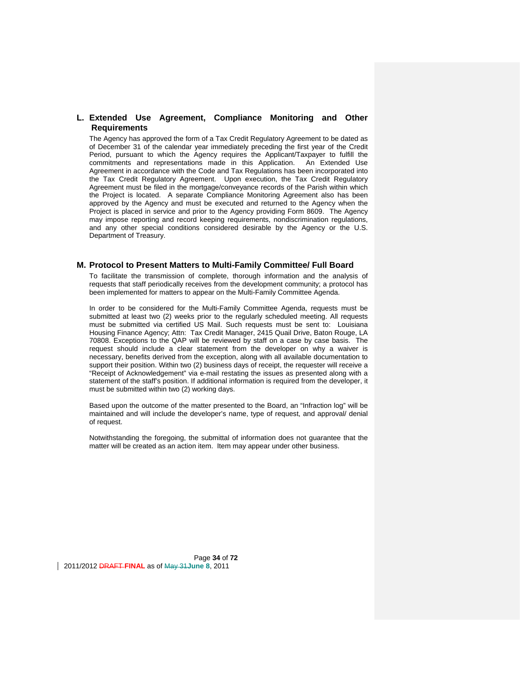# **L. Extended Use Agreement, Compliance Monitoring and Other Requirements**

The Agency has approved the form of a Tax Credit Regulatory Agreement to be dated as of December 31 of the calendar year immediately preceding the first year of the Credit Period, pursuant to which the Agency requires the Applicant/Taxpayer to fulfill the commitments and representations made in this Application. An Extended Use Agreement in accordance with the Code and Tax Regulations has been incorporated into the Tax Credit Regulatory Agreement. Upon execution, the Tax Credit Regulatory Agreement must be filed in the mortgage/conveyance records of the Parish within which the Project is located. A separate Compliance Monitoring Agreement also has been approved by the Agency and must be executed and returned to the Agency when the Project is placed in service and prior to the Agency providing Form 8609. The Agency may impose reporting and record keeping requirements, nondiscrimination regulations, and any other special conditions considered desirable by the Agency or the U.S. Department of Treasury.

### **M. Protocol to Present Matters to Multi-Family Committee/ Full Board**

To facilitate the transmission of complete, thorough information and the analysis of requests that staff periodically receives from the development community; a protocol has been implemented for matters to appear on the Multi-Family Committee Agenda.

In order to be considered for the Multi-Family Committee Agenda, requests must be submitted at least two (2) weeks prior to the regularly scheduled meeting. All requests must be submitted via certified US Mail. Such requests must be sent to: Louisiana Housing Finance Agency; Attn: Tax Credit Manager, 2415 Quail Drive, Baton Rouge, LA 70808. Exceptions to the QAP will be reviewed by staff on a case by case basis. The request should include a clear statement from the developer on why a waiver is necessary, benefits derived from the exception, along with all available documentation to support their position. Within two (2) business days of receipt, the requester will receive a "Receipt of Acknowledgement" via e-mail restating the issues as presented along with a statement of the staff's position. If additional information is required from the developer, it must be submitted within two (2) working days.

Based upon the outcome of the matter presented to the Board, an "Infraction log" will be maintained and will include the developer's name, type of request, and approval/ denial of request.

Notwithstanding the foregoing, the submittal of information does not guarantee that the matter will be created as an action item. Item may appear under other business.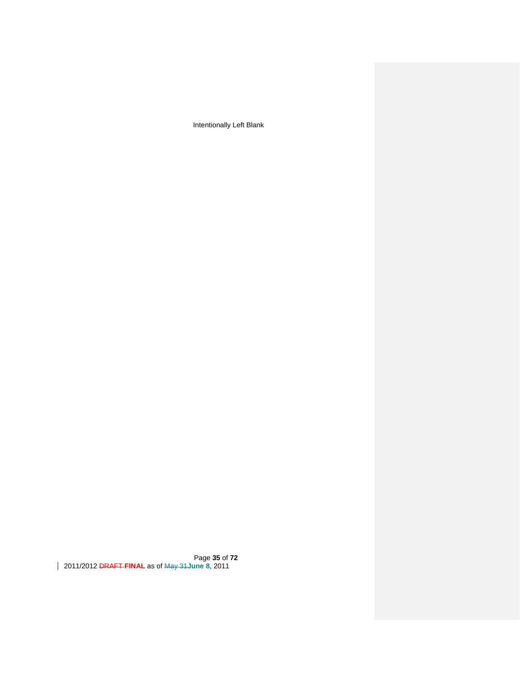Intentionally Left Blank

Page **35** of **72** 2011/2012 DRAFT **FINAL** as of May 31**June 8**, 2011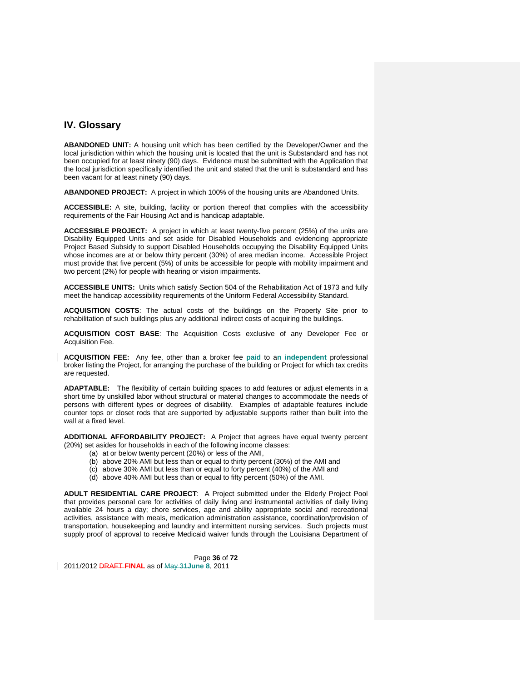# **IV. Glossary**

**ABANDONED UNIT:** A housing unit which has been certified by the Developer/Owner and the local jurisdiction within which the housing unit is located that the unit is Substandard and has not been occupied for at least ninety (90) days. Evidence must be submitted with the Application that the local jurisdiction specifically identified the unit and stated that the unit is substandard and has been vacant for at least ninety (90) days.

**ABANDONED PROJECT:** A project in which 100% of the housing units are Abandoned Units.

**ACCESSIBLE:** A site, building, facility or portion thereof that complies with the accessibility requirements of the Fair Housing Act and is handicap adaptable.

**ACCESSIBLE PROJECT:** A project in which at least twenty-five percent (25%) of the units are Disability Equipped Units and set aside for Disabled Households and evidencing appropriate Project Based Subsidy to support Disabled Households occupying the Disability Equipped Units whose incomes are at or below thirty percent (30%) of area median income. Accessible Project must provide that five percent (5%) of units be accessible for people with mobility impairment and two percent (2%) for people with hearing or vision impairments.

**ACCESSIBLE UNITS:** Units which satisfy Section 504 of the Rehabilitation Act of 1973 and fully meet the handicap accessibility requirements of the Uniform Federal Accessibility Standard.

**ACQUISITION COSTS**: The actual costs of the buildings on the Property Site prior to rehabilitation of such buildings plus any additional indirect costs of acquiring the buildings.

**ACQUISITION COST BASE**: The Acquisition Costs exclusive of any Developer Fee or Acquisition Fee.

**ACQUISITION FEE:** Any fee, other than a broker fee **paid** to a**n independent** professional broker listing the Project, for arranging the purchase of the building or Project for which tax credits are requested.

**ADAPTABLE:** The flexibility of certain building spaces to add features or adjust elements in a short time by unskilled labor without structural or material changes to accommodate the needs of persons with different types or degrees of disability. Examples of adaptable features include counter tops or closet rods that are supported by adjustable supports rather than built into the wall at a fixed level.

**ADDITIONAL AFFORDABILITY PROJECT:** A Project that agrees have equal twenty percent (20%) set asides for households in each of the following income classes:

- (a) at or below twenty percent (20%) or less of the AMI,
- (b) above 20% AMI but less than or equal to thirty percent (30%) of the AMI and
- (c) above 30% AMI but less than or equal to forty percent (40%) of the AMI and
- (d) above 40% AMI but less than or equal to fifty percent (50%) of the AMI.

**ADULT RESIDENTIAL CARE PROJECT**: A Project submitted under the Elderly Project Pool that provides personal care for activities of daily living and instrumental activities of daily living available 24 hours a day; chore services, age and ability appropriate social and recreational activities, assistance with meals, medication administration assistance, coordination/provision of transportation, housekeeping and laundry and intermittent nursing services. Such projects must supply proof of approval to receive Medicaid waiver funds through the Louisiana Department of

Page **36** of **72** 2011/2012 DRAFT **FINAL** as of May 31**June 8**, 2011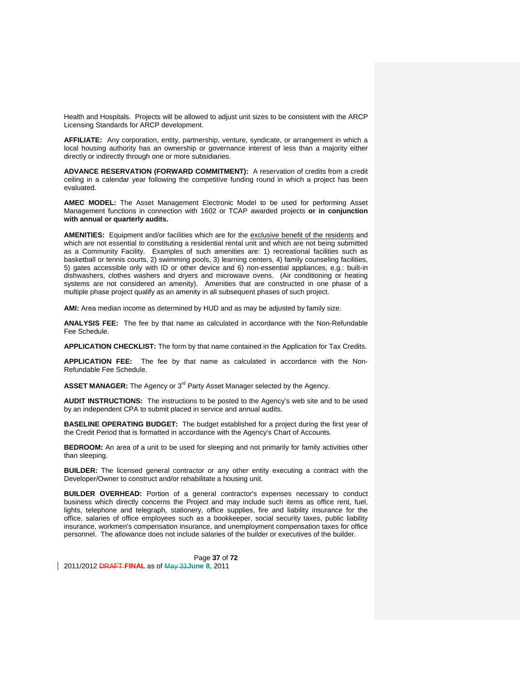Health and Hospitals. Projects will be allowed to adjust unit sizes to be consistent with the ARCP Licensing Standards for ARCP development.

**AFFILIATE:** Any corporation, entity, partnership, venture, syndicate, or arrangement in which a local housing authority has an ownership or governance interest of less than a majority either directly or indirectly through one or more subsidiaries.

**ADVANCE RESERVATION (FORWARD COMMITMENT):** A reservation of credits from a credit ceiling in a calendar year following the competitive funding round in which a project has been evaluated.

**AMEC MODEL:** The Asset Management Electronic Model to be used for performing Asset Management functions in connection with 1602 or TCAP awarded projects **or in conjunction with annual or quarterly audits.** 

**AMENITIES:** Equipment and/or facilities which are for the exclusive benefit of the residents and which are not essential to constituting a residential rental unit and which are not being submitted as a Community Facility. Examples of such amenities are: 1) recreational facilities such as basketball or tennis courts, 2) swimming pools, 3) learning centers, 4) family counseling facilities, 5) gates accessible only with ID or other device and 6) non-essential appliances, e.g.: built-in dishwashers, clothes washers and dryers and microwave ovens. (Air conditioning or heating systems are not considered an amenity). Amenities that are constructed in one phase of a multiple phase project qualify as an amenity in all subsequent phases of such project.

**AMI:** Area median income as determined by HUD and as may be adjusted by family size.

**ANALYSIS FEE:** The fee by that name as calculated in accordance with the Non-Refundable Fee Schedule.

**APPLICATION CHECKLIST:** The form by that name contained in the Application for Tax Credits.

**APPLICATION FEE:** The fee by that name as calculated in accordance with the Non-Refundable Fee Schedule.

**ASSET MANAGER:** The Agency or 3<sup>rd</sup> Party Asset Manager selected by the Agency.

**AUDIT INSTRUCTIONS:** The instructions to be posted to the Agency's web site and to be used by an independent CPA to submit placed in service and annual audits.

**BASELINE OPERATING BUDGET:** The budget established for a project during the first year of the Credit Period that is formatted in accordance with the Agency's Chart of Accounts.

**BEDROOM:** An area of a unit to be used for sleeping and not primarily for family activities other than sleeping.

**BUILDER:** The licensed general contractor or any other entity executing a contract with the Developer/Owner to construct and/or rehabilitate a housing unit.

**BUILDER OVERHEAD:** Portion of a general contractor's expenses necessary to conduct business which directly concerns the Project and may include such items as office rent, fuel, lights, telephone and telegraph, stationery, office supplies, fire and liability insurance for the office, salaries of office employees such as a bookkeeper, social security taxes, public liability insurance, workmen's compensation insurance, and unemployment compensation taxes for office personnel. The allowance does not include salaries of the builder or executives of the builder.

Page **37** of **72** 2011/2012 DRAFT **FINAL** as of May 31**June 8**, 2011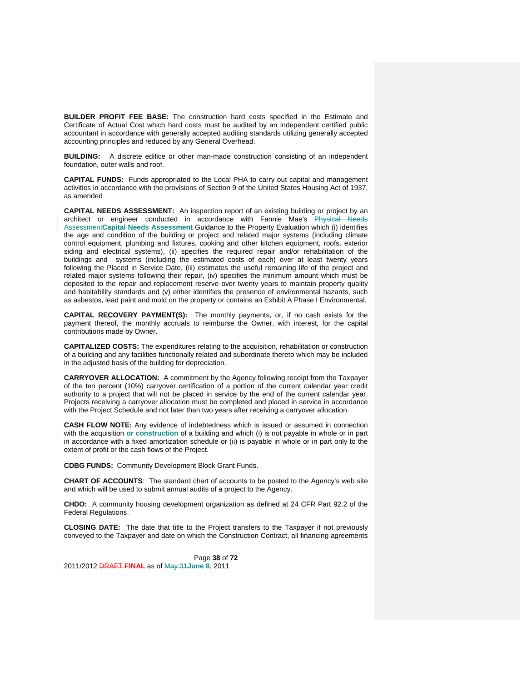**BUILDER PROFIT FEE BASE:** The construction hard costs specified in the Estimate and Certificate of Actual Cost which hard costs must be audited by an independent certified public accountant in accordance with generally accepted auditing standards utilizing generally accepted accounting principles and reduced by any General Overhead.

**BUILDING:** A discrete edifice or other man-made construction consisting of an independent foundation, outer walls and roof.

**CAPITAL FUNDS:** Funds appropriated to the Local PHA to carry out capital and management activities in accordance with the provisions of Section 9 of the United States Housing Act of 1937, as amended

**CAPITAL NEEDS ASSESSMENT:** An inspection report of an existing building or project by an architect or engineer conducted in accordance with Fannie Mae's Physic Assessment**Capital Needs Assessment** Guidance to the Property Evaluation which (i) identifies the age and condition of the building or project and related major systems (including climate control equipment, plumbing and fixtures, cooking and other kitchen equipment, roofs, exterior siding and electrical systems), (ii) specifies the required repair and/or rehabilitation of the buildings and systems (including the estimated costs of each) over at least twenty years following the Placed in Service Date, (iii) estimates the useful remaining life of the project and related major systems following their repair, (iv) specifies the minimum amount which must be deposited to the repair and replacement reserve over twenty years to maintain property quality and habitability standards and (v) either identifies the presence of environmental hazards, such as asbestos, lead paint and mold on the property or contains an Exhibit A Phase I Environmental.

**CAPITAL RECOVERY PAYMENT(S):** The monthly payments, or, if no cash exists for the payment thereof, the monthly accruals to reimburse the Owner, with interest, for the capital contributions made by Owner.

**CAPITALIZED COSTS:** The expenditures relating to the acquisition, rehabilitation or construction of a building and any facilities functionally related and subordinate thereto which may be included in the adjusted basis of the building for depreciation.

**CARRYOVER ALLOCATION:** A commitment by the Agency following receipt from the Taxpayer of the ten percent (10%) carryover certification of a portion of the current calendar year credit authority to a project that will not be placed in service by the end of the current calendar year. Projects receiving a carryover allocation must be completed and placed in service in accordance with the Project Schedule and not later than two years after receiving a carryover allocation.

**CASH FLOW NOTE:** Any evidence of indebtedness which is issued or assumed in connection with the acquisition **or construction** of a building and which (i) is not payable in whole or in part in accordance with a fixed amortization schedule or (ii) is payable in whole or in part only to the extent of profit or the cash flows of the Project.

**CDBG FUNDS:** Community Development Block Grant Funds.

**CHART OF ACCOUNTS**: The standard chart of accounts to be posted to the Agency's web site and which will be used to submit annual audits of a project to the Agency.

**CHDO:** A community housing development organization as defined at 24 CFR Part 92.2 of the Federal Regulations.

**CLOSING DATE:** The date that title to the Project transfers to the Taxpayer if not previously conveyed to the Taxpayer and date on which the Construction Contract, all financing agreements

Page **38** of **72** 2011/2012 DRAFT **FINAL** as of May 31**June 8**, 2011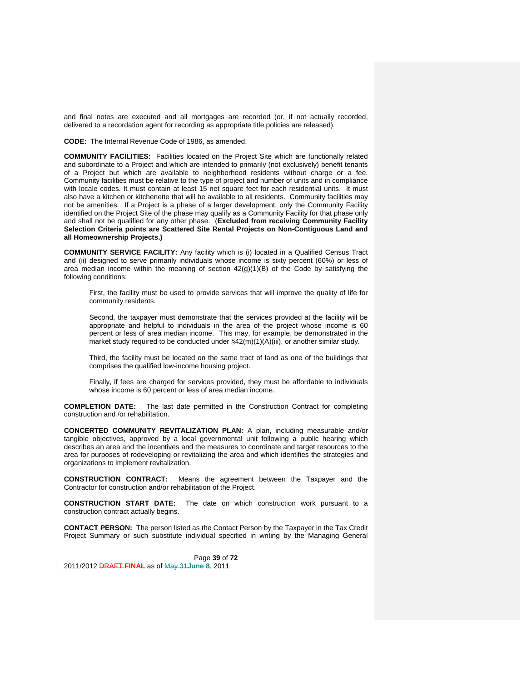and final notes are executed and all mortgages are recorded (or, if not actually recorded, delivered to a recordation agent for recording as appropriate title policies are released).

**CODE:** The Internal Revenue Code of 1986, as amended.

**COMMUNITY FACILITIES:** Facilities located on the Project Site which are functionally related and subordinate to a Project and which are intended to primarily (not exclusively) benefit tenants of a Project but which are available to neighborhood residents without charge or a fee. Community facilities must be relative to the type of project and number of units and in compliance with locale codes. It must contain at least 15 net square feet for each residential units. It must also have a kitchen or kitchenette that will be available to all residents. Community facilities may not be amenities. If a Project is a phase of a larger development, only the Community Facility identified on the Project Site of the phase may qualify as a Community Facility for that phase only and shall not be qualified for any other phase. (**Excluded from receiving Community Facility Selection Criteria points are Scattered Site Rental Projects on Non-Contiguous Land and all Homeownership Projects.)** 

**COMMUNITY SERVICE FACILITY:** Any facility which is (i) located in a Qualified Census Tract and (ii) designed to serve primarily individuals whose income is sixty percent (60%) or less of area median income within the meaning of section  $42(g)(1)(B)$  of the Code by satisfying the following conditions:

 First, the facility must be used to provide services that will improve the quality of life for community residents.

 Second, the taxpayer must demonstrate that the services provided at the facility will be appropriate and helpful to individuals in the area of the project whose income is 60 percent or less of area median income. This may, for example, be demonstrated in the market study required to be conducted under §42(m)(1)(A)(iii), or another similar study.

 Third, the facility must be located on the same tract of land as one of the buildings that comprises the qualified low-income housing project.

 Finally, if fees are charged for services provided, they must be affordable to individuals whose income is 60 percent or less of area median income.

**COMPLETION DATE:** The last date permitted in the Construction Contract for completing construction and /or rehabilitation.

**CONCERTED COMMUNITY REVITALIZATION PLAN:** A plan, including measurable and/or tangible objectives, approved by a local governmental unit following a public hearing which describes an area and the incentives and the measures to coordinate and target resources to the area for purposes of redeveloping or revitalizing the area and which identifies the strategies and organizations to implement revitalization.

**CONSTRUCTION CONTRACT:** Means the agreement between the Taxpayer and the Contractor for construction and/or rehabilitation of the Project.

**CONSTRUCTION START DATE:** The date on which construction work pursuant to a construction contract actually begins.

**CONTACT PERSON:** The person listed as the Contact Person by the Taxpayer in the Tax Credit Project Summary or such substitute individual specified in writing by the Managing General

Page **39** of **72** 2011/2012 DRAFT **FINAL** as of May 31**June 8**, 2011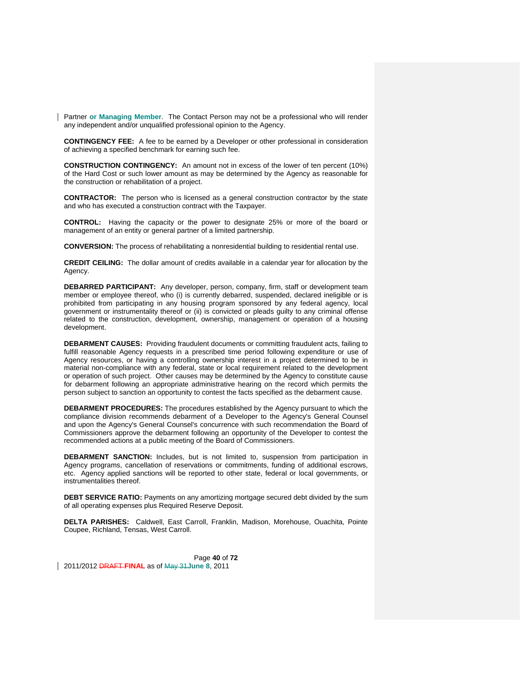Partner **or Managing Member**. The Contact Person may not be a professional who will render any independent and/or unqualified professional opinion to the Agency.

**CONTINGENCY FEE:** A fee to be earned by a Developer or other professional in consideration of achieving a specified benchmark for earning such fee.

**CONSTRUCTION CONTINGENCY:** An amount not in excess of the lower of ten percent (10%) of the Hard Cost or such lower amount as may be determined by the Agency as reasonable for the construction or rehabilitation of a project.

**CONTRACTOR:** The person who is licensed as a general construction contractor by the state and who has executed a construction contract with the Taxpayer.

**CONTROL:** Having the capacity or the power to designate 25% or more of the board or management of an entity or general partner of a limited partnership.

**CONVERSION:** The process of rehabilitating a nonresidential building to residential rental use.

**CREDIT CEILING:** The dollar amount of credits available in a calendar year for allocation by the Agency.

**DEBARRED PARTICIPANT:** Any developer, person, company, firm, staff or development team member or employee thereof, who (i) is currently debarred, suspended, declared ineligible or is prohibited from participating in any housing program sponsored by any federal agency, local government or instrumentality thereof or (ii) is convicted or pleads guilty to any criminal offense related to the construction, development, ownership, management or operation of a housing development.

**DEBARMENT CAUSES:** Providing fraudulent documents or committing fraudulent acts, failing to fulfill reasonable Agency requests in a prescribed time period following expenditure or use of Agency resources, or having a controlling ownership interest in a project determined to be in material non-compliance with any federal, state or local requirement related to the development or operation of such project. Other causes may be determined by the Agency to constitute cause for debarment following an appropriate administrative hearing on the record which permits the person subject to sanction an opportunity to contest the facts specified as the debarment cause.

**DEBARMENT PROCEDURES:** The procedures established by the Agency pursuant to which the compliance division recommends debarment of a Developer to the Agency's General Counsel and upon the Agency's General Counsel's concurrence with such recommendation the Board of Commissioners approve the debarment following an opportunity of the Developer to contest the recommended actions at a public meeting of the Board of Commissioners.

**DEBARMENT SANCTION:** Includes, but is not limited to, suspension from participation in Agency programs, cancellation of reservations or commitments, funding of additional escrows, etc. Agency applied sanctions will be reported to other state, federal or local governments, or instrumentalities thereof.

**DEBT SERVICE RATIO:** Payments on any amortizing mortgage secured debt divided by the sum of all operating expenses plus Required Reserve Deposit.

**DELTA PARISHES:** Caldwell, East Carroll, Franklin, Madison, Morehouse, Ouachita, Pointe Coupee, Richland, Tensas, West Carroll.

Page **40** of **72** 2011/2012 DRAFT **FINAL** as of May 31**June 8**, 2011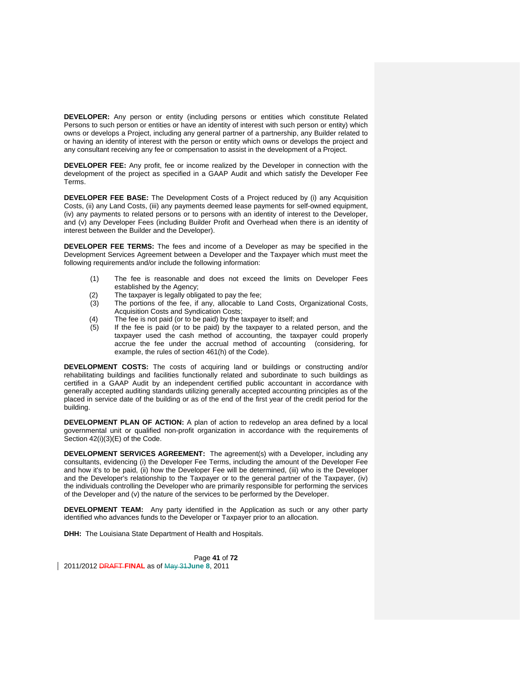**DEVELOPER:** Any person or entity (including persons or entities which constitute Related Persons to such person or entities or have an identity of interest with such person or entity) which owns or develops a Project, including any general partner of a partnership, any Builder related to or having an identity of interest with the person or entity which owns or develops the project and any consultant receiving any fee or compensation to assist in the development of a Project.

**DEVELOPER FEE:** Any profit, fee or income realized by the Developer in connection with the development of the project as specified in a GAAP Audit and which satisfy the Developer Fee Terms.

**DEVELOPER FEE BASE:** The Development Costs of a Project reduced by (i) any Acquisition Costs, (ii) any Land Costs, (iii) any payments deemed lease payments for self-owned equipment, (iv) any payments to related persons or to persons with an identity of interest to the Developer, and (v) any Developer Fees (including Builder Profit and Overhead when there is an identity of interest between the Builder and the Developer).

**DEVELOPER FEE TERMS:** The fees and income of a Developer as may be specified in the Development Services Agreement between a Developer and the Taxpayer which must meet the following requirements and/or include the following information:

- (1) The fee is reasonable and does not exceed the limits on Developer Fees established by the Agency;
- (2) The taxpayer is legally obligated to pay the fee;<br>(3) The portions of the fee, if any, allocable to La
- The portions of the fee, if any, allocable to Land Costs, Organizational Costs, Acquisition Costs and Syndication Costs;
- (4) The fee is not paid (or to be paid) by the taxpayer to itself; and
- (5) If the fee is paid (or to be paid) by the taxpayer to a related person, and the taxpayer used the cash method of accounting, the taxpayer could properly accrue the fee under the accrual method of accounting (considering, for example, the rules of section 461(h) of the Code).

**DEVELOPMENT COSTS:** The costs of acquiring land or buildings or constructing and/or rehabilitating buildings and facilities functionally related and subordinate to such buildings as certified in a GAAP Audit by an independent certified public accountant in accordance with generally accepted auditing standards utilizing generally accepted accounting principles as of the placed in service date of the building or as of the end of the first year of the credit period for the building.

**DEVELOPMENT PLAN OF ACTION:** A plan of action to redevelop an area defined by a local governmental unit or qualified non-profit organization in accordance with the requirements of Section 42(i)(3)(E) of the Code.

**DEVELOPMENT SERVICES AGREEMENT:** The agreement(s) with a Developer, including any consultants, evidencing (i) the Developer Fee Terms, including the amount of the Developer Fee and how it's to be paid, (ii) how the Developer Fee will be determined, (iii) who is the Developer and the Developer's relationship to the Taxpayer or to the general partner of the Taxpayer, (iv) the individuals controlling the Developer who are primarily responsible for performing the services of the Developer and (v) the nature of the services to be performed by the Developer.

**DEVELOPMENT TEAM:** Any party identified in the Application as such or any other party identified who advances funds to the Developer or Taxpayer prior to an allocation.

**DHH:** The Louisiana State Department of Health and Hospitals.

Page **41** of **72** 2011/2012 DRAFT **FINAL** as of May 31**June 8**, 2011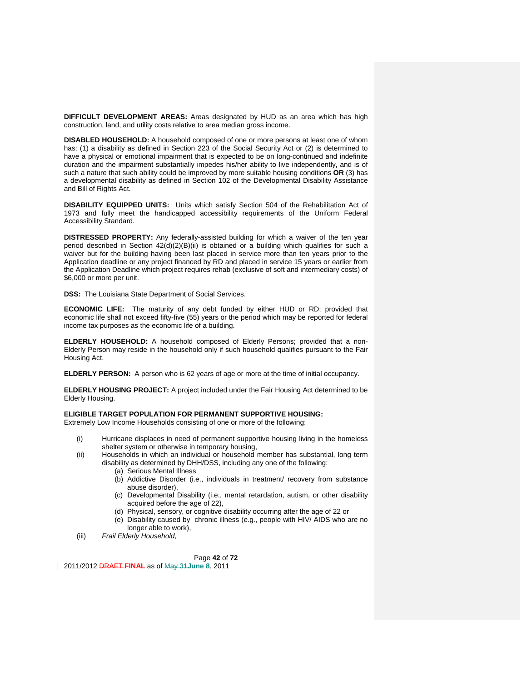**DIFFICULT DEVELOPMENT AREAS:** Areas designated by HUD as an area which has high construction, land, and utility costs relative to area median gross income.

**DISABLED HOUSEHOLD:** A household composed of one or more persons at least one of whom has: (1) a disability as defined in Section 223 of the Social Security Act or (2) is determined to have a physical or emotional impairment that is expected to be on long-continued and indefinite duration and the impairment substantially impedes his/her ability to live independently, and is of such a nature that such ability could be improved by more suitable housing conditions **OR** (3) has a developmental disability as defined in Section 102 of the Developmental Disability Assistance and Bill of Rights Act.

**DISABILITY EQUIPPED UNITS:** Units which satisfy Section 504 of the Rehabilitation Act of 1973 and fully meet the handicapped accessibility requirements of the Uniform Federal Accessibility Standard.

**DISTRESSED PROPERTY:** Any federally-assisted building for which a waiver of the ten year period described in Section 42(d)(2)(B)(ii) is obtained or a building which qualifies for such a waiver but for the building having been last placed in service more than ten years prior to the Application deadline or any project financed by RD and placed in service 15 years or earlier from the Application Deadline which project requires rehab (exclusive of soft and intermediary costs) of \$6,000 or more per unit.

**DSS:** The Louisiana State Department of Social Services.

**ECONOMIC LIFE:** The maturity of any debt funded by either HUD or RD; provided that economic life shall not exceed fifty-five (55) years or the period which may be reported for federal income tax purposes as the economic life of a building.

**ELDERLY HOUSEHOLD:** A household composed of Elderly Persons; provided that a non-Elderly Person may reside in the household only if such household qualifies pursuant to the Fair Housing Act.

**ELDERLY PERSON:** A person who is 62 years of age or more at the time of initial occupancy.

**ELDERLY HOUSING PROJECT:** A project included under the Fair Housing Act determined to be Elderly Housing.

### **ELIGIBLE TARGET POPULATION FOR PERMANENT SUPPORTIVE HOUSING:**

Extremely Low Income Households consisting of one or more of the following:

- (i) Hurricane displaces in need of permanent supportive housing living in the homeless shelter system or otherwise in temporary housing,
- (ii) Households in which an individual or household member has substantial, long term disability as determined by DHH/DSS, including any one of the following:
	- (a) Serious Mental Illness
	- (b) Addictive Disorder (i.e., individuals in treatment/ recovery from substance abuse disorder),
	- (c) Developmental Disability (i.e., mental retardation, autism, or other disability acquired before the age of 22),
	- (d) Physical, sensory, or cognitive disability occurring after the age of 22 or
	- (e) Disability caused by chronic illness (e.g., people with HIV/ AIDS who are no longer able to work),
- (iii) *Frail Elderly Household,*

### Page **42** of **72**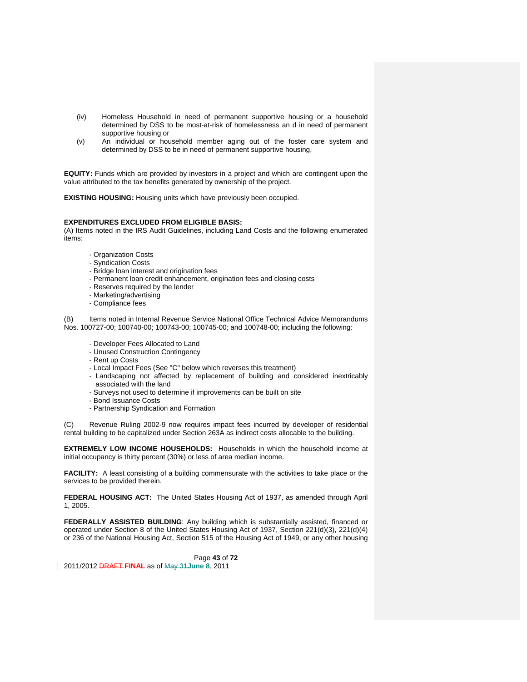- (iv) Homeless Household in need of permanent supportive housing or a household determined by DSS to be most-at-risk of homelessness an d in need of permanent supportive housing or
- (v) An individual or household member aging out of the foster care system and determined by DSS to be in need of permanent supportive housing.

**EQUITY:** Funds which are provided by investors in a project and which are contingent upon the value attributed to the tax benefits generated by ownership of the project.

**EXISTING HOUSING:** Housing units which have previously been occupied.

### **EXPENDITURES EXCLUDED FROM ELIGIBLE BASIS:**

(A) Items noted in the IRS Audit Guidelines, including Land Costs and the following enumerated items:

- Organization Costs
- Syndication Costs
- Bridge loan interest and origination fees
- Permanent loan credit enhancement, origination fees and closing costs
- Reserves required by the lender
- Marketing/advertising
- Compliance fees

(B) Items noted in Internal Revenue Service National Office Technical Advice Memorandums Nos. 100727-00; 100740-00; 100743-00; 100745-00; and 100748-00; including the following:

- Developer Fees Allocated to Land
- Unused Construction Contingency
- Rent up Costs
- Local Impact Fees (See "C" below which reverses this treatment)
- Landscaping not affected by replacement of building and considered inextricably associated with the land
- Surveys not used to determine if improvements can be built on site
- Bond Issuance Costs
- Partnership Syndication and Formation

(C) Revenue Ruling 2002-9 now requires impact fees incurred by developer of residential rental building to be capitalized under Section 263A as indirect costs allocable to the building.

**EXTREMELY LOW INCOME HOUSEHOLDS:** Households in which the household income at initial occupancy is thirty percent (30%) or less of area median income.

**FACILITY:** A least consisting of a building commensurate with the activities to take place or the services to be provided therein.

**FEDERAL HOUSING ACT:** The United States Housing Act of 1937, as amended through April 1, 2005.

**FEDERALLY ASSISTED BUILDING**: Any building which is substantially assisted, financed or operated under Section 8 of the United States Housing Act of 1937, Section 221(d)(3), 221(d)(4) or 236 of the National Housing Act, Section 515 of the Housing Act of 1949, or any other housing

Page **43** of **72**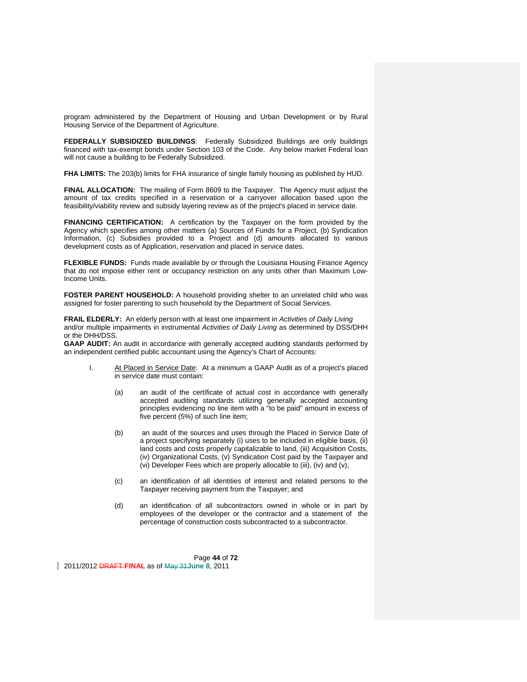program administered by the Department of Housing and Urban Development or by Rural Housing Service of the Department of Agriculture.

**FEDERALLY SUBSIDIZED BUILDINGS**: Federally Subsidized Buildings are only buildings financed with tax-exempt bonds under Section 103 of the Code. Any below market Federal loan will not cause a building to be Federally Subsidized.

**FHA LIMITS:** The 203(b) limits for FHA insurance of single family housing as published by HUD.

**FINAL ALLOCATION:** The mailing of Form 8609 to the Taxpayer. The Agency must adjust the amount of tax credits specified in a reservation or a carryover allocation based upon the feasibility/viability review and subsidy layering review as of the project's placed in service date.

**FINANCING CERTIFICATION:** A certification by the Taxpayer on the form provided by the Agency which specifies among other matters (a) Sources of Funds for a Project, (b) Syndication Information, (c) Subsidies provided to a Project and (d) amounts allocated to various development costs as of Application, reservation and placed in service dates.

**FLEXIBLE FUNDS:** Funds made available by or through the Louisiana Housing Finance Agency that do not impose either rent or occupancy restriction on any units other than Maximum Low-Income Units.

**FOSTER PARENT HOUSEHOLD:** A household providing shelter to an unrelated child who was assigned for foster parenting to such household by the Department of Social Services.

**FRAIL ELDERLY:** An elderly person with at least one impairment in *Activities of Daily Living*  and/or multiple impairments in instrumental *Activities of Daily Living* as determined by DSS/DHH or the DHH/DSS.

**GAAP AUDIT:** An audit in accordance with generally accepted auditing standards performed by an independent certified public accountant using the Agency's Chart of Accounts:

- I. At Placed in Service Date: At a minimum a GAAP Audit as of a project's placed in service date must contain:
	- (a) an audit of the certificate of actual cost in accordance with generally accepted auditing standards utilizing generally accepted accounting principles evidencing no line item with a "to be paid" amount in excess of five percent (5%) of such line item;
	- (b) an audit of the sources and uses through the Placed in Service Date of a project specifying separately (i) uses to be included in eligible basis, (ii) land costs and costs properly capitalizable to land, (iii) Acquisition Costs, (iv) Organizational Costs, (v) Syndication Cost paid by the Taxpayer and (vi) Developer Fees which are properly allocable to (iii), (iv) and (v);
	- (c) an identification of all identities of interest and related persons to the Taxpayer receiving payment from the Taxpayer; and
	- (d) an identification of all subcontractors owned in whole or in part by employees of the developer or the contractor and a statement of the percentage of construction costs subcontracted to a subcontractor.

Page **44** of **72** 2011/2012 DRAFT **FINAL** as of May 31**June 8**, 2011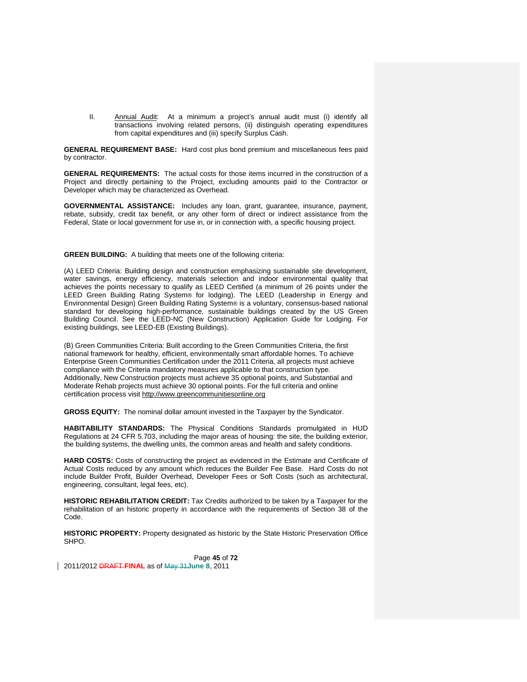II. Annual Audit: At a minimum a project's annual audit must (i) identify all transactions involving related persons, (ii) distinguish operating expenditures from capital expenditures and (iii) specify Surplus Cash.

**GENERAL REQUIREMENT BASE:** Hard cost plus bond premium and miscellaneous fees paid by contractor.

**GENERAL REQUIREMENTS:** The actual costs for those items incurred in the construction of a Project and directly pertaining to the Project, excluding amounts paid to the Contractor or Developer which may be characterized as Overhead.

**GOVERNMENTAL ASSISTANCE:** Includes any loan, grant, guarantee, insurance, payment, rebate, subsidy, credit tax benefit, or any other form of direct or indirect assistance from the Federal, State or local government for use in, or in connection with, a specific housing project.

### **GREEN BUILDING:** A building that meets one of the following criteria:

(A) LEED Criteria: Building design and construction emphasizing sustainable site development, water savings, energy efficiency, materials selection and indoor environmental quality that achieves the points necessary to qualify as LEED Certified (a minimum of 26 points under the LEED Green Building Rating System® for lodging). The LEED (Leadership in Energy and Environmental Design) Green Building Rating System® is a voluntary, consensus-based national standard for developing high-performance, sustainable buildings created by the US Green Building Council. See the LEED-NC (New Construction) Application Guide for Lodging. For existing buildings, see LEED-EB (Existing Buildings).

(B) Green Communities Criteria: Built according to the Green Communities Criteria, the first national framework for healthy, efficient, environmentally smart affordable homes. To achieve Enterprise Green Communities Certification under the 2011 Criteria, all projects must achieve compliance with the Criteria mandatory measures applicable to that construction type. Additionally, New Construction projects must achieve 35 optional points, and Substantial and Moderate Rehab projects must achieve 30 optional points. For the full criteria and online certification process visit http://www.greencommunitiesonline.org

**GROSS EQUITY:** The nominal dollar amount invested in the Taxpayer by the Syndicator.

**HABITABILITY STANDARDS:** The Physical Conditions Standards promulgated in HUD Regulations at 24 CFR 5.703, including the major areas of housing: the site, the building exterior, the building systems, the dwelling units, the common areas and health and safety conditions.

**HARD COSTS:** Costs of constructing the project as evidenced in the Estimate and Certificate of Actual Costs reduced by any amount which reduces the Builder Fee Base. Hard Costs do not include Builder Profit, Builder Overhead, Developer Fees or Soft Costs (such as architectural, engineering, consultant, legal fees, etc).

**HISTORIC REHABILITATION CREDIT:** Tax Credits authorized to be taken by a Taxpayer for the rehabilitation of an historic property in accordance with the requirements of Section 38 of the Code.

**HISTORIC PROPERTY:** Property designated as historic by the State Historic Preservation Office SHPO.

Page **45** of **72**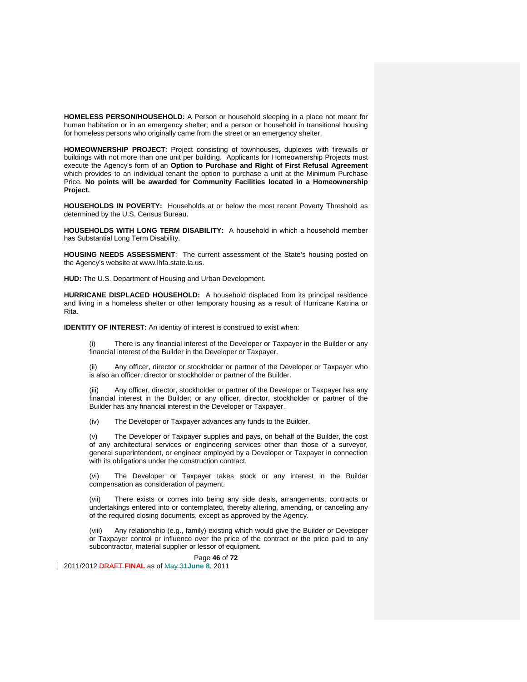**HOMELESS PERSON/HOUSEHOLD:** A Person or household sleeping in a place not meant for human habitation or in an emergency shelter; and a person or household in transitional housing for homeless persons who originally came from the street or an emergency shelter.

**HOMEOWNERSHIP PROJECT**: Project consisting of townhouses, duplexes with firewalls or buildings with not more than one unit per building. Applicants for Homeownership Projects must execute the Agency's form of an **Option to Purchase and Right of First Refusal Agreement** which provides to an individual tenant the option to purchase a unit at the Minimum Purchase Price. **No points will be awarded for Community Facilities located in a Homeownership Project.** 

**HOUSEHOLDS IN POVERTY:** Households at or below the most recent Poverty Threshold as determined by the U.S. Census Bureau.

**HOUSEHOLDS WITH LONG TERM DISABILITY:** A household in which a household member has Substantial Long Term Disability.

**HOUSING NEEDS ASSESSMENT**: The current assessment of the State's housing posted on the Agency's website at www.lhfa.state.la.us.

**HUD:** The U.S. Department of Housing and Urban Development.

**HURRICANE DISPLACED HOUSEHOLD:** A household displaced from its principal residence and living in a homeless shelter or other temporary housing as a result of Hurricane Katrina or Rita.

**IDENTITY OF INTEREST:** An identity of interest is construed to exist when:

There is any financial interest of the Developer or Taxpayer in the Builder or any financial interest of the Builder in the Developer or Taxpayer.

Any officer, director or stockholder or partner of the Developer or Taxpayer who is also an officer, director or stockholder or partner of the Builder.

(iii) Any officer, director, stockholder or partner of the Developer or Taxpayer has any financial interest in the Builder; or any officer, director, stockholder or partner of the Builder has any financial interest in the Developer or Taxpayer.

(iv) The Developer or Taxpayer advances any funds to the Builder.

(v) The Developer or Taxpayer supplies and pays, on behalf of the Builder, the cost of any architectural services or engineering services other than those of a surveyor, general superintendent, or engineer employed by a Developer or Taxpayer in connection with its obligations under the construction contract.

(vi) The Developer or Taxpayer takes stock or any interest in the Builder compensation as consideration of payment.

(vii) There exists or comes into being any side deals, arrangements, contracts or undertakings entered into or contemplated, thereby altering, amending, or canceling any of the required closing documents, except as approved by the Agency.

(viii) Any relationship (e.g., family) existing which would give the Builder or Developer or Taxpayer control or influence over the price of the contract or the price paid to any subcontractor, material supplier or lessor of equipment.

Page **46** of **72** 2011/2012 DRAFT **FINAL** as of May 31**June 8**, 2011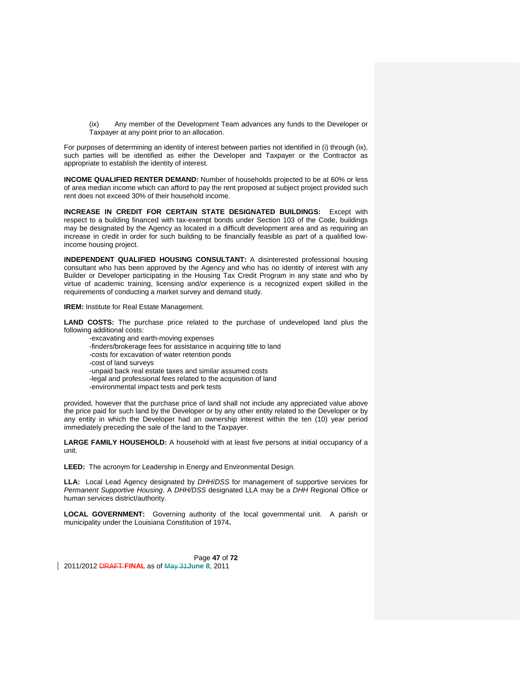(ix) Any member of the Development Team advances any funds to the Developer or Taxpayer at any point prior to an allocation.

For purposes of determining an identity of interest between parties not identified in (i) through (ix), such parties will be identified as either the Developer and Taxpayer or the Contractor as appropriate to establish the identity of interest.

**INCOME QUALIFIED RENTER DEMAND:** Number of households projected to be at 60% or less of area median income which can afford to pay the rent proposed at subject project provided such rent does not exceed 30% of their household income.

**INCREASE IN CREDIT FOR CERTAIN STATE DESIGNATED BUILDINGS:** Except with respect to a building financed with tax-exempt bonds under Section 103 of the Code, buildings may be designated by the Agency as located in a difficult development area and as requiring an increase in credit in order for such building to be financially feasible as part of a qualified lowincome housing project.

**INDEPENDENT QUALIFIED HOUSING CONSULTANT:** A disinterested professional housing consultant who has been approved by the Agency and who has no identity of interest with any Builder or Developer participating in the Housing Tax Credit Program in any state and who by virtue of academic training, licensing and/or experience is a recognized expert skilled in the requirements of conducting a market survey and demand study.

**IREM:** Institute for Real Estate Management.

**LAND COSTS:** The purchase price related to the purchase of undeveloped land plus the following additional costs:

 -excavating and earth-moving expenses -finders/brokerage fees for assistance in acquiring title to land -costs for excavation of water retention ponds -cost of land surveys -unpaid back real estate taxes and similar assumed costs -legal and professional fees related to the acquisition of land -environmental impact tests and perk tests

provided, however that the purchase price of land shall not include any appreciated value above the price paid for such land by the Developer or by any other entity related to the Developer or by any entity in which the Developer had an ownership interest within the ten (10) year period immediately preceding the sale of the land to the Taxpayer.

**LARGE FAMILY HOUSEHOLD:** A household with at least five persons at initial occupancy of a unit.

**LEED:** The acronym for Leadership in Energy and Environmental Design.

**LLA:** Local Lead Agency designated by *DHH*/*DSS* for management of supportive services for *Permanent Supportive Housing*. A *DHH/DSS* designated LLA may be a *DHH* Regional Office or human services district/authority.

**LOCAL GOVERNMENT:** Governing authority of the local governmental unit. A parish or municipality under the Louisiana Constitution of 1974**.** 

Page **47** of **72** 2011/2012 DRAFT **FINAL** as of May 31**June 8**, 2011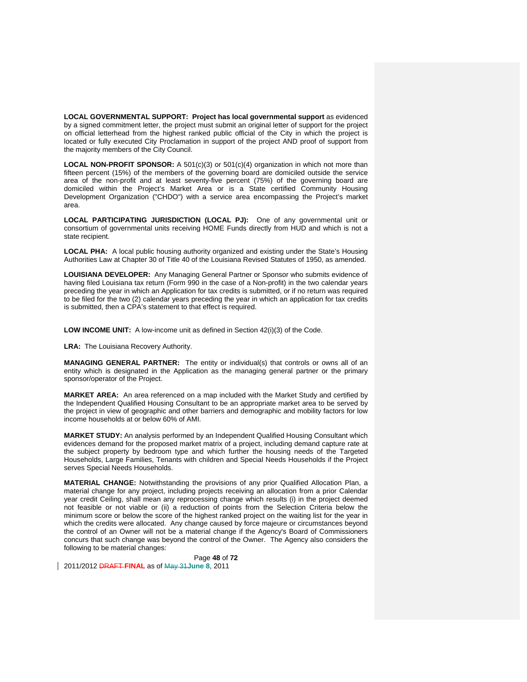**LOCAL GOVERNMENTAL SUPPORT: Project has local governmental support** as evidenced by a signed commitment letter, the project must submit an original letter of support for the project on official letterhead from the highest ranked public official of the City in which the project is located or fully executed City Proclamation in support of the project AND proof of support from the majority members of the City Council.

**LOCAL NON-PROFIT SPONSOR:** A 501(c)(3) or 501(c)(4) organization in which not more than fifteen percent (15%) of the members of the governing board are domiciled outside the service area of the non-profit and at least seventy-five percent (75%) of the governing board are domiciled within the Project's Market Area or is a State certified Community Housing Development Organization ("CHDO") with a service area encompassing the Project's market area.

**LOCAL PARTICIPATING JURISDICTION (LOCAL PJ):** One of any governmental unit or consortium of governmental units receiving HOME Funds directly from HUD and which is not a state recipient.

**LOCAL PHA:** A local public housing authority organized and existing under the State's Housing Authorities Law at Chapter 30 of Title 40 of the Louisiana Revised Statutes of 1950, as amended.

**LOUISIANA DEVELOPER:** Any Managing General Partner or Sponsor who submits evidence of having filed Louisiana tax return (Form 990 in the case of a Non-profit) in the two calendar years preceding the year in which an Application for tax credits is submitted, or if no return was required to be filed for the two (2) calendar years preceding the year in which an application for tax credits is submitted, then a CPA's statement to that effect is required.

**LOW INCOME UNIT:** A low-income unit as defined in Section 42(i)(3) of the Code.

**LRA:** The Louisiana Recovery Authority.

**MANAGING GENERAL PARTNER:** The entity or individual(s) that controls or owns all of an entity which is designated in the Application as the managing general partner or the primary sponsor/operator of the Project.

**MARKET AREA:** An area referenced on a map included with the Market Study and certified by the Independent Qualified Housing Consultant to be an appropriate market area to be served by the project in view of geographic and other barriers and demographic and mobility factors for low income households at or below 60% of AMI.

**MARKET STUDY:** An analysis performed by an Independent Qualified Housing Consultant which evidences demand for the proposed market matrix of a project, including demand capture rate at the subject property by bedroom type and which further the housing needs of the Targeted Households, Large Families, Tenants with children and Special Needs Households if the Project serves Special Needs Households.

**MATERIAL CHANGE:** Notwithstanding the provisions of any prior Qualified Allocation Plan, a material change for any project, including projects receiving an allocation from a prior Calendar year credit Ceiling, shall mean any reprocessing change which results (i) in the project deemed not feasible or not viable or (ii) a reduction of points from the Selection Criteria below the minimum score or below the score of the highest ranked project on the waiting list for the year in which the credits were allocated. Any change caused by force majeure or circumstances beyond the control of an Owner will not be a material change if the Agency's Board of Commissioners concurs that such change was beyond the control of the Owner. The Agency also considers the following to be material changes:

Page **48** of **72**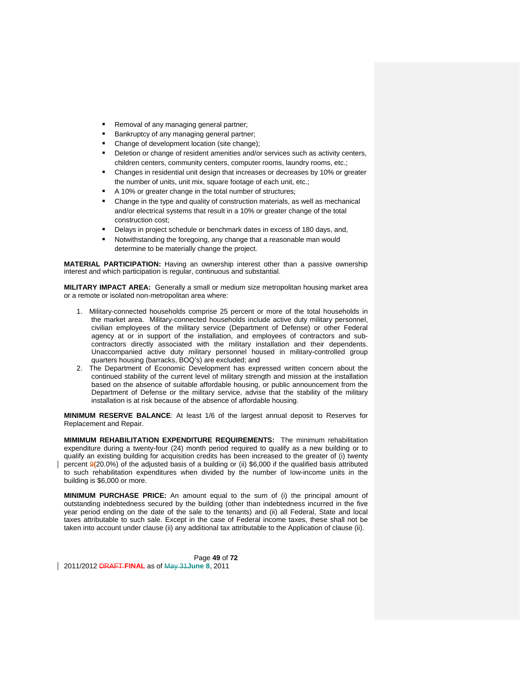- Removal of any managing general partner;
- Bankruptcy of any managing general partner;
- Change of development location (site change);
- Deletion or change of resident amenities and/or services such as activity centers, children centers, community centers, computer rooms, laundry rooms, etc.;
- Changes in residential unit design that increases or decreases by 10% or greater the number of units, unit mix, square footage of each unit, etc.;
- A 10% or greater change in the total number of structures;
- Change in the type and quality of construction materials, as well as mechanical and/or electrical systems that result in a 10% or greater change of the total construction cost;
- Delays in project schedule or benchmark dates in excess of 180 days, and,
- Notwithstanding the foregoing, any change that a reasonable man would determine to be materially change the project.

**MATERIAL PARTICIPATION:** Having an ownership interest other than a passive ownership interest and which participation is regular, continuous and substantial.

**MILITARY IMPACT AREA:** Generally a small or medium size metropolitan housing market area or a remote or isolated non-metropolitan area where:

- 1. Military-connected households comprise 25 percent or more of the total households in the market area. Military-connected households include active duty military personnel, civilian employees of the military service (Department of Defense) or other Federal agency at or in support of the installation, and employees of contractors and subcontractors directly associated with the military installation and their dependents. Unaccompanied active duty military personnel housed in military-controlled group quarters housing (barracks, BOQ's) are excluded; and
- 2. The Department of Economic Development has expressed written concern about the continued stability of the current level of military strength and mission at the installation based on the absence of suitable affordable housing, or public announcement from the Department of Defense or the military service, advise that the stability of the military installation is at risk because of the absence of affordable housing.

**MINIMUM RESERVE BALANCE**: At least 1/6 of the largest annual deposit to Reserves for Replacement and Repair.

**MIMIMUM REHABILITATION EXPENDITURE REQUIREMENTS:** The minimum rehabilitation expenditure during a twenty-four (24) month period required to qualify as a new building or to qualify an existing building for acquisition credits has been increased to the greater of (i) twenty percent 9**(**20.0%) of the adjusted basis of a building or (ii) \$6,000 if the qualified basis attributed to such rehabilitation expenditures when divided by the number of low-income units in the building is \$6,000 or more.

**MINIMUM PURCHASE PRICE:** An amount equal to the sum of (i) the principal amount of outstanding indebtedness secured by the building (other than indebtedness incurred in the five year period ending on the date of the sale to the tenants) and (ii) all Federal, State and local taxes attributable to such sale. Except in the case of Federal income taxes, these shall not be taken into account under clause (ii) any additional tax attributable to the Application of clause (ii).

Page **49** of **72** 2011/2012 DRAFT **FINAL** as of May 31**June 8**, 2011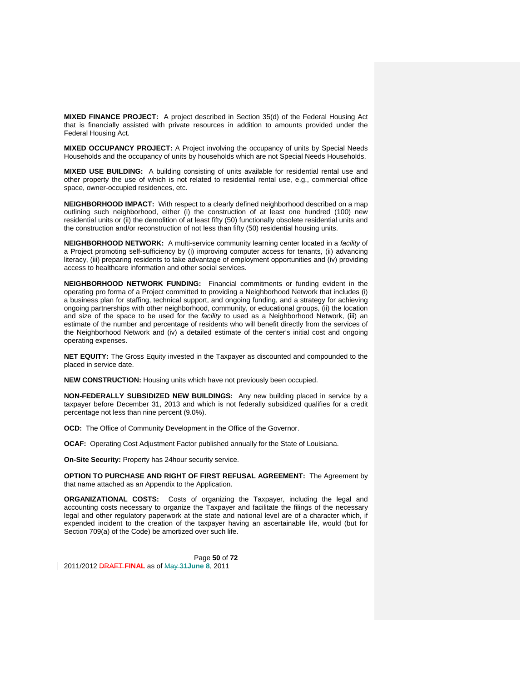**MIXED FINANCE PROJECT:** A project described in Section 35(d) of the Federal Housing Act that is financially assisted with private resources in addition to amounts provided under the Federal Housing Act.

**MIXED OCCUPANCY PROJECT:** A Project involving the occupancy of units by Special Needs Households and the occupancy of units by households which are not Special Needs Households.

**MIXED USE BUILDING:** A building consisting of units available for residential rental use and other property the use of which is not related to residential rental use, e.g., commercial office space, owner-occupied residences, etc.

**NEIGHBORHOOD IMPACT:** With respect to a clearly defined neighborhood described on a map outlining such neighborhood, either (i) the construction of at least one hundred (100) new residential units or (ii) the demolition of at least fifty (50) functionally obsolete residential units and the construction and/or reconstruction of not less than fifty (50) residential housing units.

**NEIGHBORHOOD NETWORK:** A multi-service community learning center located in a *facility* of a Project promoting self-sufficiency by (i) improving computer access for tenants, (ii) advancing literacy, (iii) preparing residents to take advantage of employment opportunities and (iv) providing access to healthcare information and other social services.

**NEIGHBORHOOD NETWORK FUNDING:** Financial commitments or funding evident in the operating pro forma of a Project committed to providing a Neighborhood Network that includes (i) a business plan for staffing, technical support, and ongoing funding, and a strategy for achieving ongoing partnerships with other neighborhood, community, or educational groups, (ii) the location and size of the space to be used for the *facility* to used as a Neighborhood Network, (iii) an estimate of the number and percentage of residents who will benefit directly from the services of the Neighborhood Network and (iv) a detailed estimate of the center's initial cost and ongoing operating expenses.

**NET EQUITY:** The Gross Equity invested in the Taxpayer as discounted and compounded to the placed in service date.

**NEW CONSTRUCTION:** Housing units which have not previously been occupied.

**NON-FEDERALLY SUBSIDIZED NEW BUILDINGS:** Any new building placed in service by a taxpayer before December 31, 2013 and which is not federally subsidized qualifies for a credit percentage not less than nine percent (9.0%).

**OCD:** The Office of Community Development in the Office of the Governor.

**OCAF:** Operating Cost Adjustment Factor published annually for the State of Louisiana.

**On-Site Security:** Property has 24hour security service.

**OPTION TO PURCHASE AND RIGHT OF FIRST REFUSAL AGREEMENT:** The Agreement by that name attached as an Appendix to the Application.

**ORGANIZATIONAL COSTS:** Costs of organizing the Taxpayer, including the legal and accounting costs necessary to organize the Taxpayer and facilitate the filings of the necessary legal and other regulatory paperwork at the state and national level are of a character which, if expended incident to the creation of the taxpayer having an ascertainable life, would (but for Section 709(a) of the Code) be amortized over such life.

Page **50** of **72** 2011/2012 DRAFT **FINAL** as of May 31**June 8**, 2011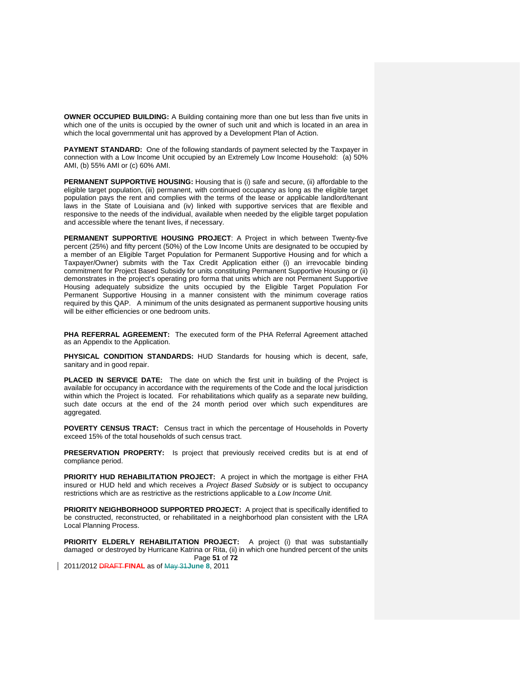**OWNER OCCUPIED BUILDING:** A Building containing more than one but less than five units in which one of the units is occupied by the owner of such unit and which is located in an area in which the local governmental unit has approved by a Development Plan of Action.

**PAYMENT STANDARD:** One of the following standards of payment selected by the Taxpayer in connection with a Low Income Unit occupied by an Extremely Low Income Household: (a) 50% AMI, (b) 55% AMI or (c) 60% AMI.

**PERMANENT SUPPORTIVE HOUSING:** Housing that is (i) safe and secure, (ii) affordable to the eligible target population, (iii) permanent, with continued occupancy as long as the eligible target population pays the rent and complies with the terms of the lease or applicable landlord/tenant laws in the State of Louisiana and (iv) linked with supportive services that are flexible and responsive to the needs of the individual, available when needed by the eligible target population and accessible where the tenant lives, if necessary.

**PERMANENT SUPPORTIVE HOUSING PROJECT**: A Project in which between Twenty-five percent (25%) and fifty percent (50%) of the Low Income Units are designated to be occupied by a member of an Eligible Target Population for Permanent Supportive Housing and for which a Taxpayer/Owner) submits with the Tax Credit Application either (i) an irrevocable binding commitment for Project Based Subsidy for units constituting Permanent Supportive Housing or (ii) demonstrates in the project's operating pro forma that units which are not Permanent Supportive Housing adequately subsidize the units occupied by the Eligible Target Population For Permanent Supportive Housing in a manner consistent with the minimum coverage ratios required by this QAP. A minimum of the units designated as permanent supportive housing units will be either efficiencies or one bedroom units.

**PHA REFERRAL AGREEMENT:** The executed form of the PHA Referral Agreement attached as an Appendix to the Application.

**PHYSICAL CONDITION STANDARDS:** HUD Standards for housing which is decent, safe, sanitary and in good repair.

**PLACED IN SERVICE DATE:** The date on which the first unit in building of the Project is available for occupancy in accordance with the requirements of the Code and the local jurisdiction within which the Project is located. For rehabilitations which qualify as a separate new building, such date occurs at the end of the 24 month period over which such expenditures are aggregated.

**POVERTY CENSUS TRACT:** Census tract in which the percentage of Households in Poverty exceed 15% of the total households of such census tract.

**PRESERVATION PROPERTY:** Is project that previously received credits but is at end of compliance period.

**PRIORITY HUD REHABILITATION PROJECT:** A project in which the mortgage is either FHA insured or HUD held and which receives a *Project Based Subsidy* or is subject to occupancy restrictions which are as restrictive as the restrictions applicable to a *Low Income Unit.*

**PRIORITY NEIGHBORHOOD SUPPORTED PROJECT:** A project that is specifically identified to be constructed, reconstructed, or rehabilitated in a neighborhood plan consistent with the LRA Local Planning Process.

Page **51** of **72 PRIORITY ELDERLY REHABILITATION PROJECT:** A project (i) that was substantially damaged or destroyed by Hurricane Katrina or Rita, (ii) in which one hundred percent of the units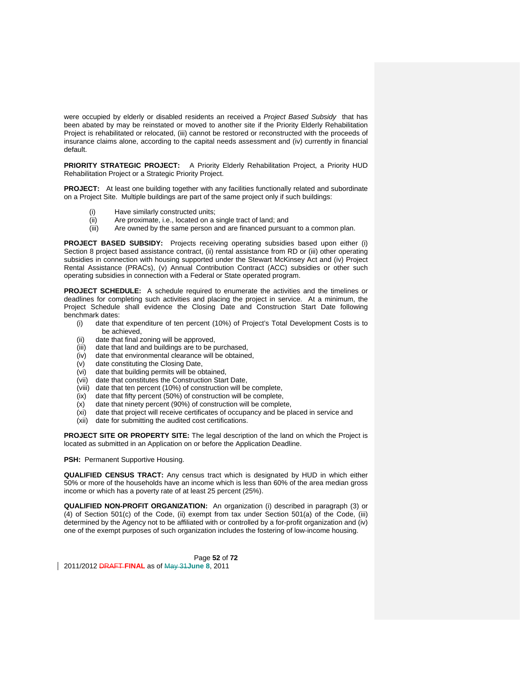were occupied by elderly or disabled residents an received a *Project Based Subsidy* that has been abated by may be reinstated or moved to another site if the Priority Elderly Rehabilitation Project is rehabilitated or relocated, (iii) cannot be restored or reconstructed with the proceeds of insurance claims alone, according to the capital needs assessment and (iv) currently in financial default.

**PRIORITY STRATEGIC PROJECT:** A Priority Elderly Rehabilitation Project, a Priority HUD Rehabilitation Project or a Strategic Priority Project.

**PROJECT:** At least one building together with any facilities functionally related and subordinate on a Project Site. Multiple buildings are part of the same project only if such buildings:

- (i) Have similarly constructed units;
- (ii) Are proximate, i.e., located on a single tract of land; and
- (iii) Are owned by the same person and are financed pursuant to a common plan.

**PROJECT BASED SUBSIDY:** Projects receiving operating subsidies based upon either (i) Section 8 project based assistance contract, (ii) rental assistance from RD or (iii) other operating subsidies in connection with housing supported under the Stewart McKinsey Act and (iv) Project Rental Assistance (PRACs), (v) Annual Contribution Contract (ACC) subsidies or other such operating subsidies in connection with a Federal or State operated program.

**PROJECT SCHEDULE:** A schedule required to enumerate the activities and the timelines or deadlines for completing such activities and placing the project in service. At a minimum, the Project Schedule shall evidence the Closing Date and Construction Start Date following benchmark dates:

- (i) date that expenditure of ten percent (10%) of Project's Total Development Costs is to be achieved,
- (ii) date that final zoning will be approved,
- (iii) date that land and buildings are to be purchased,
- (iv) date that environmental clearance will be obtained,
- (v) date constituting the Closing Date,
- (vi) date that building permits will be obtained,
- (vii) date that constitutes the Construction Start Date,
- (viii) date that ten percent (10%) of construction will be complete,
- (ix) date that fifty percent (50%) of construction will be complete,
- (x) date that ninety percent (90%) of construction will be complete,
- (xi) date that project will receive certificates of occupancy and be placed in service and
- (xii) date for submitting the audited cost certifications.

**PROJECT SITE OR PROPERTY SITE:** The legal description of the land on which the Project is located as submitted in an Application on or before the Application Deadline.

**PSH: Permanent Supportive Housing.** 

**QUALIFIED CENSUS TRACT:** Any census tract which is designated by HUD in which either 50% or more of the households have an income which is less than 60% of the area median gross income or which has a poverty rate of at least 25 percent (25%).

**QUALIFIED NON-PROFIT ORGANIZATION:** An organization (i) described in paragraph (3) or (4) of Section 501(c) of the Code, (ii) exempt from tax under Section 501(a) of the Code, (iii) determined by the Agency not to be affiliated with or controlled by a for-profit organization and (iv) one of the exempt purposes of such organization includes the fostering of low-income housing.

Page **52** of **72** 2011/2012 DRAFT **FINAL** as of May 31**June 8**, 2011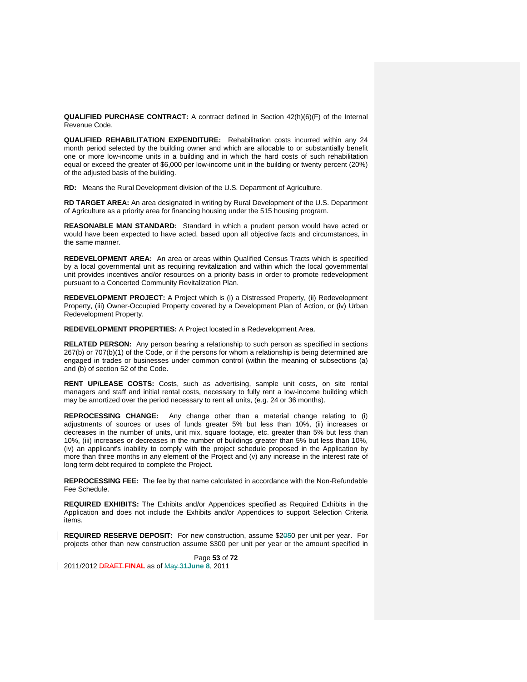**QUALIFIED PURCHASE CONTRACT:** A contract defined in Section 42(h)(6)(F) of the Internal Revenue Code.

**QUALIFIED REHABILITATION EXPENDITURE:** Rehabilitation costs incurred within any 24 month period selected by the building owner and which are allocable to or substantially benefit one or more low-income units in a building and in which the hard costs of such rehabilitation equal or exceed the greater of \$6,000 per low-income unit in the building or twenty percent (20%) of the adjusted basis of the building.

**RD:** Means the Rural Development division of the U.S. Department of Agriculture.

**RD TARGET AREA:** An area designated in writing by Rural Development of the U.S. Department of Agriculture as a priority area for financing housing under the 515 housing program.

**REASONABLE MAN STANDARD:** Standard in which a prudent person would have acted or would have been expected to have acted, based upon all objective facts and circumstances, in the same manner.

**REDEVELOPMENT AREA:** An area or areas within Qualified Census Tracts which is specified by a local governmental unit as requiring revitalization and within which the local governmental unit provides incentives and/or resources on a priority basis in order to promote redevelopment pursuant to a Concerted Community Revitalization Plan.

**REDEVELOPMENT PROJECT:** A Project which is (i) a Distressed Property, (ii) Redevelopment Property, (iii) Owner-Occupied Property covered by a Development Plan of Action, or (iv) Urban Redevelopment Property.

**REDEVELOPMENT PROPERTIES:** A Project located in a Redevelopment Area.

**RELATED PERSON:** Any person bearing a relationship to such person as specified in sections 267(b) or 707(b)(1) of the Code, or if the persons for whom a relationship is being determined are engaged in trades or businesses under common control (within the meaning of subsections (a) and (b) of section 52 of the Code.

**RENT UP/LEASE COSTS:** Costs, such as advertising, sample unit costs, on site rental managers and staff and initial rental costs, necessary to fully rent a low-income building which may be amortized over the period necessary to rent all units, (e.g. 24 or 36 months).

**REPROCESSING CHANGE:** Any change other than a material change relating to (i) adjustments of sources or uses of funds greater 5% but less than 10%, (ii) increases or decreases in the number of units, unit mix, square footage, etc. greater than 5% but less than 10%, (iii) increases or decreases in the number of buildings greater than 5% but less than 10%, (iv) an applicant's inability to comply with the project schedule proposed in the Application by more than three months in any element of the Project and (v) any increase in the interest rate of long term debt required to complete the Project.

**REPROCESSING FEE:** The fee by that name calculated in accordance with the Non-Refundable Fee Schedule.

**REQUIRED EXHIBITS:** The Exhibits and/or Appendices specified as Required Exhibits in the Application and does not include the Exhibits and/or Appendices to support Selection Criteria items.

**REQUIRED RESERVE DEPOSIT:** For new construction, assume \$20**5**0 per unit per year. For projects other than new construction assume \$300 per unit per year or the amount specified in

Page **53** of **72** 2011/2012 DRAFT **FINAL** as of May 31**June 8**, 2011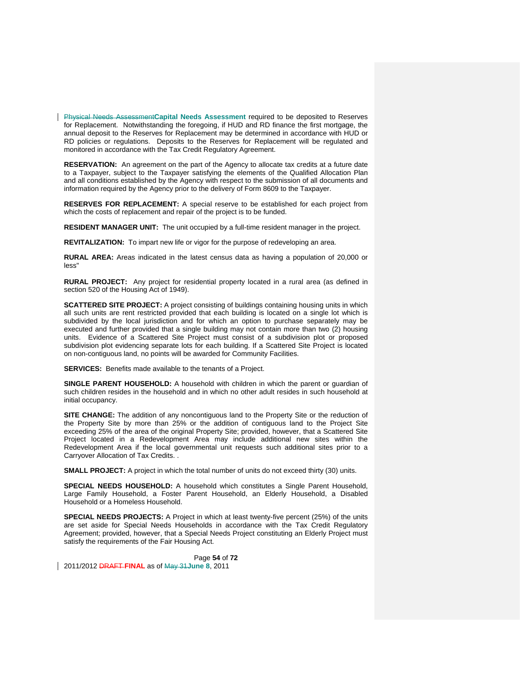Physical Needs Assessment**Capital Needs Assessment** required to be deposited to Reserves for Replacement. Notwithstanding the foregoing, if HUD and RD finance the first mortgage, the annual deposit to the Reserves for Replacement may be determined in accordance with HUD or RD policies or regulations. Deposits to the Reserves for Replacement will be regulated and monitored in accordance with the Tax Credit Regulatory Agreement.

**RESERVATION:** An agreement on the part of the Agency to allocate tax credits at a future date to a Taxpayer, subject to the Taxpayer satisfying the elements of the Qualified Allocation Plan and all conditions established by the Agency with respect to the submission of all documents and information required by the Agency prior to the delivery of Form 8609 to the Taxpayer.

**RESERVES FOR REPLACEMENT:** A special reserve to be established for each project from which the costs of replacement and repair of the project is to be funded.

**RESIDENT MANAGER UNIT:** The unit occupied by a full-time resident manager in the project.

**REVITALIZATION:** To impart new life or vigor for the purpose of redeveloping an area.

**RURAL AREA:** Areas indicated in the latest census data as having a population of 20,000 or less"

**RURAL PROJECT:** Any project for residential property located in a rural area (as defined in section 520 of the Housing Act of 1949).

**SCATTERED SITE PROJECT:** A project consisting of buildings containing housing units in which all such units are rent restricted provided that each building is located on a single lot which is subdivided by the local jurisdiction and for which an option to purchase separately may be executed and further provided that a single building may not contain more than two (2) housing units. Evidence of a Scattered Site Project must consist of a subdivision plot or proposed subdivision plot evidencing separate lots for each building. If a Scattered Site Project is located on non-contiguous land, no points will be awarded for Community Facilities.

**SERVICES:** Benefits made available to the tenants of a Project.

**SINGLE PARENT HOUSEHOLD:** A household with children in which the parent or guardian of such children resides in the household and in which no other adult resides in such household at initial occupancy.

**SITE CHANGE:** The addition of any noncontiguous land to the Property Site or the reduction of the Property Site by more than 25% or the addition of contiguous land to the Project Site exceeding 25% of the area of the original Property Site; provided, however, that a Scattered Site Project located in a Redevelopment Area may include additional new sites within the Redevelopment Area if the local governmental unit requests such additional sites prior to a Carryover Allocation of Tax Credits. .

**SMALL PROJECT:** A project in which the total number of units do not exceed thirty (30) units.

**SPECIAL NEEDS HOUSEHOLD:** A household which constitutes a Single Parent Household, Large Family Household, a Foster Parent Household, an Elderly Household, a Disabled Household or a Homeless Household.

**SPECIAL NEEDS PROJECTS:** A Project in which at least twenty-five percent (25%) of the units are set aside for Special Needs Households in accordance with the Tax Credit Regulatory Agreement; provided, however, that a Special Needs Project constituting an Elderly Project must satisfy the requirements of the Fair Housing Act.

Page **54** of **72** 2011/2012 DRAFT **FINAL** as of May 31**June 8**, 2011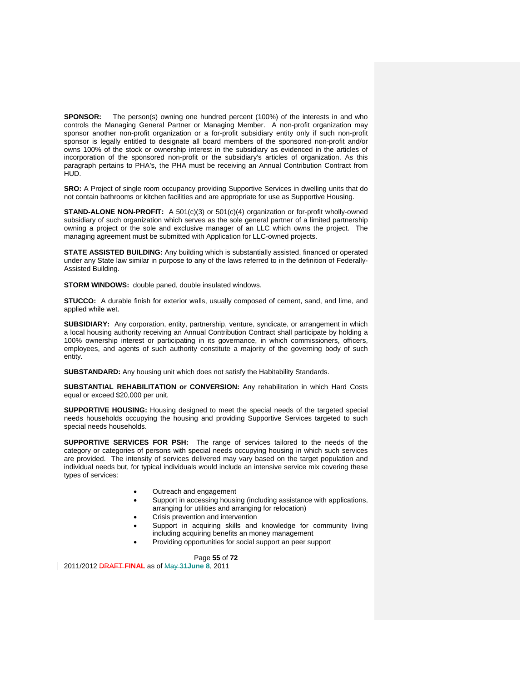**SPONSOR:** The person(s) owning one hundred percent (100%) of the interests in and who controls the Managing General Partner or Managing Member. A non-profit organization may sponsor another non-profit organization or a for-profit subsidiary entity only if such non-profit sponsor is legally entitled to designate all board members of the sponsored non-profit and/or owns 100% of the stock or ownership interest in the subsidiary as evidenced in the articles of incorporation of the sponsored non-profit or the subsidiary's articles of organization. As this paragraph pertains to PHA's, the PHA must be receiving an Annual Contribution Contract from HUD.

**SRO:** A Project of single room occupancy providing Supportive Services in dwelling units that do not contain bathrooms or kitchen facilities and are appropriate for use as Supportive Housing.

**STAND-ALONE NON-PROFIT:** A 501(c)(3) or 501(c)(4) organization or for-profit wholly-owned subsidiary of such organization which serves as the sole general partner of a limited partnership owning a project or the sole and exclusive manager of an LLC which owns the project. The managing agreement must be submitted with Application for LLC-owned projects.

**STATE ASSISTED BUILDING:** Any building which is substantially assisted, financed or operated under any State law similar in purpose to any of the laws referred to in the definition of Federally-Assisted Building.

**STORM WINDOWS:** double paned, double insulated windows.

**STUCCO:** A durable finish for exterior walls, usually composed of cement, sand, and lime, and applied while wet.

**SUBSIDIARY:** Any corporation, entity, partnership, venture, syndicate, or arrangement in which a local housing authority receiving an Annual Contribution Contract shall participate by holding a 100% ownership interest or participating in its governance, in which commissioners, officers, employees, and agents of such authority constitute a majority of the governing body of such entity.

**SUBSTANDARD:** Any housing unit which does not satisfy the Habitability Standards.

**SUBSTANTIAL REHABILITATION or CONVERSION:** Any rehabilitation in which Hard Costs equal or exceed \$20,000 per unit.

**SUPPORTIVE HOUSING:** Housing designed to meet the special needs of the targeted special needs households occupying the housing and providing Supportive Services targeted to such special needs households.

**SUPPORTIVE SERVICES FOR PSH:** The range of services tailored to the needs of the category or categories of persons with special needs occupying housing in which such services are provided. The intensity of services delivered may vary based on the target population and individual needs but, for typical individuals would include an intensive service mix covering these types of services:

- Outreach and engagement
- Support in accessing housing (including assistance with applications, arranging for utilities and arranging for relocation)
- Crisis prevention and intervention
- Support in acquiring skills and knowledge for community living including acquiring benefits an money management
- Providing opportunities for social support an peer support

Page **55** of **72**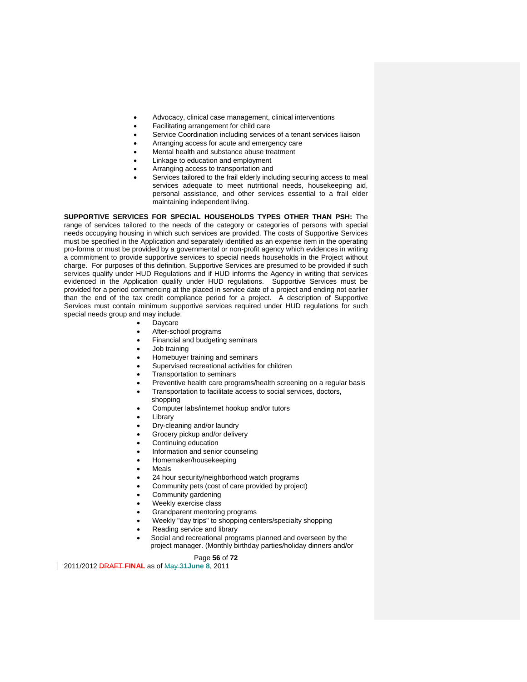- Advocacy, clinical case management, clinical interventions
- Facilitating arrangement for child care
- Service Coordination including services of a tenant services liaison
- Arranging access for acute and emergency care
- Mental health and substance abuse treatment
- Linkage to education and employment
- Arranging access to transportation and
- Services tailored to the frail elderly including securing access to meal services adequate to meet nutritional needs, housekeeping aid, personal assistance, and other services essential to a frail elder maintaining independent living.

**SUPPORTIVE SERVICES FOR SPECIAL HOUSEHOLDS TYPES OTHER THAN PSH:** The range of services tailored to the needs of the category or categories of persons with special needs occupying housing in which such services are provided. The costs of Supportive Services must be specified in the Application and separately identified as an expense item in the operating pro-forma or must be provided by a governmental or non-profit agency which evidences in writing a commitment to provide supportive services to special needs households in the Project without charge. For purposes of this definition, Supportive Services are presumed to be provided if such services qualify under HUD Regulations and if HUD informs the Agency in writing that services evidenced in the Application qualify under HUD regulations. Supportive Services must be provided for a period commencing at the placed in service date of a project and ending not earlier than the end of the tax credit compliance period for a project. A description of Supportive Services must contain minimum supportive services required under HUD regulations for such special needs group and may include:

- **Daycare**
- After-school programs
- Financial and budgeting seminars
- Job training
- Homebuyer training and seminars
- Supervised recreational activities for children
- Transportation to seminars
- Preventive health care programs/health screening on a regular basis
- Transportation to facilitate access to social services, doctors,
- shopping
- Computer labs/internet hookup and/or tutors
- **Library**
- Dry-cleaning and/or laundry
- Grocery pickup and/or delivery
- Continuing education
- Information and senior counseling
- Homemaker/housekeeping
- **Meals**
- 24 hour security/neighborhood watch programs
- Community pets (cost of care provided by project)
- Community gardening
- Weekly exercise class
- Grandparent mentoring programs
- Weekly "day trips" to shopping centers/specialty shopping
- Reading service and library
- Social and recreational programs planned and overseen by the project manager. (Monthly birthday parties/holiday dinners and/or

# Page **56** of **72**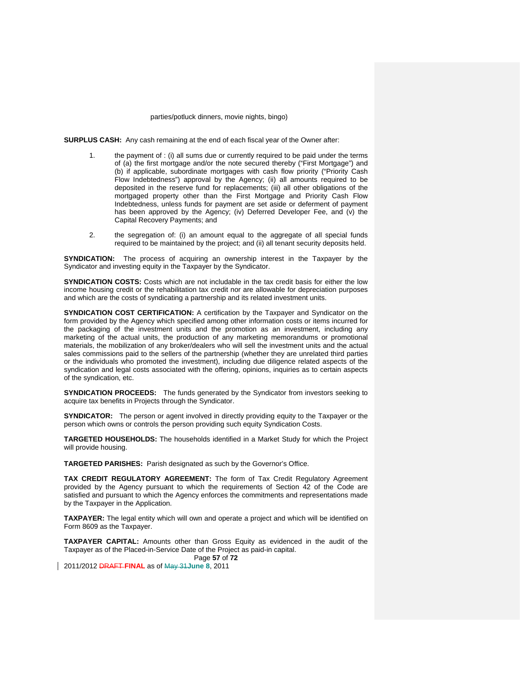### parties/potluck dinners, movie nights, bingo)

**SURPLUS CASH:** Any cash remaining at the end of each fiscal year of the Owner after:

- 1. the payment of : (i) all sums due or currently required to be paid under the terms of (a) the first mortgage and/or the note secured thereby ("First Mortgage") and (b) if applicable, subordinate mortgages with cash flow priority ("Priority Cash Flow Indebtedness") approval by the Agency; (ii) all amounts required to be deposited in the reserve fund for replacements; (iii) all other obligations of the mortgaged property other than the First Mortgage and Priority Cash Flow Indebtedness, unless funds for payment are set aside or deferment of payment has been approved by the Agency; (iv) Deferred Developer Fee, and (v) the Capital Recovery Payments; and
- 2. the segregation of: (i) an amount equal to the aggregate of all special funds required to be maintained by the project; and (ii) all tenant security deposits held.

**SYNDICATION:** The process of acquiring an ownership interest in the Taxpayer by the Syndicator and investing equity in the Taxpayer by the Syndicator.

**SYNDICATION COSTS:** Costs which are not includable in the tax credit basis for either the low income housing credit or the rehabilitation tax credit nor are allowable for depreciation purposes and which are the costs of syndicating a partnership and its related investment units.

**SYNDICATION COST CERTIFICATION:** A certification by the Taxpayer and Syndicator on the form provided by the Agency which specified among other information costs or items incurred for the packaging of the investment units and the promotion as an investment, including any marketing of the actual units, the production of any marketing memorandums or promotional materials, the mobilization of any broker/dealers who will sell the investment units and the actual sales commissions paid to the sellers of the partnership (whether they are unrelated third parties or the individuals who promoted the investment), including due diligence related aspects of the syndication and legal costs associated with the offering, opinions, inquiries as to certain aspects of the syndication, etc.

**SYNDICATION PROCEEDS:** The funds generated by the Syndicator from investors seeking to acquire tax benefits in Projects through the Syndicator.

**SYNDICATOR:** The person or agent involved in directly providing equity to the Taxpayer or the person which owns or controls the person providing such equity Syndication Costs.

**TARGETED HOUSEHOLDS:** The households identified in a Market Study for which the Project will provide housing.

**TARGETED PARISHES:** Parish designated as such by the Governor's Office.

**TAX CREDIT REGULATORY AGREEMENT:** The form of Tax Credit Regulatory Agreement provided by the Agency pursuant to which the requirements of Section 42 of the Code are satisfied and pursuant to which the Agency enforces the commitments and representations made by the Taxpayer in the Application.

**TAXPAYER:** The legal entity which will own and operate a project and which will be identified on Form 8609 as the Taxpayer.

**TAXPAYER CAPITAL:** Amounts other than Gross Equity as evidenced in the audit of the Taxpayer as of the Placed-in-Service Date of the Project as paid-in capital.

Page **57** of **72**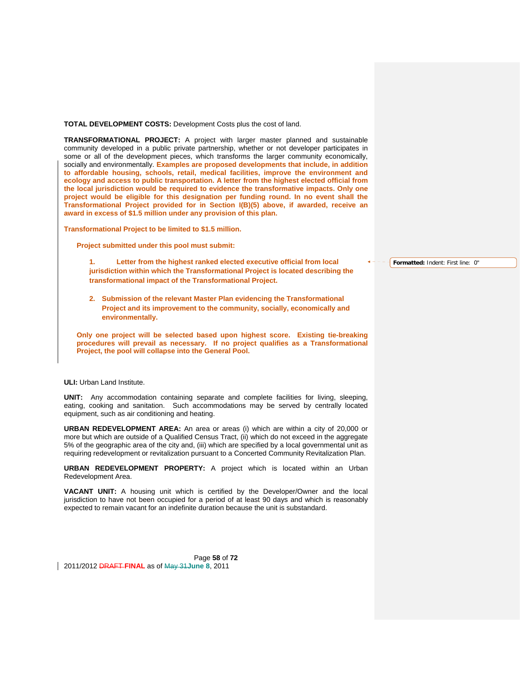**TOTAL DEVELOPMENT COSTS:** Development Costs plus the cost of land.

**TRANSFORMATIONAL PROJECT:** A project with larger master planned and sustainable community developed in a public private partnership, whether or not developer participates in some or all of the development pieces, which transforms the larger community economically, socially and environmentally. **Examples are proposed developments that include, in addition to affordable housing, schools, retail, medical facilities, improve the environment and ecology and access to public transportation. A letter from the highest elected official from the local jurisdiction would be required to evidence the transformative impacts. Only one project would be eligible for this designation per funding round. In no event shall the Transformational Project provided for in Section I(B)(5) above, if awarded, receive an award in excess of \$1.5 million under any provision of this plan.** 

**Transformational Project to be limited to \$1.5 million.** 

**Project submitted under this pool must submit:** 

**1. Letter from the highest ranked elected executive official from local jurisdiction within which the Transformational Project is located describing the transformational impact of the Transformational Project.** 

**2. Submission of the relevant Master Plan evidencing the Transformational Project and its improvement to the community, socially, economically and environmentally.** 

**Only one project will be selected based upon highest score. Existing tie-breaking procedures will prevail as necessary. If no project qualifies as a Transformational Project, the pool will collapse into the General Pool.** 

**ULI:** Urban Land Institute.

**UNIT:** Any accommodation containing separate and complete facilities for living, sleeping, eating, cooking and sanitation. Such accommodations may be served by centrally located equipment, such as air conditioning and heating.

**URBAN REDEVELOPMENT AREA:** An area or areas (i) which are within a city of 20,000 or more but which are outside of a Qualified Census Tract, (ii) which do not exceed in the aggregate 5% of the geographic area of the city and, (iii) which are specified by a local governmental unit as requiring redevelopment or revitalization pursuant to a Concerted Community Revitalization Plan.

**URBAN REDEVELOPMENT PROPERTY:** A project which is located within an Urban Redevelopment Area.

**VACANT UNIT:** A housing unit which is certified by the Developer/Owner and the local jurisdiction to have not been occupied for a period of at least 90 days and which is reasonably expected to remain vacant for an indefinite duration because the unit is substandard.

Page **58** of **72** 2011/2012 DRAFT **FINAL** as of May 31**June 8**, 2011

**Formatted:** Indent: First line: 0"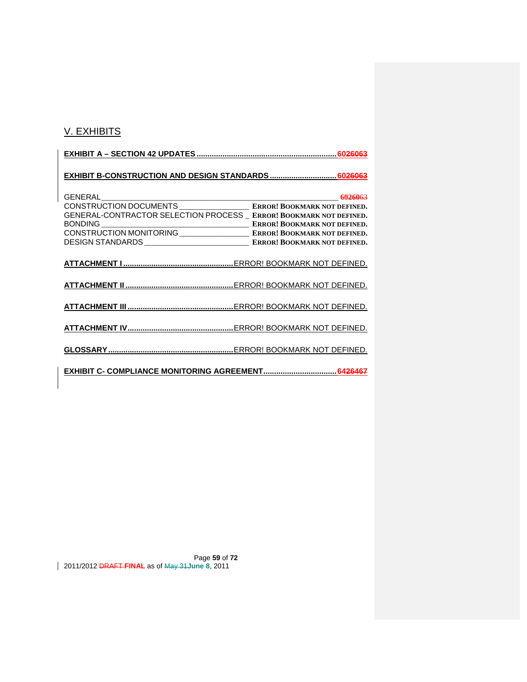# V. EXHIBITS

| EXHIBIT B-CONSTRUCTION AND DESIGN STANDARDS  6026063                |  |  |
|---------------------------------------------------------------------|--|--|
|                                                                     |  |  |
|                                                                     |  |  |
| GENERAL-CONTRACTOR SELECTION PROCESS _ ERROR! BOOKMARK NOT DEFINED. |  |  |
|                                                                     |  |  |
|                                                                     |  |  |
|                                                                     |  |  |
|                                                                     |  |  |
|                                                                     |  |  |
|                                                                     |  |  |
|                                                                     |  |  |
|                                                                     |  |  |
|                                                                     |  |  |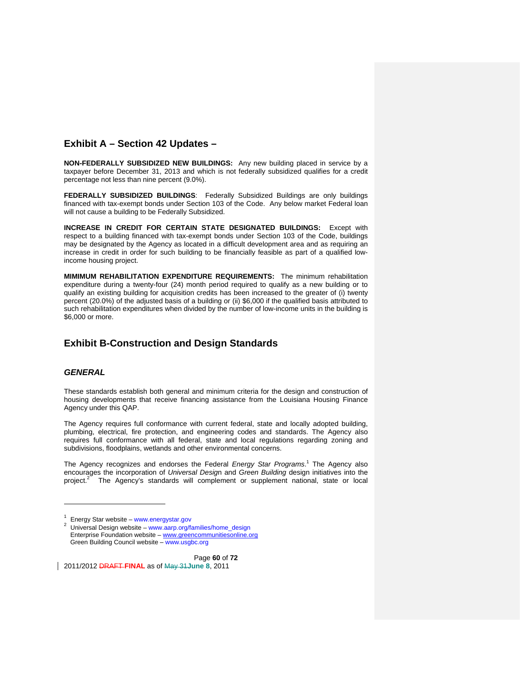# **Exhibit A – Section 42 Updates –**

**NON-FEDERALLY SUBSIDIZED NEW BUILDINGS:** Any new building placed in service by a taxpayer before December 31, 2013 and which is not federally subsidized qualifies for a credit percentage not less than nine percent (9.0%).

**FEDERALLY SUBSIDIZED BUILDINGS**: Federally Subsidized Buildings are only buildings financed with tax-exempt bonds under Section 103 of the Code. Any below market Federal loan will not cause a building to be Federally Subsidized.

**INCREASE IN CREDIT FOR CERTAIN STATE DESIGNATED BUILDINGS:** Except with respect to a building financed with tax-exempt bonds under Section 103 of the Code, buildings may be designated by the Agency as located in a difficult development area and as requiring an increase in credit in order for such building to be financially feasible as part of a qualified lowincome housing project.

**MIMIMUM REHABILITATION EXPENDITURE REQUIREMENTS:** The minimum rehabilitation expenditure during a twenty-four (24) month period required to qualify as a new building or to qualify an existing building for acquisition credits has been increased to the greater of (i) twenty percent (20.0%) of the adjusted basis of a building or (ii) \$6,000 if the qualified basis attributed to such rehabilitation expenditures when divided by the number of low-income units in the building is \$6,000 or more.

# **Exhibit B-Construction and Design Standards**

## *GENERAL*

 $\overline{a}$ 

These standards establish both general and minimum criteria for the design and construction of housing developments that receive financing assistance from the Louisiana Housing Finance Agency under this QAP.

The Agency requires full conformance with current federal, state and locally adopted building, plumbing, electrical, fire protection, and engineering codes and standards. The Agency also requires full conformance with all federal, state and local regulations regarding zoning and subdivisions, floodplains, wetlands and other environmental concerns.

The Agency recognizes and endorses the Federal *Energy Star Programs*. 1 The Agency also encourages the incorporation of *Universal Desig*n and *Green Building* design initiatives into the project.<sup>2</sup> The Agency's standards will complement or supplement national, state or local

Page **60** of **72** 2011/2012 DRAFT **FINAL** as of May 31**June 8**, 2011

<sup>1</sup> Energy Star website – www.energystar.gov <sup>2</sup>

<sup>2</sup> Universal Design website – www.aarp.org/families/home\_design Enterprise Foundation website – www.greencommunitiesonline.org Green Building Council website – www.usgbc.org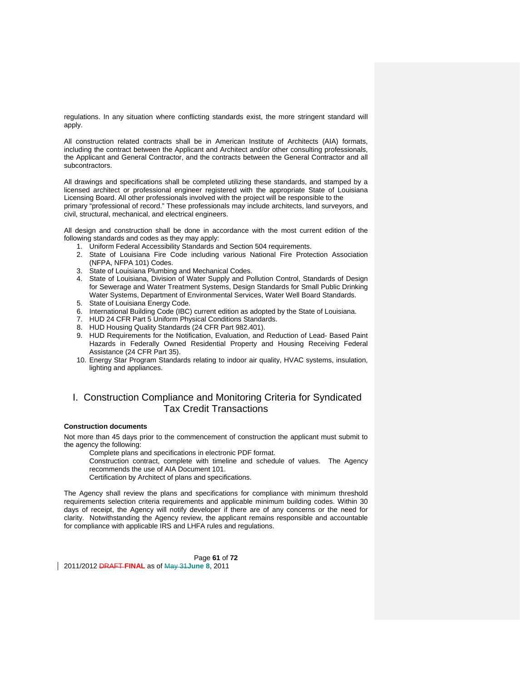regulations. In any situation where conflicting standards exist, the more stringent standard will apply.

All construction related contracts shall be in American Institute of Architects (AIA) formats, including the contract between the Applicant and Architect and/or other consulting professionals, the Applicant and General Contractor, and the contracts between the General Contractor and all subcontractors.

All drawings and specifications shall be completed utilizing these standards, and stamped by a licensed architect or professional engineer registered with the appropriate State of Louisiana Licensing Board. All other professionals involved with the project will be responsible to the

primary "professional of record." These professionals may include architects, land surveyors, and civil, structural, mechanical, and electrical engineers.

All design and construction shall be done in accordance with the most current edition of the following standards and codes as they may apply:

- 1. Uniform Federal Accessibility Standards and Section 504 requirements.
- 2. State of Louisiana Fire Code including various National Fire Protection Association (NFPA, NFPA 101) Codes.
- 3. State of Louisiana Plumbing and Mechanical Codes.
- 4. State of Louisiana, Division of Water Supply and Pollution Control, Standards of Design for Sewerage and Water Treatment Systems, Design Standards for Small Public Drinking Water Systems, Department of Environmental Services, Water Well Board Standards.
- 5. State of Louisiana Energy Code.
- 6. International Building Code (IBC) current edition as adopted by the State of Louisiana.
- 7. HUD 24 CFR Part 5 Uniform Physical Conditions Standards.
- 8. HUD Housing Quality Standards (24 CFR Part 982.401).
- 9. HUD Requirements for the Notification, Evaluation, and Reduction of Lead- Based Paint Hazards in Federally Owned Residential Property and Housing Receiving Federal Assistance (24 CFR Part 35).
- 10. Energy Star Program Standards relating to indoor air quality, HVAC systems, insulation, lighting and appliances.

# I. Construction Compliance and Monitoring Criteria for Syndicated Tax Credit Transactions

# **Construction documents**

Not more than 45 days prior to the commencement of construction the applicant must submit to the agency the following:

Complete plans and specifications in electronic PDF format.

Construction contract, complete with timeline and schedule of values. The Agency recommends the use of AIA Document 101.

Certification by Architect of plans and specifications.

The Agency shall review the plans and specifications for compliance with minimum threshold requirements selection criteria requirements and applicable minimum building codes. Within 30 days of receipt, the Agency will notify developer if there are of any concerns or the need for clarity. Notwithstanding the Agency review, the applicant remains responsible and accountable for compliance with applicable IRS and LHFA rules and regulations.

Page **61** of **72** 2011/2012 DRAFT **FINAL** as of May 31**June 8**, 2011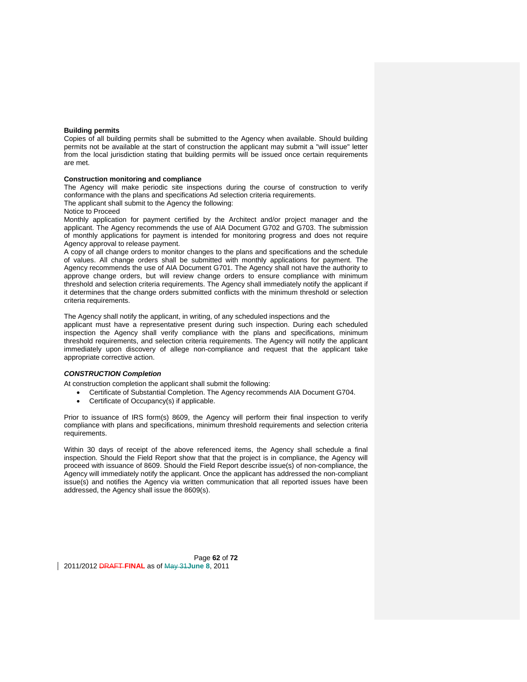#### **Building permits**

Copies of all building permits shall be submitted to the Agency when available. Should building permits not be available at the start of construction the applicant may submit a "will issue" letter from the local jurisdiction stating that building permits will be issued once certain requirements are met.

### **Construction monitoring and compliance**

The Agency will make periodic site inspections during the course of construction to verify conformance with the plans and specifications Ad selection criteria requirements.

The applicant shall submit to the Agency the following:

Notice to Proceed

Monthly application for payment certified by the Architect and/or project manager and the applicant. The Agency recommends the use of AIA Document G702 and G703. The submission of monthly applications for payment is intended for monitoring progress and does not require Agency approval to release payment.

A copy of all change orders to monitor changes to the plans and specifications and the schedule of values. All change orders shall be submitted with monthly applications for payment. The Agency recommends the use of AIA Document G701. The Agency shall not have the authority to approve change orders, but will review change orders to ensure compliance with minimum threshold and selection criteria requirements. The Agency shall immediately notify the applicant if it determines that the change orders submitted conflicts with the minimum threshold or selection criteria requirements.

The Agency shall notify the applicant, in writing, of any scheduled inspections and the

applicant must have a representative present during such inspection. During each scheduled inspection the Agency shall verify compliance with the plans and specifications, minimum threshold requirements, and selection criteria requirements. The Agency will notify the applicant immediately upon discovery of allege non-compliance and request that the applicant take appropriate corrective action.

# *CONSTRUCTION Completion*

At construction completion the applicant shall submit the following:

- Certificate of Substantial Completion. The Agency recommends AIA Document G704.
- Certificate of Occupancy(s) if applicable.

Prior to issuance of IRS form(s) 8609, the Agency will perform their final inspection to verify compliance with plans and specifications, minimum threshold requirements and selection criteria requirements.

Within 30 days of receipt of the above referenced items, the Agency shall schedule a final inspection. Should the Field Report show that that the project is in compliance, the Agency will proceed with issuance of 8609. Should the Field Report describe issue(s) of non-compliance, the Agency will immediately notify the applicant. Once the applicant has addressed the non-compliant issue(s) and notifies the Agency via written communication that all reported issues have been addressed, the Agency shall issue the 8609(s).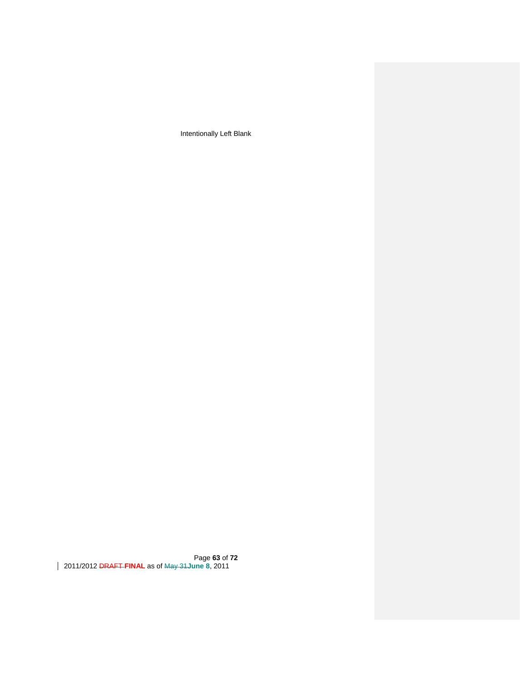Intentionally Left Blank

Page **63** of **72** 2011/2012 DRAFT **FINAL** as of May 31**June 8**, 2011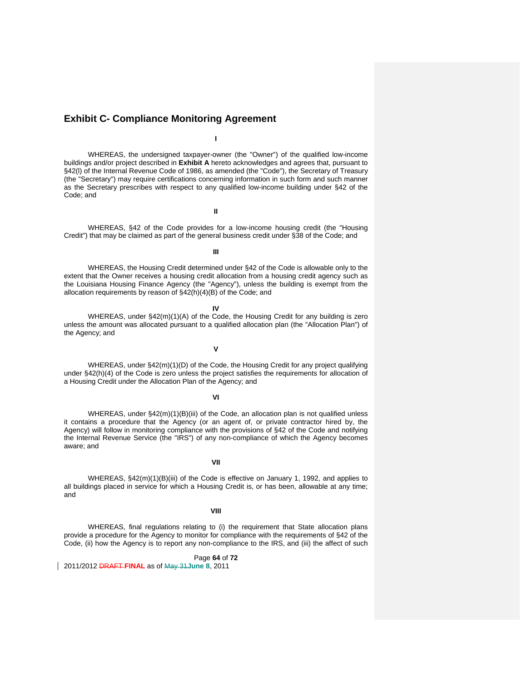# **Exhibit C- Compliance Monitoring Agreement**

 WHEREAS, the undersigned taxpayer-owner (the "Owner") of the qualified low-income buildings and/or project described in **Exhibit A** hereto acknowledges and agrees that, pursuant to §42(I) of the Internal Revenue Code of 1986, as amended (the "Code"), the Secretary of Treasury (the "Secretary") may require certifications concerning information in such form and such manner as the Secretary prescribes with respect to any qualified low-income building under §42 of the Code; and

**I**

**II**

 WHEREAS, §42 of the Code provides for a low-income housing credit (the "Housing Credit") that may be claimed as part of the general business credit under §38 of the Code; and

**III** 

 WHEREAS, the Housing Credit determined under §42 of the Code is allowable only to the extent that the Owner receives a housing credit allocation from a housing credit agency such as the Louisiana Housing Finance Agency (the "Agency"), unless the building is exempt from the allocation requirements by reason of §42(h)(4)(B) of the Code; and

**IV**

 WHEREAS, under §42(m)(1)(A) of the Code, the Housing Credit for any building is zero unless the amount was allocated pursuant to a qualified allocation plan (the "Allocation Plan") of the Agency; and

 WHEREAS, under §42(m)(1)(D) of the Code, the Housing Credit for any project qualifying under §42(h)(4) of the Code is zero unless the project satisfies the requirements for allocation of a Housing Credit under the Allocation Plan of the Agency; and

**V**

**VI** 

 WHEREAS, under §42(m)(1)(B)(iii) of the Code, an allocation plan is not qualified unless it contains a procedure that the Agency (or an agent of, or private contractor hired by, the Agency) will follow in monitoring compliance with the provisions of §42 of the Code and notifying the Internal Revenue Service (the "IRS") of any non-compliance of which the Agency becomes aware; and

**VII** 

 WHEREAS, §42(m)(1)(B)(iii) of the Code is effective on January 1, 1992, and applies to all buildings placed in service for which a Housing Credit is, or has been, allowable at any time; and

**VIII** 

 WHEREAS, final regulations relating to (i) the requirement that State allocation plans provide a procedure for the Agency to monitor for compliance with the requirements of §42 of the Code, (ii) how the Agency is to report any non-compliance to the IRS, and (iii) the affect of such

Page **64** of **72** 2011/2012 DRAFT **FINAL** as of May 31**June 8**, 2011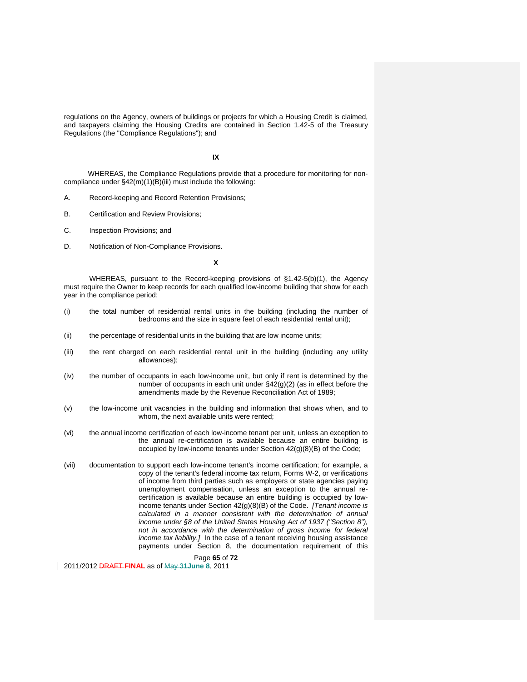regulations on the Agency, owners of buildings or projects for which a Housing Credit is claimed, and taxpayers claiming the Housing Credits are contained in Section 1.42-5 of the Treasury Regulations (the "Compliance Regulations"); and

**IX** 

 WHEREAS, the Compliance Regulations provide that a procedure for monitoring for noncompliance under §42(m)(1)(B)(iii) must include the following:

- A. Record-keeping and Record Retention Provisions;
- B. Certification and Review Provisions;
- C. Inspection Provisions; and
- D. Notification of Non-Compliance Provisions.

### **X**

 WHEREAS, pursuant to the Record-keeping provisions of §1.42-5(b)(1), the Agency must require the Owner to keep records for each qualified low-income building that show for each year in the compliance period:

- (i) the total number of residential rental units in the building (including the number of bedrooms and the size in square feet of each residential rental unit);
- (ii) the percentage of residential units in the building that are low income units;
- (iii) the rent charged on each residential rental unit in the building (including any utility allowances);
- (iv) the number of occupants in each low-income unit, but only if rent is determined by the number of occupants in each unit under §42(g)(2) (as in effect before the amendments made by the Revenue Reconciliation Act of 1989;
- (v) the low-income unit vacancies in the building and information that shows when, and to whom, the next available units were rented;
- (vi) the annual income certification of each low-income tenant per unit, unless an exception to the annual re-certification is available because an entire building is occupied by low-income tenants under Section 42(g)(8)(B) of the Code;
- (vii) documentation to support each low-income tenant's income certification; for example, a copy of the tenant's federal income tax return, Forms W-2, or verifications of income from third parties such as employers or state agencies paying unemployment compensation, unless an exception to the annual recertification is available because an entire building is occupied by lowincome tenants under Section 42(g)(8)(B) of the Code. *[Tenant income is calculated in a manner consistent with the determination of annual income under §8 of the United States Housing Act of 1937 ("Section 8"), not in accordance with the determination of gross income for federal income tax liability.]* In the case of a tenant receiving housing assistance payments under Section 8, the documentation requirement of this

## Page **65** of **72**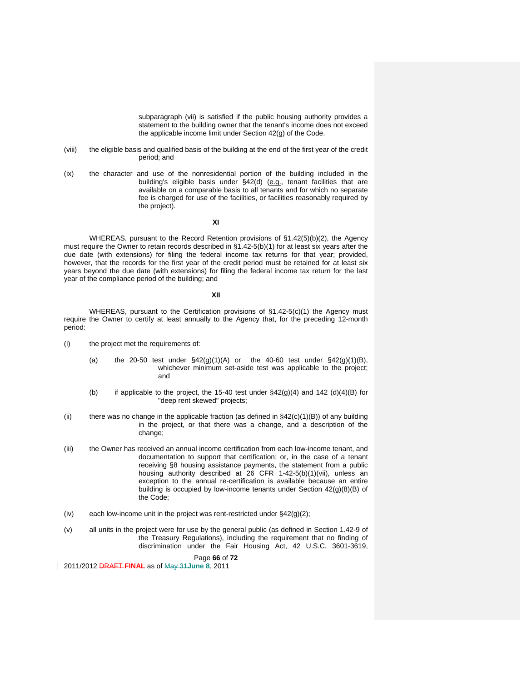subparagraph (vii) is satisfied if the public housing authority provides a statement to the building owner that the tenant's income does not exceed the applicable income limit under Section 42(g) of the Code.

- (viii) the eligible basis and qualified basis of the building at the end of the first year of the credit period; and
- (ix) the character and use of the nonresidential portion of the building included in the building's eligible basis under §42(d) (e.g., tenant facilities that are available on a comparable basis to all tenants and for which no separate fee is charged for use of the facilities, or facilities reasonably required by the project).

#### **XI**

 WHEREAS, pursuant to the Record Retention provisions of §1.42(5)(b)(2), the Agency must require the Owner to retain records described in §1.42-5(b)(1) for at least six years after the due date (with extensions) for filing the federal income tax returns for that year; provided, however, that the records for the first year of the credit period must be retained for at least six years beyond the due date (with extensions) for filing the federal income tax return for the last year of the compliance period of the building; and

#### **XII**

WHEREAS, pursuant to the Certification provisions of  $\S1.42-5(c)(1)$  the Agency must require the Owner to certify at least annually to the Agency that, for the preceding 12-month period:

- (i) the project met the requirements of:
	- (a) the 20-50 test under  $$42(g)(1)(A)$  or the 40-60 test under  $$42(g)(1)(B)$ , whichever minimum set-aside test was applicable to the project; and
	- (b) if applicable to the project, the 15-40 test under  $\S 42(g)(4)$  and 142 (d)(4)(B) for "deep rent skewed" projects;
- (ii) there was no change in the applicable fraction (as defined in  $§42(c)(1)(B)$ ) of any building in the project, or that there was a change, and a description of the change;
- (iii) the Owner has received an annual income certification from each low-income tenant, and documentation to support that certification; or, in the case of a tenant receiving §8 housing assistance payments, the statement from a public housing authority described at 26 CFR 1-42-5(b)(1)(vii), unless an exception to the annual re-certification is available because an entire building is occupied by low-income tenants under Section 42(g)(8)(B) of the Code;
- (iv) each low-income unit in the project was rent-restricted under  $\S42(q)(2)$ ;
- (v) all units in the project were for use by the general public (as defined in Section 1.42-9 of the Treasury Regulations), including the requirement that no finding of discrimination under the Fair Housing Act, 42 U.S.C. 3601-3619,

## Page **66** of **72**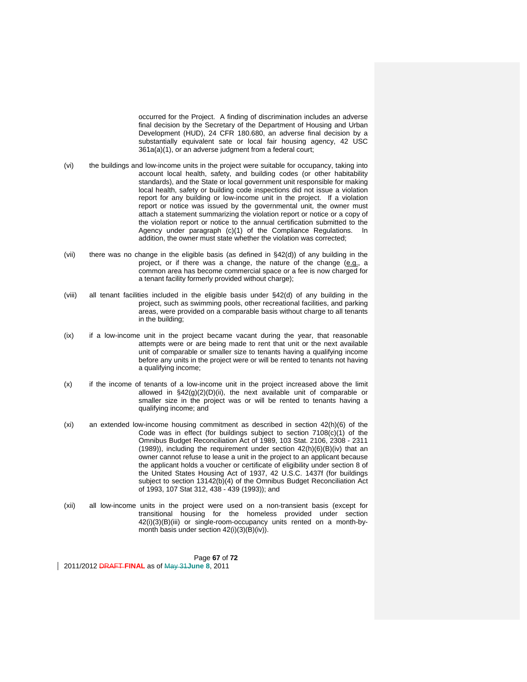occurred for the Project. A finding of discrimination includes an adverse final decision by the Secretary of the Department of Housing and Urban Development (HUD), 24 CFR 180.680, an adverse final decision by a substantially equivalent sate or local fair housing agency, 42 USC 361a(a)(1), or an adverse judgment from a federal court;

- (vi) the buildings and low-income units in the project were suitable for occupancy, taking into account local health, safety, and building codes (or other habitability standards), and the State or local government unit responsible for making local health, safety or building code inspections did not issue a violation report for any building or low-income unit in the project. If a violation report or notice was issued by the governmental unit, the owner must attach a statement summarizing the violation report or notice or a copy of the violation report or notice to the annual certification submitted to the Agency under paragraph (c)(1) of the Compliance Regulations. In addition, the owner must state whether the violation was corrected;
- (vii) there was no change in the eligible basis (as defined in §42(d)) of any building in the project, or if there was a change, the nature of the change (e.g., a common area has become commercial space or a fee is now charged for a tenant facility formerly provided without charge);
- (viii) all tenant facilities included in the eligible basis under §42(d) of any building in the project, such as swimming pools, other recreational facilities, and parking areas, were provided on a comparable basis without charge to all tenants in the building;
- (ix) if a low-income unit in the project became vacant during the year, that reasonable attempts were or are being made to rent that unit or the next available unit of comparable or smaller size to tenants having a qualifying income before any units in the project were or will be rented to tenants not having a qualifying income;
- (x) if the income of tenants of a low-income unit in the project increased above the limit allowed in §42(g)(2)(D)(ii), the next available unit of comparable or smaller size in the project was or will be rented to tenants having a qualifying income; and
- (xi) an extended low-income housing commitment as described in section 42(h)(6) of the Code was in effect (for buildings subject to section  $7108(c)(1)$  of the Omnibus Budget Reconciliation Act of 1989, 103 Stat. 2106, 2308 - 2311 (1989)), including the requirement under section 42(h)(6)(B)(iv) that an owner cannot refuse to lease a unit in the project to an applicant because the applicant holds a voucher or certificate of eligibility under section 8 of the United States Housing Act of 1937, 42 U.S.C. 1437f (for buildings subject to section 13142(b)(4) of the Omnibus Budget Reconciliation Act of 1993, 107 Stat 312, 438 - 439 (1993)); and
- (xii) all low-income units in the project were used on a non-transient basis (except for transitional housing for the homeless provided under section 42(i)(3)(B)(iii) or single-room-occupancy units rented on a month-bymonth basis under section 42(i)(3)(B)(iv)).

Page **67** of **72** 2011/2012 DRAFT **FINAL** as of May 31**June 8**, 2011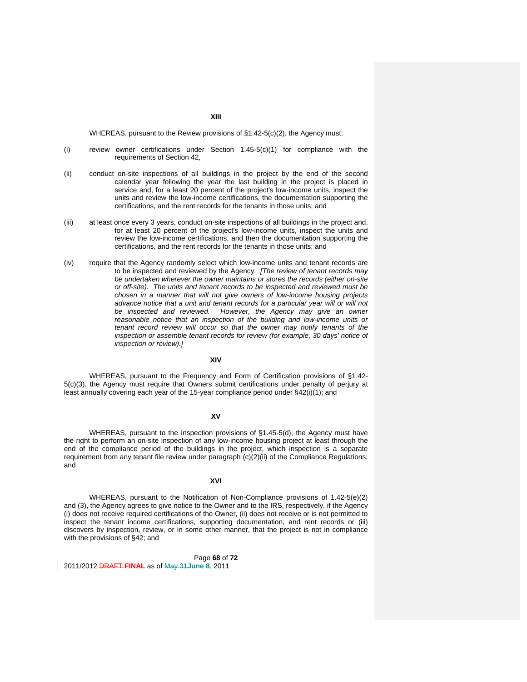WHEREAS, pursuant to the Review provisions of §1.42-5(c)(2), the Agency must:

- (i) review owner certifications under Section  $1.45-5(c)(1)$  for compliance with the requirements of Section 42,
- (ii) conduct on-site inspections of all buildings in the project by the end of the second calendar year following the year the last building in the project is placed in service and, for a least 20 percent of the project's low-income units, inspect the units and review the low-income certifications, the documentation supporting the certifications, and the rent records for the tenants in those units; and
- (iii) at least once every 3 years, conduct on-site inspections of all buildings in the project and, for at least 20 percent of the project's low-income units, inspect the units and review the low-income certifications, and then the documentation supporting the certifications, and the rent records for the tenants in those units; and
- (iv) require that the Agency randomly select which low-income units and tenant records are to be inspected and reviewed by the Agency. *[The review of tenant records may be undertaken wherever the owner maintains or stores the records (either on-site or off-site). The units and tenant records to be inspected and reviewed must be chosen in a manner that will not give owners of low-income housing projects advance notice that a unit and tenant records for a particular year will or will not be inspected and reviewed. However, the Agency may give an owner reasonable notice that an inspection of the building and low-income units or tenant record review will occur so that the owner may notify tenants of the inspection or assemble tenant records for review (for example, 30 days' notice of inspection or review).]*

### **XIV**

 WHEREAS, pursuant to the Frequency and Form of Certification provisions of §1.42- 5(c)(3), the Agency must require that Owners submit certifications under penalty of perjury at least annually covering each year of the 15-year compliance period under §42(i)(1); and

### **XV**

 WHEREAS, pursuant to the Inspection provisions of §1.45-5(d), the Agency must have the right to perform an on-site inspection of any low-income housing project at least through the end of the compliance period of the buildings in the project, which inspection is a separate requirement from any tenant file review under paragraph (c)(2)(ii) of the Compliance Regulations; and

### **XVI**

 WHEREAS, pursuant to the Notification of Non-Compliance provisions of 1.42-5(e)(2) and (3), the Agency agrees to give notice to the Owner and to the IRS, respectively, if the Agency (i) does not receive required certifications of the Owner, (ii) does not receive or is not permitted to inspect the tenant income certifications, supporting documentation, and rent records or (iii) discovers by inspection, review, or in some other manner, that the project is not in compliance with the provisions of §42; and

Page **68** of **72** 2011/2012 DRAFT **FINAL** as of May 31**June 8**, 2011

# **XIII**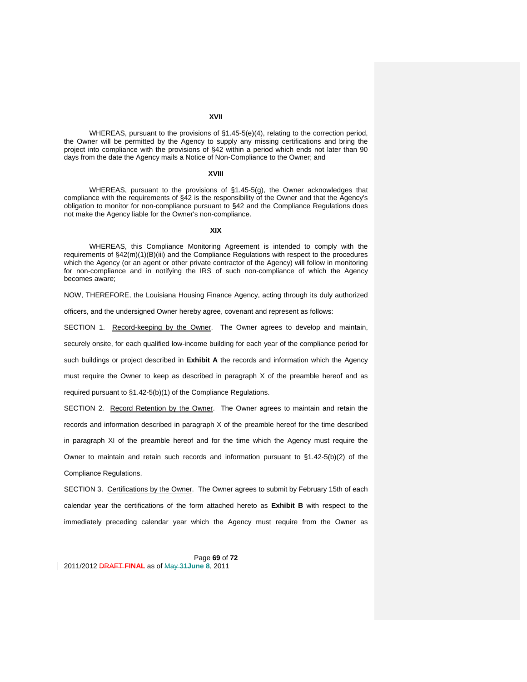### **XVII**

 WHEREAS, pursuant to the provisions of §1.45-5(e)(4), relating to the correction period, the Owner will be permitted by the Agency to supply any missing certifications and bring the project into compliance with the provisions of §42 within a period which ends not later than 90 days from the date the Agency mails a Notice of Non-Compliance to the Owner; and

#### **XVIII**

 WHEREAS, pursuant to the provisions of §1.45-5(g), the Owner acknowledges that compliance with the requirements of §42 is the responsibility of the Owner and that the Agency's obligation to monitor for non-compliance pursuant to §42 and the Compliance Regulations does not make the Agency liable for the Owner's non-compliance.

#### **XIX**

 WHEREAS, this Compliance Monitoring Agreement is intended to comply with the requirements of §42(m)(1)(B)(iii) and the Compliance Regulations with respect to the procedures which the Agency (or an agent or other private contractor of the Agency) will follow in monitoring for non-compliance and in notifying the IRS of such non-compliance of which the Agency becomes aware;

NOW, THEREFORE, the Louisiana Housing Finance Agency, acting through its duly authorized

officers, and the undersigned Owner hereby agree, covenant and represent as follows:

SECTION 1. Record-keeping by the Owner. The Owner agrees to develop and maintain,

securely onsite, for each qualified low-income building for each year of the compliance period for

such buildings or project described in **Exhibit A** the records and information which the Agency

must require the Owner to keep as described in paragraph X of the preamble hereof and as

required pursuant to §1.42-5(b)(1) of the Compliance Regulations.

SECTION 2. Record Retention by the Owner. The Owner agrees to maintain and retain the records and information described in paragraph X of the preamble hereof for the time described in paragraph XI of the preamble hereof and for the time which the Agency must require the Owner to maintain and retain such records and information pursuant to  $\S1.42-5(b)(2)$  of the Compliance Regulations.

SECTION 3. Certifications by the Owner. The Owner agrees to submit by February 15th of each calendar year the certifications of the form attached hereto as **Exhibit B** with respect to the immediately preceding calendar year which the Agency must require from the Owner as

Page **69** of **72** 2011/2012 DRAFT **FINAL** as of May 31**June 8**, 2011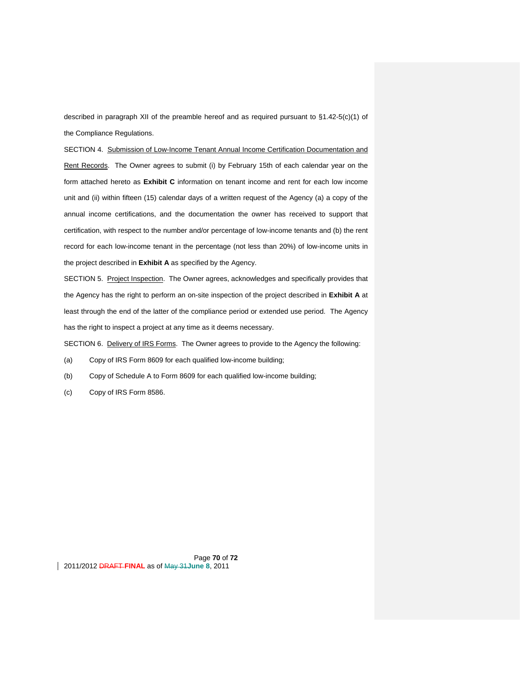described in paragraph XII of the preamble hereof and as required pursuant to §1.42-5(c)(1) of the Compliance Regulations.

SECTION 4. Submission of Low-Income Tenant Annual Income Certification Documentation and Rent Records. The Owner agrees to submit (i) by February 15th of each calendar year on the form attached hereto as **Exhibit C** information on tenant income and rent for each low income unit and (ii) within fifteen (15) calendar days of a written request of the Agency (a) a copy of the annual income certifications, and the documentation the owner has received to support that certification, with respect to the number and/or percentage of low-income tenants and (b) the rent record for each low-income tenant in the percentage (not less than 20%) of low-income units in the project described in **Exhibit A** as specified by the Agency.

SECTION 5. Project Inspection. The Owner agrees, acknowledges and specifically provides that the Agency has the right to perform an on-site inspection of the project described in **Exhibit A** at least through the end of the latter of the compliance period or extended use period. The Agency has the right to inspect a project at any time as it deems necessary.

SECTION 6. Delivery of IRS Forms. The Owner agrees to provide to the Agency the following:

(a) Copy of IRS Form 8609 for each qualified low-income building;

(b) Copy of Schedule A to Form 8609 for each qualified low-income building;

(c) Copy of IRS Form 8586.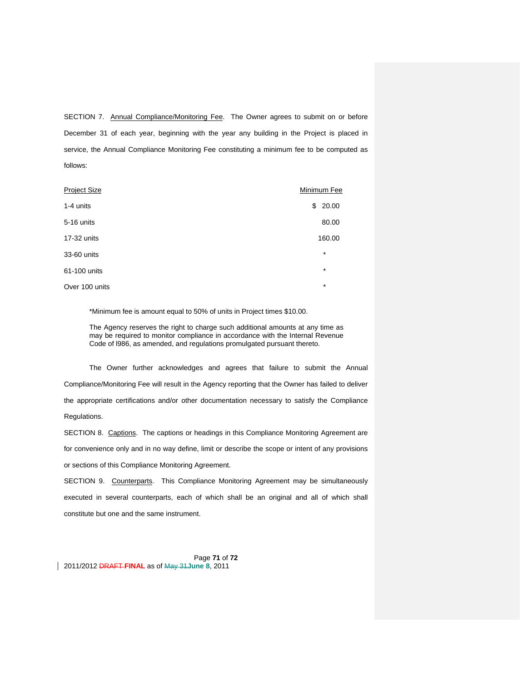SECTION 7. Annual Compliance/Monitoring Fee. The Owner agrees to submit on or before December 31 of each year, beginning with the year any building in the Project is placed in service, the Annual Compliance Monitoring Fee constituting a minimum fee to be computed as follows:

| <b>Project Size</b> | Minimum Fee |
|---------------------|-------------|
| 1-4 units           | \$20.00     |
| 5-16 units          | 80.00       |
| 17-32 units         | 160.00      |
| 33-60 units         | $\star$     |
| 61-100 units        | $\star$     |
| Over 100 units      | $\ast$      |

\*Minimum fee is amount equal to 50% of units in Project times \$10.00.

The Agency reserves the right to charge such additional amounts at any time as may be required to monitor compliance in accordance with the Internal Revenue Code of l986, as amended, and regulations promulgated pursuant thereto.

 The Owner further acknowledges and agrees that failure to submit the Annual Compliance/Monitoring Fee will result in the Agency reporting that the Owner has failed to deliver the appropriate certifications and/or other documentation necessary to satisfy the Compliance Regulations.

SECTION 8. Captions. The captions or headings in this Compliance Monitoring Agreement are for convenience only and in no way define, limit or describe the scope or intent of any provisions or sections of this Compliance Monitoring Agreement.

SECTION 9. Counterparts. This Compliance Monitoring Agreement may be simultaneously executed in several counterparts, each of which shall be an original and all of which shall constitute but one and the same instrument.

Page **71** of **72** 2011/2012 DRAFT **FINAL** as of May 31**June 8**, 2011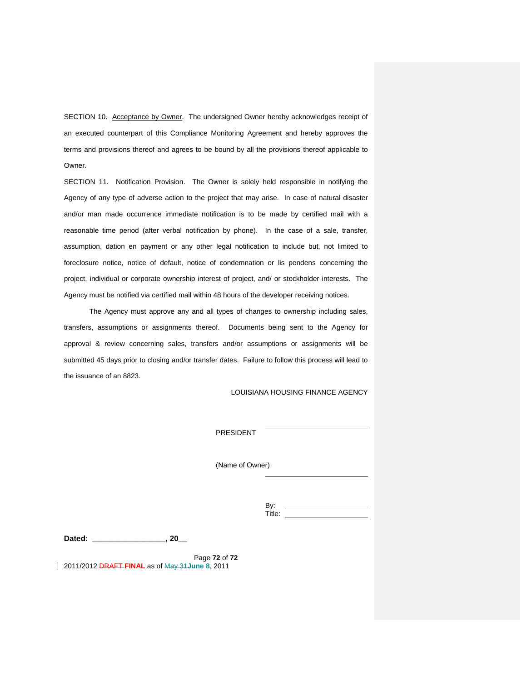SECTION 10. Acceptance by Owner. The undersigned Owner hereby acknowledges receipt of an executed counterpart of this Compliance Monitoring Agreement and hereby approves the terms and provisions thereof and agrees to be bound by all the provisions thereof applicable to Owner.

SECTION 11. Notification Provision. The Owner is solely held responsible in notifying the Agency of any type of adverse action to the project that may arise. In case of natural disaster and/or man made occurrence immediate notification is to be made by certified mail with a reasonable time period (after verbal notification by phone). In the case of a sale, transfer, assumption, dation en payment or any other legal notification to include but, not limited to foreclosure notice, notice of default, notice of condemnation or lis pendens concerning the project, individual or corporate ownership interest of project, and/ or stockholder interests. The Agency must be notified via certified mail within 48 hours of the developer receiving notices.

 The Agency must approve any and all types of changes to ownership including sales, transfers, assumptions or assignments thereof. Documents being sent to the Agency for approval & review concerning sales, transfers and/or assumptions or assignments will be submitted 45 days prior to closing and/or transfer dates. Failure to follow this process will lead to the issuance of an 8823.

LOUISIANA HOUSING FINANCE AGENCY

PRESIDENT

(Name of Owner)

 By: Title:

**Dated: \_\_\_\_\_\_\_\_\_\_\_\_\_\_\_\_\_, 20\_\_** 

Page **72** of **72** 2011/2012 DRAFT **FINAL** as of May 31**June 8**, 2011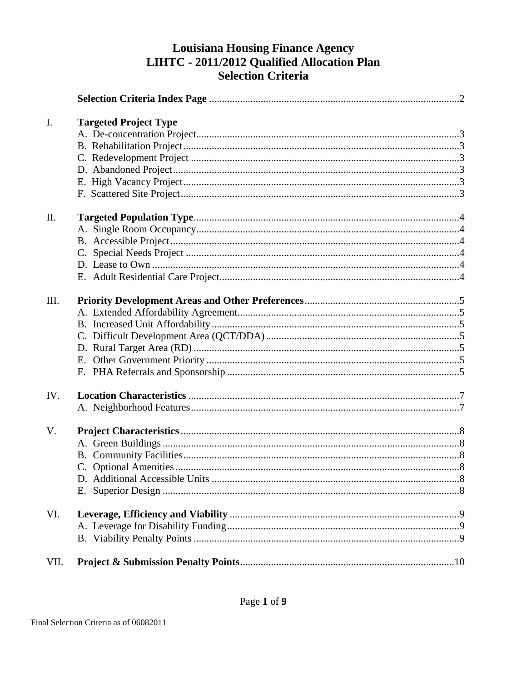# **Louisiana Housing Finance Agency<br>LIHTC - 2011/2012 Qualified Allocation Plan Selection Criteria**

| I.   | <b>Targeted Project Type</b> |  |
|------|------------------------------|--|
|      |                              |  |
|      |                              |  |
|      |                              |  |
|      |                              |  |
|      |                              |  |
|      |                              |  |
| II.  |                              |  |
|      |                              |  |
|      |                              |  |
|      |                              |  |
|      |                              |  |
|      |                              |  |
| III. |                              |  |
|      |                              |  |
|      |                              |  |
|      |                              |  |
|      |                              |  |
|      |                              |  |
|      |                              |  |
| IV.  |                              |  |
|      |                              |  |
| V.   |                              |  |
|      |                              |  |
|      |                              |  |
|      |                              |  |
|      |                              |  |
|      |                              |  |
| VI.  |                              |  |
|      |                              |  |
|      |                              |  |
| VII. |                              |  |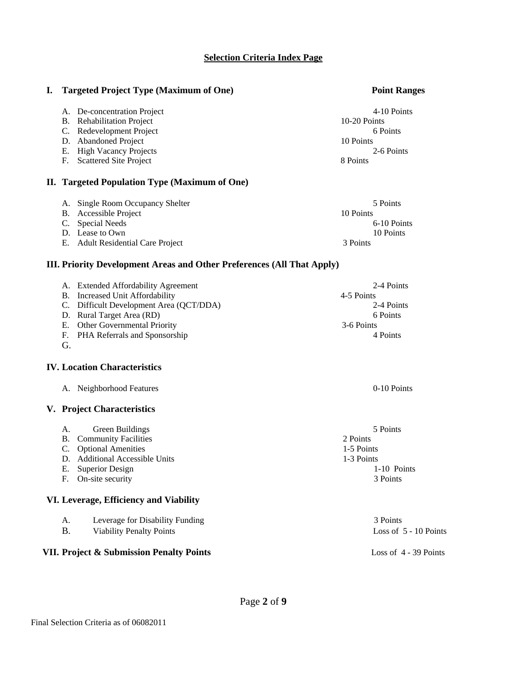## **Selection Criteria Index Page**

| I. | <b>Targeted Project Type (Maximum of One)</b> |                                                                                                                                                                                                                   | <b>Point Ranges</b>                                                            |
|----|-----------------------------------------------|-------------------------------------------------------------------------------------------------------------------------------------------------------------------------------------------------------------------|--------------------------------------------------------------------------------|
|    | Е.<br>F.                                      | A. De-concentration Project<br><b>B.</b> Rehabilitation Project<br>C. Redevelopment Project<br>D. Abandoned Project<br><b>High Vacancy Projects</b><br><b>Scattered Site Project</b>                              | 4-10 Points<br>10-20 Points<br>6 Points<br>10 Points<br>2-6 Points<br>8 Points |
|    |                                               | II. Targeted Population Type (Maximum of One)                                                                                                                                                                     |                                                                                |
|    |                                               | A. Single Room Occupancy Shelter<br><b>B.</b> Accessible Project<br>C. Special Needs<br>D. Lease to Own<br>E. Adult Residential Care Project                                                                      | 5 Points<br>10 Points<br>6-10 Points<br>10 Points<br>3 Points                  |
|    |                                               | III. Priority Development Areas and Other Preferences (All That Apply)                                                                                                                                            |                                                                                |
|    | Е.<br>G.                                      | A. Extended Affordability Agreement<br>B. Increased Unit Affordability<br>C. Difficult Development Area (QCT/DDA)<br>D. Rural Target Area (RD)<br>Other Governmental Priority<br>F. PHA Referrals and Sponsorship | 2-4 Points<br>4-5 Points<br>2-4 Points<br>6 Points<br>3-6 Points<br>4 Points   |
|    |                                               | <b>IV. Location Characteristics</b>                                                                                                                                                                               |                                                                                |
|    |                                               | A. Neighborhood Features                                                                                                                                                                                          | 0-10 Points                                                                    |
|    |                                               | V. Project Characteristics                                                                                                                                                                                        |                                                                                |
|    | А.<br>Ε.<br>F.                                | Green Buildings<br><b>B.</b> Community Facilities<br>C. Optional Amenities<br>D. Additional Accessible Units<br><b>Superior Design</b><br>On-site security                                                        | 5 Points<br>2 Points<br>1-5 Points<br>1-3 Points<br>1-10 Points<br>3 Points    |
|    |                                               | VI. Leverage, Efficiency and Viability                                                                                                                                                                            |                                                                                |

| Leverage for Disability Funding | 3 Points                |
|---------------------------------|-------------------------|
| <b>Viability Penalty Points</b> | Loss of $5 - 10$ Points |

## **VII. Project & Submission Penalty Points** Loss of 4 - 39 Points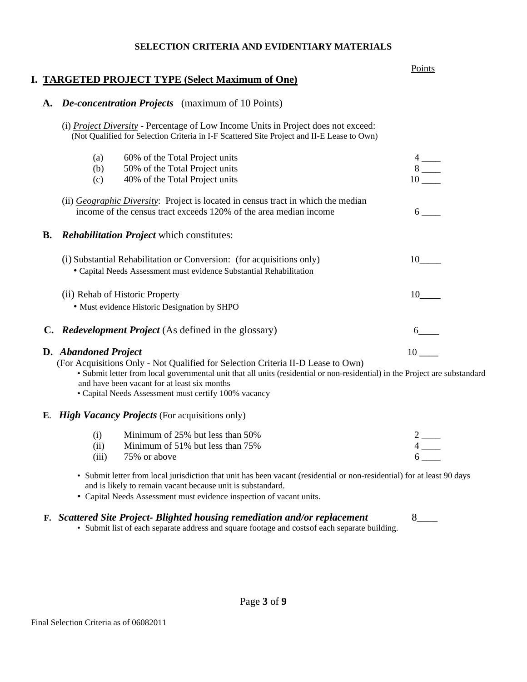#### **SELECTION CRITERIA AND EVIDENTIARY MATERIALS**

**Points** 

#### **I. TARGETED PROJECT TYPE (Select Maximum of One)**

#### **A.** *De-concentration Projects* (maximum of 10 Points)

|           |                      | (i) Project Diversity - Percentage of Low Income Units in Project does not exceed:<br>(Not Qualified for Selection Criteria in I-F Scattered Site Project and II-E Lease to Own)                                                                                                                                        |                 |
|-----------|----------------------|-------------------------------------------------------------------------------------------------------------------------------------------------------------------------------------------------------------------------------------------------------------------------------------------------------------------------|-----------------|
|           | (a)<br>(b)<br>(c)    | 60% of the Total Project units<br>50% of the Total Project units<br>40% of the Total Project units                                                                                                                                                                                                                      |                 |
|           |                      | (ii) Geographic Diversity: Project is located in census tract in which the median<br>income of the census tract exceeds 120% of the area median income                                                                                                                                                                  | $6\degree$      |
| <b>B.</b> |                      | <b>Rehabilitation Project</b> which constitutes:                                                                                                                                                                                                                                                                        |                 |
|           |                      | (i) Substantial Rehabilitation or Conversion: (for acquisitions only)<br>• Capital Needs Assessment must evidence Substantial Rehabilitation                                                                                                                                                                            | 10 <sup>1</sup> |
|           |                      | (ii) Rehab of Historic Property<br>· Must evidence Historic Designation by SHPO                                                                                                                                                                                                                                         | 10              |
|           |                      | <b>C.</b> <i>Redevelopment Project</i> (As defined in the glossary)                                                                                                                                                                                                                                                     | 6 —             |
|           | D. Abandoned Project | (For Acquisitions Only - Not Qualified for Selection Criteria II-D Lease to Own)<br>· Submit letter from local governmental unit that all units (residential or non-residential) in the Project are substandard<br>and have been vacant for at least six months<br>• Capital Needs Assessment must certify 100% vacancy | 10              |
|           |                      | <b>E.</b> High Vacancy Projects (For acquisitions only)                                                                                                                                                                                                                                                                 |                 |
|           | (i)<br>(ii)<br>(iii) | Minimum of 25% but less than 50%<br>Minimum of 51% but less than 75%<br>75% or above                                                                                                                                                                                                                                    | $\frac{2}{4}$ — |
|           |                      |                                                                                                                                                                                                                                                                                                                         |                 |

- Submit letter from local jurisdiction that unit has been vacant (residential or non-residential) for at least 90 days and is likely to remain vacant because unit is substandard.
- Capital Needs Assessment must evidence inspection of vacant units.

#### **F.** *Scattered Site Project- Blighted housing remediation and/or replacement* 8\_\_\_\_

• Submit list of each separate address and square footage and costs of each separate building.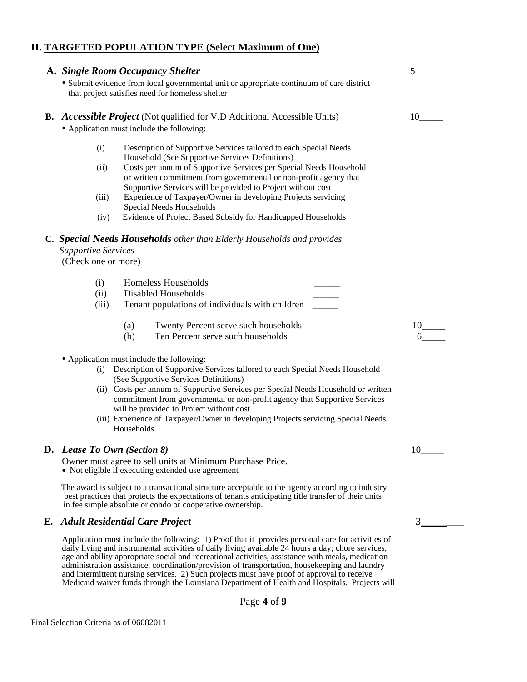## **II. TARGETED POPULATION TYPE (Select Maximum of One)**

|                                                   | A. Single Room Occupancy Shelter                                                                                                                                                                                                                                                                                                                                                                              | 5  |
|---------------------------------------------------|---------------------------------------------------------------------------------------------------------------------------------------------------------------------------------------------------------------------------------------------------------------------------------------------------------------------------------------------------------------------------------------------------------------|----|
|                                                   | · Submit evidence from local governmental unit or appropriate continuum of care district<br>that project satisfies need for homeless shelter                                                                                                                                                                                                                                                                  |    |
|                                                   | <b>B.</b> Accessible Project (Not qualified for V.D Additional Accessible Units)                                                                                                                                                                                                                                                                                                                              | 10 |
|                                                   | • Application must include the following:                                                                                                                                                                                                                                                                                                                                                                     |    |
| (i)                                               | Description of Supportive Services tailored to each Special Needs                                                                                                                                                                                                                                                                                                                                             |    |
|                                                   | Household (See Supportive Services Definitions)                                                                                                                                                                                                                                                                                                                                                               |    |
| (ii)                                              | Costs per annum of Supportive Services per Special Needs Household<br>or written commitment from governmental or non-profit agency that                                                                                                                                                                                                                                                                       |    |
| (iii)                                             | Supportive Services will be provided to Project without cost<br>Experience of Taxpayer/Owner in developing Projects servicing                                                                                                                                                                                                                                                                                 |    |
|                                                   | Special Needs Households                                                                                                                                                                                                                                                                                                                                                                                      |    |
| (iv)                                              | Evidence of Project Based Subsidy for Handicapped Households                                                                                                                                                                                                                                                                                                                                                  |    |
| <b>Supportive Services</b><br>(Check one or more) | C. Special Needs Households other than Elderly Households and provides                                                                                                                                                                                                                                                                                                                                        |    |
| (i)                                               | Homeless Households                                                                                                                                                                                                                                                                                                                                                                                           |    |
| (ii)                                              | Disabled Households                                                                                                                                                                                                                                                                                                                                                                                           |    |
| (iii)                                             | Tenant populations of individuals with children _____                                                                                                                                                                                                                                                                                                                                                         |    |
|                                                   | Twenty Percent serve such households<br>(a)                                                                                                                                                                                                                                                                                                                                                                   | 10 |
|                                                   | Ten Percent serve such households<br>(b)                                                                                                                                                                                                                                                                                                                                                                      |    |
|                                                   | • Application must include the following:                                                                                                                                                                                                                                                                                                                                                                     |    |
|                                                   | (i) Description of Supportive Services tailored to each Special Needs Household                                                                                                                                                                                                                                                                                                                               |    |
|                                                   | (See Supportive Services Definitions)                                                                                                                                                                                                                                                                                                                                                                         |    |
|                                                   | (ii) Costs per annum of Supportive Services per Special Needs Household or written<br>commitment from governmental or non-profit agency that Supportive Services                                                                                                                                                                                                                                              |    |
|                                                   | will be provided to Project without cost                                                                                                                                                                                                                                                                                                                                                                      |    |
|                                                   | (iii) Experience of Taxpayer/Owner in developing Projects servicing Special Needs                                                                                                                                                                                                                                                                                                                             |    |
|                                                   | Households                                                                                                                                                                                                                                                                                                                                                                                                    |    |
| <b>D.</b> Lease To Own (Section 8)                |                                                                                                                                                                                                                                                                                                                                                                                                               | 10 |
|                                                   | Owner must agree to sell units at Minimum Purchase Price.<br>• Not eligible if executing extended use agreement                                                                                                                                                                                                                                                                                               |    |
|                                                   | The award is subject to a transactional structure acceptable to the agency according to industry<br>best practices that protects the expectations of tenants anticipating title transfer of their units<br>in fee simple absolute or condo or cooperative ownership.                                                                                                                                          |    |
|                                                   | <b>E.</b> Adult Residential Care Project                                                                                                                                                                                                                                                                                                                                                                      | 3  |
|                                                   | Application must include the following: 1) Proof that it provides personal care for activities of<br>daily living and instrumental activities of daily living available 24 hours a day; chore services,<br>age and ability appropriate social and recreational activities, assistance with meals, medication<br>administration assistance, coordination/provision of transportation, housekeeping and laundry |    |

and intermittent nursing services. 2) Such projects must have proof of approval to receive Medicaid waiver funds through the Louisiana Department of Health and Hospitals. Projects will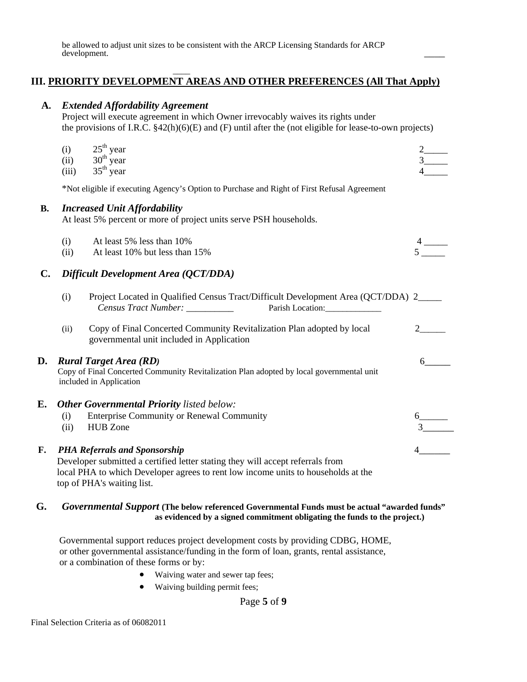be allowed to adjust unit sizes to be consistent with the ARCP Licensing Standards for ARCP development.

## **III. PRIORITY DEVELOPMENT AREAS AND OTHER PREFERENCES (All That Apply)**

#### **A.** *Extended Affordability Agreement*

\_\_\_\_

Project will execute agreement in which Owner irrevocably waives its rights under the provisions of I.R.C. §42(h)(6)(E) and (F) until after the (not eligible for lease-to-own projects)

|               | (i)<br>(ii)<br>(iii) | $25th$ year<br>$30th$ year<br>$35th$ year                                                                                                                                                                                                 |            |
|---------------|----------------------|-------------------------------------------------------------------------------------------------------------------------------------------------------------------------------------------------------------------------------------------|------------|
|               |                      | *Not eligible if executing Agency's Option to Purchase and Right of First Refusal Agreement                                                                                                                                               |            |
| <b>B.</b>     |                      | <b>Increased Unit Affordability</b><br>At least 5% percent or more of project units serve PSH households.                                                                                                                                 |            |
|               | (i)<br>(ii)          | At least 5% less than 10%<br>At least 10% but less than 15%                                                                                                                                                                               |            |
| $C_{\bullet}$ |                      | Difficult Development Area (QCT/DDA)                                                                                                                                                                                                      |            |
|               | (i)                  | Project Located in Qualified Census Tract/Difficult Development Area (QCT/DDA) 2_____<br>Census Tract Number: __________<br>Parish Location:                                                                                              |            |
|               | (ii)                 | Copy of Final Concerted Community Revitalization Plan adopted by local<br>governmental unit included in Application                                                                                                                       | 2          |
| D.            |                      | <b>Rural Target Area (RD)</b><br>Copy of Final Concerted Community Revitalization Plan adopted by local governmental unit<br>included in Application                                                                                      | $6 \qquad$ |
| Е.            | (i)<br>(ii)          | <b>Other Governmental Priority</b> listed below:<br><b>Enterprise Community or Renewal Community</b><br><b>HUB</b> Zone                                                                                                                   |            |
| F.            |                      | <b>PHA Referrals and Sponsorship</b><br>Developer submitted a certified letter stating they will accept referrals from<br>local PHA to which Developer agrees to rent low income units to households at the<br>top of PHA's waiting list. |            |

#### **G.** *Governmental Support* **(The below referenced Governmental Funds must be actual "awarded funds" as evidenced by a signed commitment obligating the funds to the project.)**

 Governmental support reduces project development costs by providing CDBG, HOME, or other governmental assistance/funding in the form of loan, grants, rental assistance, or a combination of these forms or by:

- Waiving water and sewer tap fees;
- Waiving building permit fees;

Page **5** of **9**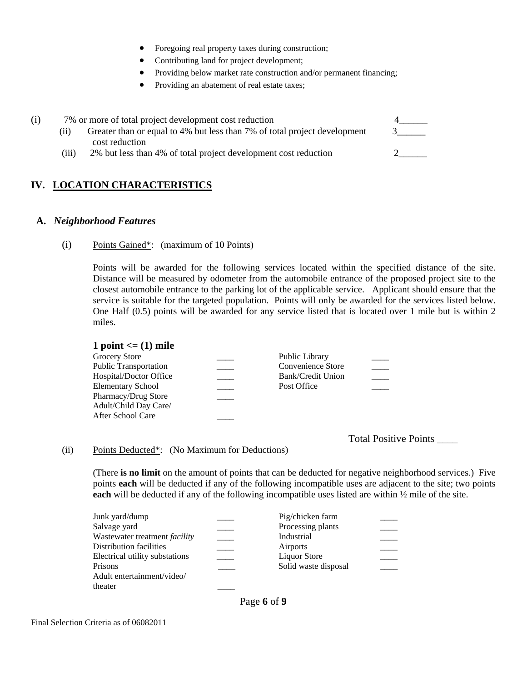- Foregoing real property taxes during construction;
- Contributing land for project development;
- Providing below market rate construction and/or permanent financing;
- Providing an abatement of real estate taxes;

| (i) |       | 7% or more of total project development cost reduction                    |  |
|-----|-------|---------------------------------------------------------------------------|--|
|     | (11)  | Greater than or equal to 4% but less than 7% of total project development |  |
|     |       | cost reduction                                                            |  |
|     | (iii) | 2% but less than 4% of total project development cost reduction           |  |
|     |       |                                                                           |  |

## **IV. LOCATION CHARACTERISTICS**

#### **A.** *Neighborhood Features*

(i) Points Gained\*: (maximum of 10 Points)

Points will be awarded for the following services located within the specified distance of the site. Distance will be measured by odometer from the automobile entrance of the proposed project site to the closest automobile entrance to the parking lot of the applicable service. Applicant should ensure that the service is suitable for the targeted population. Points will only be awarded for the services listed below. One Half (0.5) points will be awarded for any service listed that is located over 1 mile but is within 2 miles.

#### **1 point <= (1) mile**

| Grocery Store                                | Public Library    |  |
|----------------------------------------------|-------------------|--|
| <b>Public Transportation</b>                 | Convenience Store |  |
| Hospital/Doctor Office                       | Bank/Credit Union |  |
| <b>Elementary School</b>                     | Post Office       |  |
| Pharmacy/Drug Store<br>Adult/Child Day Care/ |                   |  |
| After School Care                            |                   |  |

Total Positive Points \_\_\_\_\_

#### (ii) Points Deducted<sup>\*</sup>: (No Maximum for Deductions)

(There **is no limit** on the amount of points that can be deducted for negative neighborhood services.) Five points **each** will be deducted if any of the following incompatible uses are adjacent to the site; two points **each** will be deducted if any of the following incompatible uses listed are within ½ mile of the site.

| Junk yard/dump                       | Pig/chicken farm     |  |
|--------------------------------------|----------------------|--|
| Salvage yard                         | Processing plants    |  |
| Wastewater treatment <i>facility</i> | Industrial           |  |
| Distribution facilities              | Airports             |  |
| Electrical utility substations       | <b>Liquor Store</b>  |  |
| Prisons                              | Solid waste disposal |  |
| Adult entertainment/video/           |                      |  |
| theater                              |                      |  |
|                                      |                      |  |

Page **6** of **9**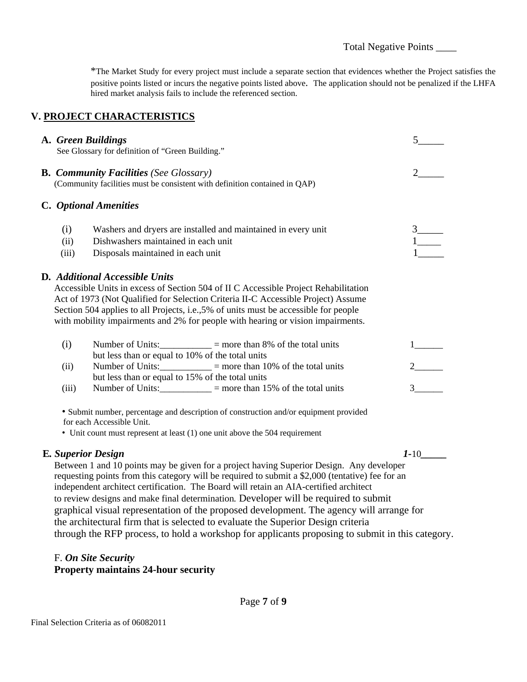Total Negative Points \_\_\_\_

\*The Market Study for every project must include a separate section that evidences whether the Project satisfies the positive points listed or incurs the negative points listed above. The application should not be penalized if the LHFA hired market analysis fails to include the referenced section.

### **V. PROJECT CHARACTERISTICS**

|                           | A. Green Buildings<br>See Glossary for definition of "Green Building."                                                      | 5 <sup>5</sup>       |
|---------------------------|-----------------------------------------------------------------------------------------------------------------------------|----------------------|
|                           | <b>B. Community Facilities (See Glossary)</b><br>(Community facilities must be consistent with definition contained in QAP) | $\overline{2}$       |
|                           | C. Optional Amenities                                                                                                       |                      |
| (i)                       | Washers and dryers are installed and maintained in every unit                                                               |                      |
| (ii)                      | Dishwashers maintained in each unit                                                                                         | $1$ <sub>——</sub>    |
| (iii)                     | Disposals maintained in each unit                                                                                           |                      |
|                           | D. Additional Accessible Units                                                                                              |                      |
|                           | Accessible Units in excess of Section 504 of II C Accessible Project Rehabilitation                                         |                      |
|                           | Act of 1973 (Not Qualified for Selection Criteria II-C Accessible Project) Assume                                           |                      |
|                           | Section 504 applies to all Projects, i.e., 5% of units must be accessible for people                                        |                      |
|                           | with mobility impairments and 2% for people with hearing or vision impairments.                                             |                      |
| (i)                       | Number of Units: $\frac{1}{2}$ = more than 8% of the total units                                                            |                      |
|                           | but less than or equal to 10% of the total units                                                                            |                      |
| (ii)                      | Number of Units:___________ = more than 10% of the total units                                                              | $\frac{2}{\sqrt{2}}$ |
|                           | but less than or equal to 15% of the total units                                                                            |                      |
| (iii)                     | Number of Units: $\frac{1}{2}$ = more than 15% of the total units                                                           | 3                    |
|                           | • Submit number, percentage and description of construction and/or equipment provided                                       |                      |
|                           | for each Accessible Unit.                                                                                                   |                      |
|                           | • Unit count must represent at least $(1)$ one unit above the 504 requirement                                               |                      |
| <b>E.</b> Superior Design |                                                                                                                             | $1-10$               |
|                           | Between 1 and 10 points may be given for a project having Superior Design. Any developer                                    |                      |
|                           | requesting points from this category will be required to submit a \$2,000 (tentative) fee for an                            |                      |
|                           | independent architect certification. The Board will retain an AIA-certified architect                                       |                      |
|                           | to review designs and make final determination. Developer will be required to submit                                        |                      |
|                           | graphical visual representation of the proposed development. The agency will arrange for                                    |                      |
|                           | the architectural firm that is selected to evaluate the Superior Design criteria                                            |                      |
|                           | through the RFP process, to hold a workshop for applicants proposing to submit in this category.                            |                      |

## F. *On Site Security*  **Property maintains 24-hour security**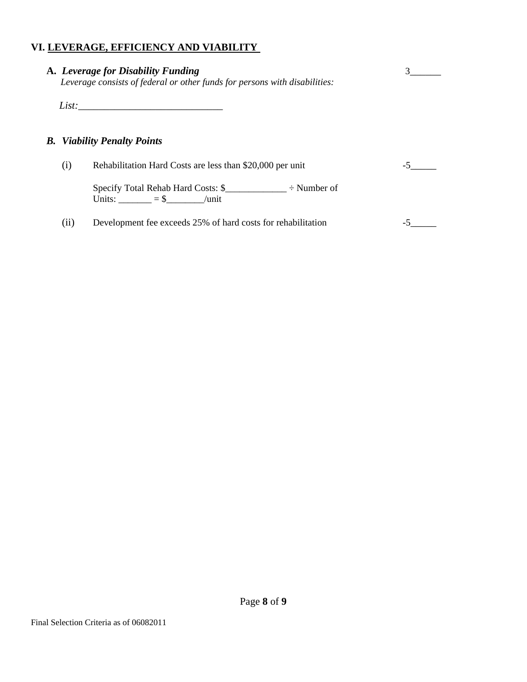## **VI. LEVERAGE, EFFICIENCY AND VIABILITY**

|      | A. Leverage for Disability Funding<br>Leverage consists of federal or other funds for persons with disabilities: |  |
|------|------------------------------------------------------------------------------------------------------------------|--|
|      | List:                                                                                                            |  |
|      | <b>B.</b> Viability Penalty Points                                                                               |  |
| (i)  | Rehabilitation Hard Costs are less than \$20,000 per unit                                                        |  |
|      | Specify Total Rehab Hard Costs: $\frac{1}{2}$ $\div$ Number of<br>Units: $= $$ /unit                             |  |
| (11) | Development fee exceeds 25% of hard costs for rehabilitation                                                     |  |